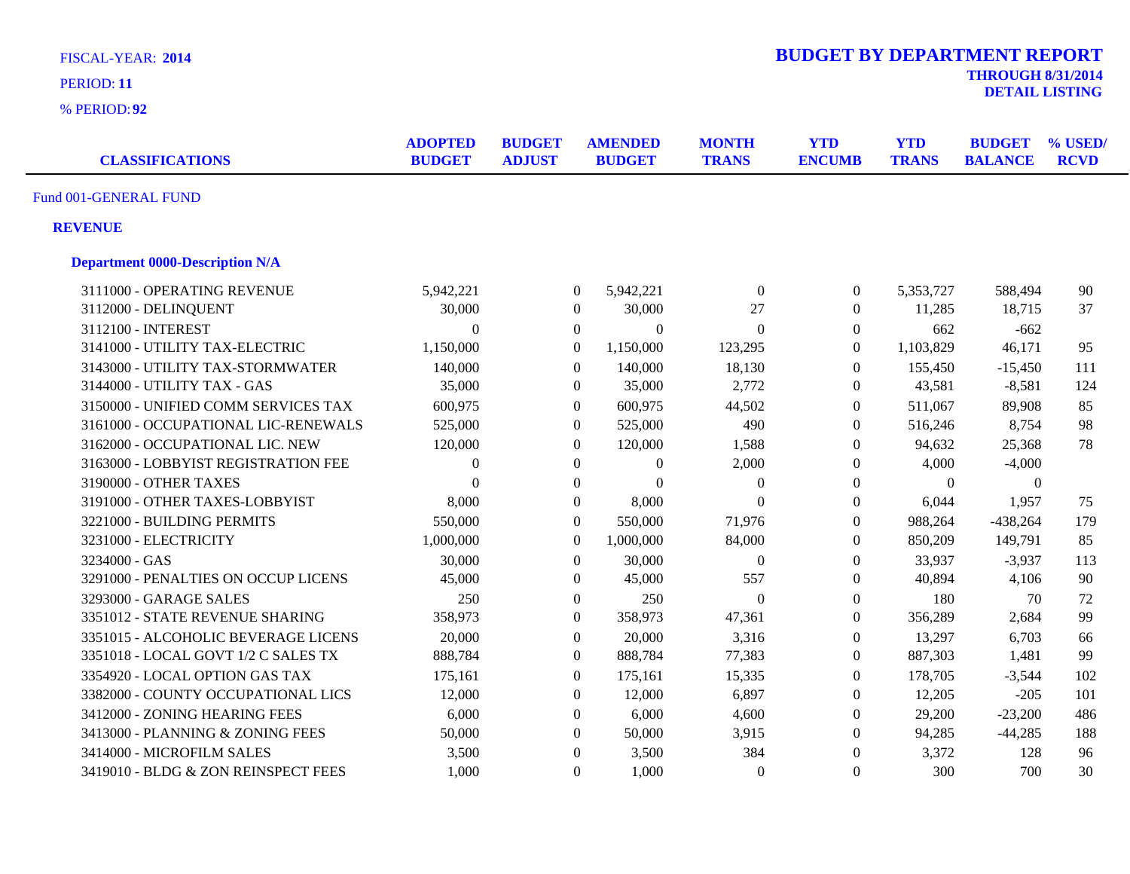| <b>FISCAL-YEAR: 2014</b><br>PERIOD: 11<br>% PERIOD: 92 |                                 |                                |                                  |                              | <b>BUDGET BY DEPARTMENT REPORT</b> |                            | <b>THROUGH 8/31/2014</b>        | <b>DETAIL LISTING</b>  |
|--------------------------------------------------------|---------------------------------|--------------------------------|----------------------------------|------------------------------|------------------------------------|----------------------------|---------------------------------|------------------------|
| <b>CLASSIFICATIONS</b>                                 | <b>ADOPTED</b><br><b>BUDGET</b> | <b>BUDGET</b><br><b>ADJUST</b> | <b>AMENDED</b><br><b>BUDGET</b>  | <b>MONTH</b><br><b>TRANS</b> | <b>YTD</b><br><b>ENCUMB</b>        | <b>YTD</b><br><b>TRANS</b> | <b>BUDGET</b><br><b>BALANCE</b> | % USED/<br><b>RCVD</b> |
| Fund 001-GENERAL FUND                                  |                                 |                                |                                  |                              |                                    |                            |                                 |                        |
| <b>REVENUE</b>                                         |                                 |                                |                                  |                              |                                    |                            |                                 |                        |
| <b>Department 0000-Description N/A</b>                 |                                 |                                |                                  |                              |                                    |                            |                                 |                        |
| 3111000 - OPERATING REVENUE                            | 5,942,221                       |                                | 5,942,221<br>$\overline{0}$      | $\boldsymbol{0}$             | $\boldsymbol{0}$                   | 5,353,727                  | 588,494                         | 90                     |
| 3112000 - DELINQUENT                                   | 30,000                          |                                | 30,000<br>$\overline{0}$         | 27                           | $\boldsymbol{0}$                   | 11,285                     | 18,715                          | 37                     |
| 3112100 - INTEREST                                     | $\Omega$                        |                                | $\overline{0}$<br>$\overline{0}$ | $\overline{0}$               | $\boldsymbol{0}$                   | 662                        | $-662$                          |                        |
| 3141000 - UTILITY TAX-ELECTRIC                         | 1,150,000                       |                                | $\boldsymbol{0}$<br>1,150,000    | 123,295                      | $\boldsymbol{0}$                   | 1,103,829                  | 46,171                          | 95                     |
| 3143000 - UTILITY TAX-STORMWATER                       | 140,000                         |                                | 140,000<br>$\overline{0}$        | 18,130                       | $\boldsymbol{0}$                   | 155,450                    | $-15,450$                       | 111                    |
| 3144000 - UTILITY TAX - GAS                            | 35,000                          |                                | $\boldsymbol{0}$<br>35,000       | 2,772                        | $\boldsymbol{0}$                   | 43,581                     | $-8,581$                        | 124                    |
| 3150000 - UNIFIED COMM SERVICES TAX                    | 600,975                         |                                | $\boldsymbol{0}$<br>600,975      | 44,502                       | $\boldsymbol{0}$                   | 511,067                    | 89,908                          | 85                     |
| 3161000 - OCCUPATIONAL LIC-RENEWALS                    | 525,000                         |                                | 525,000<br>$\overline{0}$        | 490                          | $\boldsymbol{0}$                   | 516,246                    | 8,754                           | 98                     |
| 3162000 - OCCUPATIONAL LIC. NEW                        | 120,000                         |                                | $\overline{0}$<br>120,000        | 1,588                        | $\boldsymbol{0}$                   | 94,632                     | 25,368                          | 78                     |
| 3163000 - LOBBYIST REGISTRATION FEE                    | $\theta$                        |                                | $\overline{0}$<br>$\overline{0}$ | 2,000                        | $\theta$                           | 4,000                      | $-4,000$                        |                        |
| 3190000 - OTHER TAXES                                  | $\Omega$                        |                                | $\boldsymbol{0}$<br>$\theta$     | $\boldsymbol{0}$             | $\boldsymbol{0}$                   | $\boldsymbol{0}$           | $\mathbf{0}$                    |                        |
| 3191000 - OTHER TAXES-LOBBYIST                         | 8,000                           |                                | $\Omega$<br>8,000                | $\Omega$                     | $\boldsymbol{0}$                   | 6,044                      | 1,957                           | 75                     |
| 3221000 - BUILDING PERMITS                             | 550,000                         |                                | $\Omega$<br>550,000              | 71,976                       | $\boldsymbol{0}$                   | 988,264                    | $-438,264$                      | 179                    |
| 3231000 - ELECTRICITY                                  | 1,000,000                       |                                | $\mathbf{0}$<br>1,000,000        | 84,000                       | $\boldsymbol{0}$                   | 850,209                    | 149,791                         | 85                     |
| 3234000 - GAS                                          | 30,000                          |                                | 30,000<br>$\theta$               | $\Omega$                     | $\Omega$                           | 33,937                     | $-3,937$                        | 113                    |
| 3291000 - PENALTIES ON OCCUP LICENS                    | 45,000                          |                                | 45,000<br>$\overline{0}$         | 557                          | $\boldsymbol{0}$                   | 40,894                     | 4,106                           | 90                     |
| 3293000 - GARAGE SALES                                 | 250                             |                                | $\boldsymbol{0}$<br>250          | $\mathbf{0}$                 | $\boldsymbol{0}$                   | 180                        | 70                              | 72                     |
| 3351012 - STATE REVENUE SHARING                        | 358,973                         |                                | $\overline{0}$<br>358,973        | 47,361                       | $\boldsymbol{0}$                   | 356,289                    | 2,684                           | 99                     |
| 3351015 - ALCOHOLIC BEVERAGE LICENS                    | 20,000                          |                                | $\boldsymbol{0}$<br>20,000       | 3,316                        | $\boldsymbol{0}$                   | 13,297                     | 6,703                           | 66                     |
| 3351018 - LOCAL GOVT 1/2 C SALES TX                    | 888,784                         |                                | $\overline{0}$<br>888,784        | 77,383                       | $\boldsymbol{0}$                   | 887,303                    | 1,481                           | 99                     |
| 3354920 - LOCAL OPTION GAS TAX                         | 175,161                         |                                | $\overline{0}$<br>175,161        | 15,335                       | $\boldsymbol{0}$                   | 178,705                    | $-3,544$                        | 102                    |
| 3382000 - COUNTY OCCUPATIONAL LICS                     | 12,000                          |                                | $\theta$<br>12,000               | 6,897                        | $\Omega$                           | 12,205                     | $-205$                          | 101                    |
| 3412000 - ZONING HEARING FEES                          | 6,000                           |                                | $\theta$<br>6,000                | 4,600                        | $\theta$                           | 29,200                     | $-23,200$                       | 486                    |
| 3413000 - PLANNING & ZONING FEES                       | 50,000                          |                                | $\overline{0}$<br>50,000         | 3,915                        | $\boldsymbol{0}$                   | 94,285                     | $-44,285$                       | 188                    |
| 3414000 - MICROFILM SALES                              | 3,500                           |                                | 3,500<br>$\theta$                | 384                          | $\boldsymbol{0}$                   | 3,372                      | 128                             | 96                     |
| 3419010 - BLDG & ZON REINSPECT FEES                    | 1,000                           |                                | 1,000<br>$\Omega$                | $\theta$                     | $\overline{0}$                     | 300                        | 700                             | 30                     |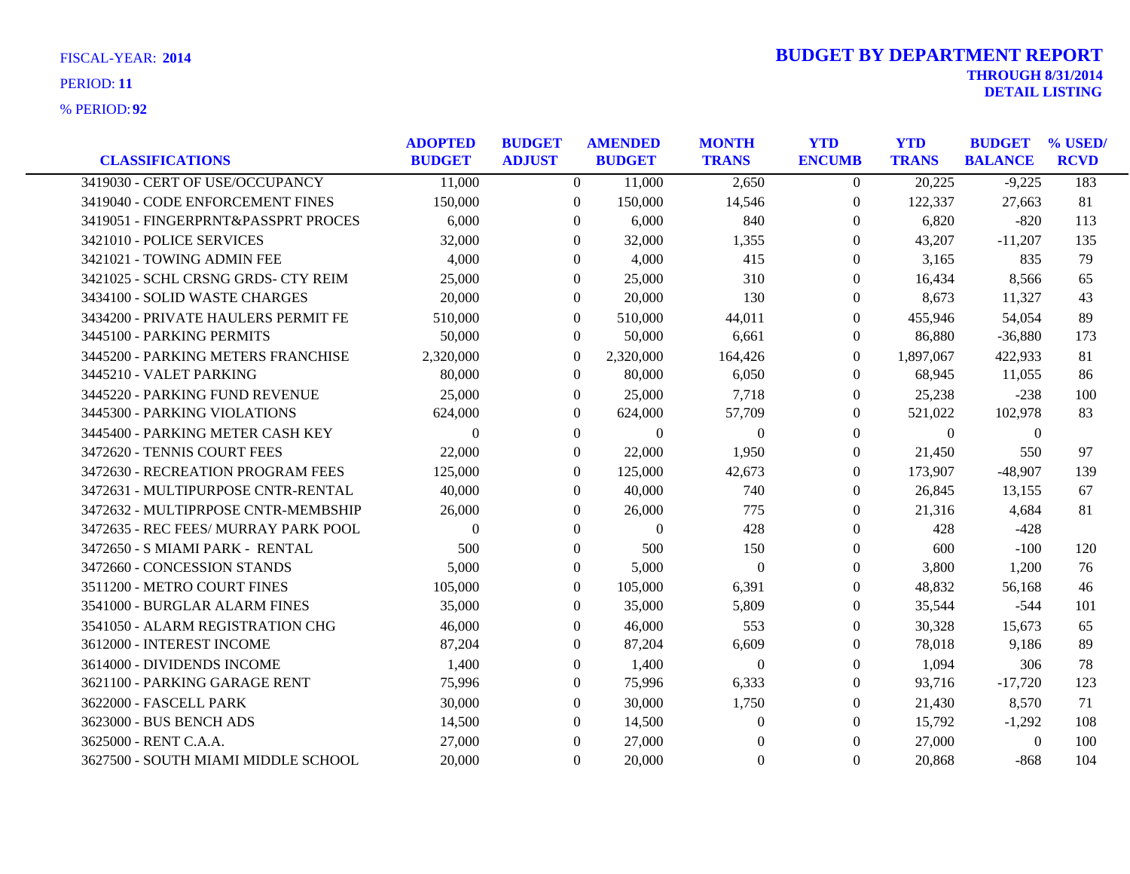| <b>CLASSIFICATIONS</b>               | <b>ADOPTED</b><br><b>BUDGET</b> | <b>BUDGET</b><br><b>ADJUST</b> | <b>AMENDED</b><br><b>BUDGET</b> | <b>MONTH</b><br><b>TRANS</b> | <b>YTD</b><br><b>ENCUMB</b> | <b>YTD</b><br><b>TRANS</b> | <b>BUDGET</b><br><b>BALANCE</b> | % USED/<br><b>RCVD</b> |
|--------------------------------------|---------------------------------|--------------------------------|---------------------------------|------------------------------|-----------------------------|----------------------------|---------------------------------|------------------------|
| 3419030 - CERT OF USE/OCCUPANCY      | 11,000                          | $\Omega$                       | 11,000                          | 2,650                        | $\theta$                    | 20,225                     | $-9,225$                        | 183                    |
| 3419040 - CODE ENFORCEMENT FINES     | 150,000                         | $\overline{0}$                 | 150,000                         | 14,546                       | $\boldsymbol{0}$            | 122,337                    | 27,663                          | 81                     |
| 3419051 - FINGERPRNT&PASSPRT PROCES  | 6,000                           | $\left($                       | 6,000                           | 840                          | $\theta$                    | 6,820                      | $-820$                          | 113                    |
| 3421010 - POLICE SERVICES            | 32,000                          | $\Omega$                       | 32,000                          | 1,355                        | $\Omega$                    | 43,207                     | $-11,207$                       | 135                    |
| 3421021 - TOWING ADMIN FEE           | 4,000                           | $\theta$                       | 4,000                           | 415                          | $\theta$                    | 3,165                      | 835                             | 79                     |
| 3421025 - SCHL CRSNG GRDS- CTY REIM  | 25,000                          | $\theta$                       | 25,000                          | 310                          | $\Omega$                    | 16,434                     | 8,566                           | 65                     |
| 3434100 - SOLID WASTE CHARGES        | 20,000                          | $\theta$                       | 20,000                          | 130                          | $\overline{0}$              | 8,673                      | 11,327                          | 43                     |
| 3434200 - PRIVATE HAULERS PERMIT FE  | 510,000                         | $\overline{0}$                 | 510,000                         | 44,011                       | $\overline{0}$              | 455,946                    | 54,054                          | 89                     |
| 3445100 - PARKING PERMITS            | 50,000                          | $\overline{0}$                 | 50,000                          | 6,661                        | $\boldsymbol{0}$            | 86,880                     | $-36,880$                       | 173                    |
| 3445200 - PARKING METERS FRANCHISE   | 2,320,000                       | $\overline{0}$                 | 2,320,000                       | 164,426                      | $\Omega$                    | 1,897,067                  | 422,933                         | 81                     |
| 3445210 - VALET PARKING              | 80,000                          | $\theta$                       | 80,000                          | 6,050                        | $\Omega$                    | 68.945                     | 11.055                          | 86                     |
| 3445220 - PARKING FUND REVENUE       | 25,000                          | $\overline{0}$                 | 25,000                          | 7,718                        | $\theta$                    | 25,238                     | $-238$                          | 100                    |
| 3445300 - PARKING VIOLATIONS         | 624,000                         | $\overline{0}$                 | 624,000                         | 57,709                       | $\boldsymbol{0}$            | 521,022                    | 102,978                         | 83                     |
| 3445400 - PARKING METER CASH KEY     | $\Omega$                        | $\Omega$                       | $\Omega$                        | $\Omega$                     | $\Omega$                    | $\Omega$                   | $\theta$                        |                        |
| 3472620 - TENNIS COURT FEES          | 22,000                          | $\overline{0}$                 | 22,000                          | 1,950                        | $\theta$                    | 21,450                     | 550                             | 97                     |
| 3472630 - RECREATION PROGRAM FEES    | 125,000                         | $\Omega$                       | 125,000                         | 42.673                       | $\theta$                    | 173,907                    | $-48.907$                       | 139                    |
| 3472631 - MULTIPURPOSE CNTR-RENTAL   | 40,000                          | $\overline{0}$                 | 40,000                          | 740                          | $\theta$                    | 26,845                     | 13,155                          | 67                     |
| 3472632 - MULTIPRPOSE CNTR-MEMBSHIP  | 26,000                          | $\Omega$                       | 26,000                          | 775                          | $\Omega$                    | 21,316                     | 4,684                           | 81                     |
| 3472635 - REC FEES/ MURRAY PARK POOL | $\Omega$                        | $\Omega$                       | $\Omega$                        | 428                          | $\Omega$                    | 428                        | $-428$                          |                        |
| 3472650 - S MIAMI PARK - RENTAL      | 500                             | $\overline{0}$                 | 500                             | 150                          | $\boldsymbol{0}$            | 600                        | $-100$                          | 120                    |
| 3472660 - CONCESSION STANDS          | 5,000                           | $\overline{0}$                 | 5,000                           | $\theta$                     | $\theta$                    | 3,800                      | 1,200                           | 76                     |
| 3511200 - METRO COURT FINES          | 105,000                         | $\Omega$                       | 105,000                         | 6,391                        | $\theta$                    | 48,832                     | 56,168                          | 46                     |
| 3541000 - BURGLAR ALARM FINES        | 35,000                          | $\overline{0}$                 | 35,000                          | 5,809                        | $\theta$                    | 35,544                     | $-544$                          | 101                    |
| 3541050 - ALARM REGISTRATION CHG     | 46,000                          | $\Omega$                       | 46,000                          | 553                          | $\theta$                    | 30,328                     | 15,673                          | 65                     |
| 3612000 - INTEREST INCOME            | 87,204                          | $\Omega$                       | 87,204                          | 6,609                        | $\Omega$                    | 78,018                     | 9,186                           | 89                     |
| 3614000 - DIVIDENDS INCOME           | 1,400                           | $\overline{0}$                 | 1,400                           | $\mathbf{0}$                 | $\theta$                    | 1,094                      | 306                             | 78                     |
| 3621100 - PARKING GARAGE RENT        | 75,996                          | $\overline{0}$                 | 75,996                          | 6,333                        | $\theta$                    | 93,716                     | $-17,720$                       | 123                    |
| 3622000 - FASCELL PARK               | 30,000                          | $\Omega$                       | 30,000                          | 1,750                        | $\theta$                    | 21,430                     | 8,570                           | 71                     |
| 3623000 - BUS BENCH ADS              | 14,500                          | 0                              | 14,500                          | $\Omega$                     | $\Omega$                    | 15,792                     | $-1,292$                        | 108                    |
| 3625000 - RENT C.A.A.                | 27,000                          | $\Omega$                       | 27,000                          | $\mathbf{0}$                 | $\theta$                    | 27,000                     | $\mathbf{0}$                    | 100                    |
| 3627500 - SOUTH MIAMI MIDDLE SCHOOL  | 20,000                          | $\theta$                       | 20,000                          | $\Omega$                     | $\Omega$                    | 20,868                     | $-868$                          | 104                    |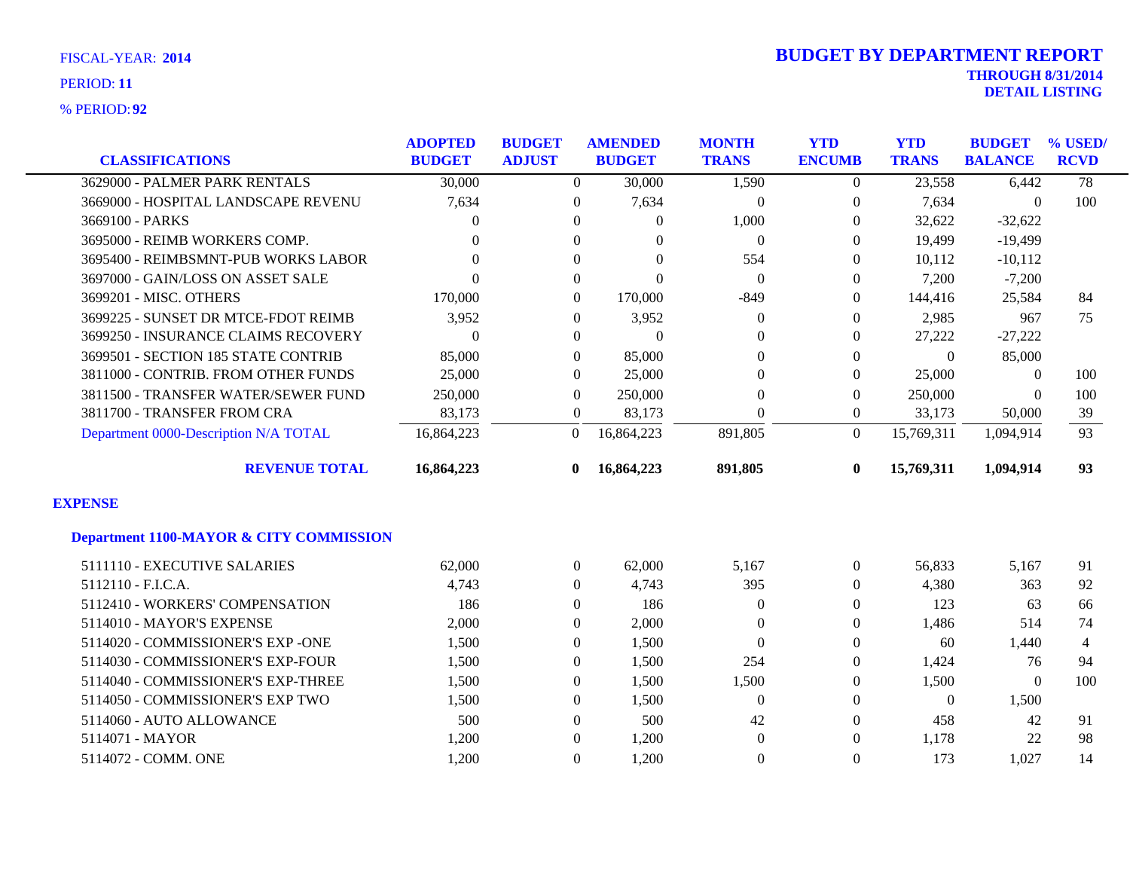**92** % PERIOD:

| <b>CLASSIFICATIONS</b>                             | <b>ADOPTED</b><br><b>BUDGET</b> | <b>BUDGET</b><br><b>ADJUST</b> | <b>AMENDED</b><br><b>BUDGET</b> | <b>MONTH</b><br><b>TRANS</b> | <b>YTD</b><br><b>ENCUMB</b> | <b>YTD</b><br><b>TRANS</b> | <b>BUDGET</b><br><b>BALANCE</b> | % USED/<br><b>RCVD</b> |
|----------------------------------------------------|---------------------------------|--------------------------------|---------------------------------|------------------------------|-----------------------------|----------------------------|---------------------------------|------------------------|
| 3629000 - PALMER PARK RENTALS                      | 30,000                          | $\Omega$                       | 30,000                          | 1,590                        | $\Omega$                    | 23,558                     | 6,442                           | $\overline{78}$        |
| 3669000 - HOSPITAL LANDSCAPE REVENU                | 7,634                           | $\overline{0}$                 | 7,634                           | $\boldsymbol{0}$             | $\boldsymbol{0}$            | 7,634                      | $\mathbf{0}$                    | 100                    |
| 3669100 - PARKS                                    | $\Omega$                        | $\Omega$                       | $\Omega$                        | 1,000                        | $\Omega$                    | 32,622                     | $-32,622$                       |                        |
| 3695000 - REIMB WORKERS COMP.                      | $\Omega$                        | $\Omega$                       | $\Omega$                        | $\mathbf{0}$                 | $\Omega$                    | 19,499                     | $-19,499$                       |                        |
| 3695400 - REIMBSMNT-PUB WORKS LABOR                | $\theta$                        | $\Omega$                       | $\Omega$                        | 554                          | $\Omega$                    | 10,112                     | $-10,112$                       |                        |
| 3697000 - GAIN/LOSS ON ASSET SALE                  | $\Omega$                        | $\overline{0}$                 | $\Omega$                        | $\overline{0}$               | $\Omega$                    | 7,200                      | $-7,200$                        |                        |
| 3699201 - MISC. OTHERS                             | 170,000                         | $\Omega$                       | 170,000                         | $-849$                       | $\Omega$                    | 144,416                    | 25,584                          | 84                     |
| 3699225 - SUNSET DR MTCE-FDOT REIMB                | 3,952                           | $\overline{0}$                 | 3,952                           | $\mathbf{0}$                 | $\Omega$                    | 2,985                      | 967                             | 75                     |
| 3699250 - INSURANCE CLAIMS RECOVERY                | $\Omega$                        | $\overline{0}$                 | $\Omega$                        | $\mathbf{0}$                 | $\Omega$                    | 27,222                     | $-27,222$                       |                        |
| 3699501 - SECTION 185 STATE CONTRIB                | 85,000                          | $\overline{0}$                 | 85,000                          | $\mathbf{0}$                 | $\Omega$                    | $\Omega$                   | 85,000                          |                        |
| 3811000 - CONTRIB. FROM OTHER FUNDS                | 25,000                          | $\Omega$                       | 25,000                          | $\Omega$                     | $\Omega$                    | 25,000                     | $\theta$                        | 100                    |
| 3811500 - TRANSFER WATER/SEWER FUND                | 250,000                         | $\overline{0}$                 | 250,000                         | $\mathbf{0}$                 | $\theta$                    | 250,000                    | $\theta$                        | 100                    |
| 3811700 - TRANSFER FROM CRA                        | 83,173                          | $\theta$                       | 83,173                          | $\Omega$                     | $\overline{0}$              | 33,173                     | 50,000                          | 39                     |
| Department 0000-Description N/A TOTAL              | 16,864,223                      | $\overline{0}$                 | 16,864,223                      | 891,805                      | $\Omega$                    | 15,769,311                 | 1,094,914                       | 93                     |
| <b>REVENUE TOTAL</b>                               | 16,864,223                      | $\mathbf{0}$                   | 16,864,223                      | 891,805                      | $\bf{0}$                    | 15,769,311                 | 1,094,914                       | 93                     |
| <b>EXPENSE</b>                                     |                                 |                                |                                 |                              |                             |                            |                                 |                        |
| <b>Department 1100-MAYOR &amp; CITY COMMISSION</b> |                                 |                                |                                 |                              |                             |                            |                                 |                        |
| 5111110 - EXECUTIVE SALARIES                       | 62,000                          | $\overline{0}$                 | 62,000                          | 5,167                        | $\Omega$                    | 56,833                     | 5,167                           | 91                     |
| 5112110 - F.I.C.A.                                 | 4,743                           | $\Omega$                       | 4,743                           | 395                          | $\Omega$                    | 4,380                      | 363                             | 92                     |
| 5112410 - WORKERS' COMPENSATION                    | 186                             | $\overline{0}$                 | 186                             | $\Omega$                     | 0                           | 123                        | 63                              | 66                     |
| 5114010 - MAYOR'S EXPENSE                          | 2,000                           | $\overline{0}$                 | 2,000                           | $\mathbf{0}$                 | $\Omega$                    | 1,486                      | 514                             | 74                     |
| 5114020 - COMMISSIONER'S EXP -ONE                  | 1,500                           | $\overline{0}$                 | 1,500                           | $\mathbf{0}$                 | $\Omega$                    | 60                         | 1,440                           | 4                      |
| 5114030 - COMMISSIONER'S EXP-FOUR                  | 1,500                           | $\Omega$                       | 1,500                           | 254                          | $\Omega$                    | 1,424                      | 76                              | 94                     |
| 5114040 - COMMISSIONER'S EXP-THREE                 | 1,500                           | $\boldsymbol{0}$               | 1,500                           | 1,500                        | $\overline{0}$              | 1,500                      | $\mathbf{0}$                    | 100                    |
| 5114050 - COMMISSIONER'S EXP TWO                   | 1,500                           | $\overline{0}$                 | 1,500                           | $\overline{0}$               | $\Omega$                    | $\Omega$                   | 1,500                           |                        |
| 5114060 - AUTO ALLOWANCE                           | 500                             | $\overline{0}$                 | 500                             | 42                           | $\Omega$                    | 458                        | 42                              | 91                     |
| 5114071 - MAYOR                                    | 1,200                           | $\Omega$                       | 1,200                           | $\overline{0}$               | $\Omega$                    | 1,178                      | 22                              | 98                     |
| 5114072 - COMM. ONE                                | 1,200                           | $\Omega$                       | 1,200                           | $\boldsymbol{0}$             | $\Omega$                    | 173                        | 1,027                           | 14                     |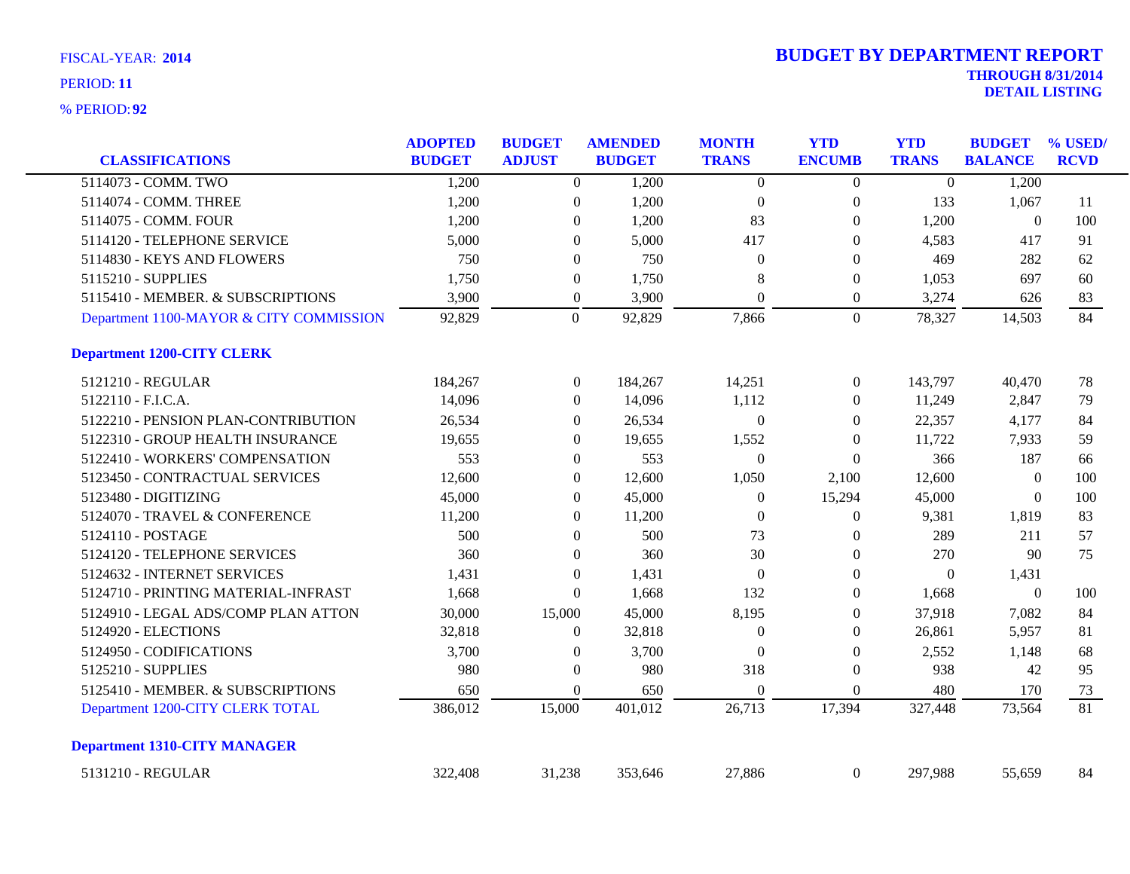| <b>CLASSIFICATIONS</b>                  | <b>ADOPTED</b><br><b>BUDGET</b> | <b>BUDGET</b><br><b>ADJUST</b> |                  | <b>AMENDED</b><br><b>BUDGET</b> | <b>MONTH</b><br><b>TRANS</b> | <b>YTD</b><br><b>ENCUMB</b> | <b>YTD</b><br><b>TRANS</b> | <b>BUDGET</b><br><b>BALANCE</b> | % USED/<br><b>RCVD</b> |
|-----------------------------------------|---------------------------------|--------------------------------|------------------|---------------------------------|------------------------------|-----------------------------|----------------------------|---------------------------------|------------------------|
| 5114073 - COMM. TWO                     | 1,200                           |                                | $\overline{0}$   | 1,200                           | $\boldsymbol{0}$             | $\boldsymbol{0}$            | $\overline{0}$             | 1,200                           |                        |
| 5114074 - COMM. THREE                   | 1,200                           |                                | $\boldsymbol{0}$ | 1,200                           | $\boldsymbol{0}$             | $\boldsymbol{0}$            | 133                        | 1,067                           | 11                     |
| 5114075 - COMM. FOUR                    | 1,200                           |                                | $\boldsymbol{0}$ | 1,200                           | 83                           | $\boldsymbol{0}$            | 1,200                      | $\boldsymbol{0}$                | 100                    |
| 5114120 - TELEPHONE SERVICE             | 5,000                           |                                | $\theta$         | 5,000                           | 417                          | $\theta$                    | 4,583                      | 417                             | 91                     |
| 5114830 - KEYS AND FLOWERS              | 750                             |                                | $\theta$         | 750                             | $\Omega$                     | $\Omega$                    | 469                        | 282                             | 62                     |
| 5115210 - SUPPLIES                      | 1,750                           |                                | $\boldsymbol{0}$ | 1,750                           | 8                            | $\boldsymbol{0}$            | 1,053                      | 697                             | 60                     |
| 5115410 - MEMBER. & SUBSCRIPTIONS       | 3,900                           |                                | $\boldsymbol{0}$ | 3,900                           | $\boldsymbol{0}$             | $\boldsymbol{0}$            | 3,274                      | 626                             | 83                     |
| Department 1100-MAYOR & CITY COMMISSION | 92,829                          |                                | $\overline{0}$   | 92,829                          | 7,866                        | $\mathbf{0}$                | 78,327                     | 14,503                          | 84                     |
| <b>Department 1200-CITY CLERK</b>       |                                 |                                |                  |                                 |                              |                             |                            |                                 |                        |
| 5121210 - REGULAR                       | 184,267                         |                                | $\boldsymbol{0}$ | 184,267                         | 14,251                       | $\boldsymbol{0}$            | 143,797                    | 40,470                          | 78                     |
| 5122110 - F.I.C.A.                      | 14,096                          |                                | $\overline{0}$   | 14,096                          | 1,112                        | $\overline{0}$              | 11,249                     | 2,847                           | 79                     |
| 5122210 - PENSION PLAN-CONTRIBUTION     | 26,534                          |                                | $\overline{0}$   | 26,534                          | $\theta$                     | $\overline{0}$              | 22,357                     | 4,177                           | 84                     |
| 5122310 - GROUP HEALTH INSURANCE        | 19,655                          |                                | $\Omega$         | 19,655                          | 1,552                        | $\theta$                    | 11,722                     | 7,933                           | 59                     |
| 5122410 - WORKERS' COMPENSATION         | 553                             |                                | $\mathbf{0}$     | 553                             | $\boldsymbol{0}$             | $\overline{0}$              | 366                        | 187                             | 66                     |
| 5123450 - CONTRACTUAL SERVICES          | 12,600                          |                                | $\overline{0}$   | 12,600                          | 1,050                        | 2,100                       | 12,600                     | $\mathbf{0}$                    | 100                    |
| 5123480 - DIGITIZING                    | 45,000                          |                                | $\theta$         | 45,000                          | $\mathbf{0}$                 | 15,294                      | 45,000                     | $\theta$                        | 100                    |
| 5124070 - TRAVEL & CONFERENCE           | 11,200                          |                                | $\overline{0}$   | 11,200                          | $\theta$                     | $\boldsymbol{0}$            | 9,381                      | 1,819                           | 83                     |
| 5124110 - POSTAGE                       | 500                             |                                | $\overline{0}$   | 500                             | 73                           | $\overline{0}$              | 289                        | 211                             | 57                     |
| 5124120 - TELEPHONE SERVICES            | 360                             |                                | $\mathbf{0}$     | 360                             | 30                           | $\overline{0}$              | 270                        | 90                              | 75                     |
| 5124632 - INTERNET SERVICES             | 1,431                           |                                | $\boldsymbol{0}$ | 1,431                           | $\boldsymbol{0}$             | $\mathbf{0}$                | $\overline{0}$             | 1,431                           |                        |
| 5124710 - PRINTING MATERIAL-INFRAST     | 1,668                           |                                | $\mathbf{0}$     | 1,668                           | 132                          | $\boldsymbol{0}$            | 1,668                      | $\mathbf{0}$                    | 100                    |
| 5124910 - LEGAL ADS/COMP PLAN ATTON     | 30,000                          | 15,000                         |                  | 45,000                          | 8,195                        | $\theta$                    | 37,918                     | 7,082                           | 84                     |
| 5124920 - ELECTIONS                     | 32,818                          |                                | $\overline{0}$   | 32,818                          | $\theta$                     | $\overline{0}$              | 26,861                     | 5,957                           | 81                     |
| 5124950 - CODIFICATIONS                 | 3,700                           |                                | $\boldsymbol{0}$ | 3,700                           | $\theta$                     | $\boldsymbol{0}$            | 2,552                      | 1,148                           | 68                     |
| 5125210 - SUPPLIES                      | 980                             |                                | $\boldsymbol{0}$ | 980                             | 318                          | $\boldsymbol{0}$            | 938                        | 42                              | 95                     |
| 5125410 - MEMBER. & SUBSCRIPTIONS       | 650                             |                                | $\mathbf{0}$     | 650                             | $\boldsymbol{0}$             | $\boldsymbol{0}$            | 480                        | 170                             | 73                     |
| Department 1200-CITY CLERK TOTAL        | 386,012                         | 15,000                         |                  | 401,012                         | 26,713                       | 17,394                      | 327,448                    | 73,564                          | 81                     |
| <b>Department 1310-CITY MANAGER</b>     |                                 |                                |                  |                                 |                              |                             |                            |                                 |                        |
| 5131210 - REGULAR                       | 322,408                         | 31,238                         |                  | 353,646                         | 27,886                       | $\overline{0}$              | 297,988                    | 55,659                          | 84                     |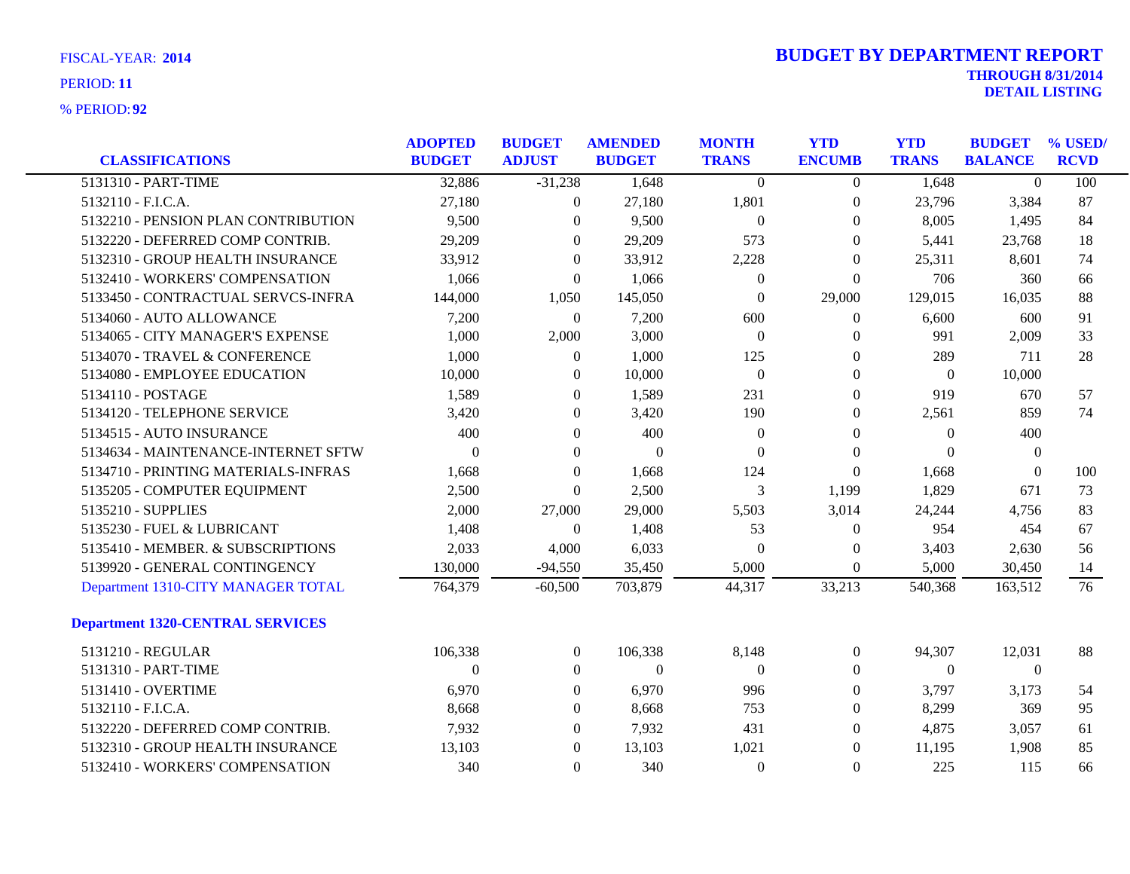| <b>CLASSIFICATIONS</b>                  | <b>ADOPTED</b><br><b>BUDGET</b> | <b>BUDGET</b><br><b>ADJUST</b> | <b>AMENDED</b><br><b>BUDGET</b> | <b>MONTH</b><br><b>TRANS</b> | <b>YTD</b><br><b>ENCUMB</b> | <b>YTD</b><br><b>TRANS</b> | <b>BUDGET</b><br><b>BALANCE</b> | % USED/<br><b>RCVD</b> |
|-----------------------------------------|---------------------------------|--------------------------------|---------------------------------|------------------------------|-----------------------------|----------------------------|---------------------------------|------------------------|
| 5131310 - PART-TIME                     |                                 | $-31,238$                      |                                 |                              |                             |                            | $\Omega$                        |                        |
|                                         | 32,886                          |                                | 1,648                           | $\overline{0}$               | $\overline{0}$              | 1,648                      |                                 | 100                    |
| 5132110 - F.I.C.A.                      | 27,180                          | $\overline{0}$                 | 27,180                          | 1,801                        | $\boldsymbol{0}$            | 23,796                     | 3,384                           | 87                     |
| 5132210 - PENSION PLAN CONTRIBUTION     | 9,500                           | $\overline{0}$                 | 9,500                           | $\boldsymbol{0}$             | $\boldsymbol{0}$            | 8,005                      | 1,495                           | 84                     |
| 5132220 - DEFERRED COMP CONTRIB.        | 29,209                          | $\theta$                       | 29,209                          | 573                          | $\theta$                    | 5,441                      | 23,768                          | 18                     |
| 5132310 - GROUP HEALTH INSURANCE        | 33,912                          | $\theta$                       | 33,912                          | 2,228                        | $\theta$                    | 25,311                     | 8,601                           | 74                     |
| 5132410 - WORKERS' COMPENSATION         | 1,066                           | $\boldsymbol{0}$               | 1,066                           | $\boldsymbol{0}$             | $\overline{0}$              | 706                        | 360                             | 66                     |
| 5133450 - CONTRACTUAL SERVCS-INFRA      | 144,000                         | 1,050                          | 145,050                         | $\boldsymbol{0}$             | 29,000                      | 129,015                    | 16,035                          | 88                     |
| 5134060 - AUTO ALLOWANCE                | 7,200                           | $\theta$                       | 7,200                           | 600                          | 0                           | 6,600                      | 600                             | 91                     |
| 5134065 - CITY MANAGER'S EXPENSE        | 1,000                           | 2,000                          | 3,000                           | $\boldsymbol{0}$             | $\theta$                    | 991                        | 2,009                           | 33                     |
| 5134070 - TRAVEL & CONFERENCE           | 1,000                           | $\overline{0}$                 | 1,000                           | 125                          | $\boldsymbol{0}$            | 289                        | 711                             | 28                     |
| 5134080 - EMPLOYEE EDUCATION            | 10,000                          | $\overline{0}$                 | 10,000                          | $\boldsymbol{0}$             | $\boldsymbol{0}$            | $\overline{0}$             | 10,000                          |                        |
| 5134110 - POSTAGE                       | 1,589                           | $\overline{0}$                 | 1,589                           | 231                          | $\theta$                    | 919                        | 670                             | 57                     |
| 5134120 - TELEPHONE SERVICE             | 3,420                           | $\overline{0}$                 | 3,420                           | 190                          | $\theta$                    | 2,561                      | 859                             | 74                     |
| 5134515 - AUTO INSURANCE                | 400                             | $\overline{0}$                 | 400                             | $\boldsymbol{0}$             | $\boldsymbol{0}$            | $\mathbf{0}$               | 400                             |                        |
| 5134634 - MAINTENANCE-INTERNET SFTW     | $\theta$                        | $\overline{0}$                 | $\theta$                        | $\theta$                     | $\overline{0}$              | $\Omega$                   | $\overline{0}$                  |                        |
| 5134710 - PRINTING MATERIALS-INFRAS     | 1,668                           | $\overline{0}$                 | 1,668                           | 124                          | $\overline{0}$              | 1,668                      | $\Omega$                        | 100                    |
| 5135205 - COMPUTER EQUIPMENT            | 2,500                           | $\theta$                       | 2,500                           | 3                            | 1,199                       | 1,829                      | 671                             | 73                     |
| 5135210 - SUPPLIES                      | 2,000                           | 27,000                         | 29,000                          | 5,503                        | 3,014                       | 24,244                     | 4,756                           | 83                     |
| 5135230 - FUEL & LUBRICANT              | 1,408                           | $\overline{0}$                 | 1,408                           | 53                           | $\boldsymbol{0}$            | 954                        | 454                             | 67                     |
| 5135410 - MEMBER. & SUBSCRIPTIONS       | 2,033                           | 4,000                          | 6,033                           | $\theta$                     | $\boldsymbol{0}$            | 3,403                      | 2,630                           | 56                     |
| 5139920 - GENERAL CONTINGENCY           | 130,000                         | $-94,550$                      | 35,450                          | 5,000                        | $\boldsymbol{0}$            | 5,000                      | 30,450                          | 14                     |
| Department 1310-CITY MANAGER TOTAL      | 764,379                         | $-60,500$                      | 703,879                         | 44,317                       | 33,213                      | 540,368                    | 163,512                         | 76                     |
| <b>Department 1320-CENTRAL SERVICES</b> |                                 |                                |                                 |                              |                             |                            |                                 |                        |
| 5131210 - REGULAR                       | 106,338                         | $\overline{0}$                 | 106,338                         | 8,148                        | $\boldsymbol{0}$            | 94,307                     | 12,031                          | 88                     |
| 5131310 - PART-TIME                     | $\Omega$                        | $\overline{0}$                 | $\mathbf{0}$                    | $\theta$                     | $\theta$                    | $\Omega$                   | $\overline{0}$                  |                        |
| 5131410 - OVERTIME                      | 6,970                           | $\boldsymbol{0}$               | 6,970                           | 996                          | $\boldsymbol{0}$            | 3,797                      | 3,173                           | 54                     |
| 5132110 - F.I.C.A.                      | 8,668                           | $\overline{0}$                 | 8,668                           | 753                          | $\boldsymbol{0}$            | 8,299                      | 369                             | 95                     |
| 5132220 - DEFERRED COMP CONTRIB.        | 7,932                           | $\overline{0}$                 | 7,932                           | 431                          | $\theta$                    | 4,875                      | 3,057                           | 61                     |
| 5132310 - GROUP HEALTH INSURANCE        | 13,103                          | $\overline{0}$                 | 13,103                          | 1,021                        | $\theta$                    | 11,195                     | 1,908                           | 85                     |
| 5132410 - WORKERS' COMPENSATION         | 340                             | $\overline{0}$                 | 340                             | $\mathbf{0}$                 | $\overline{0}$              | 225                        | 115                             | 66                     |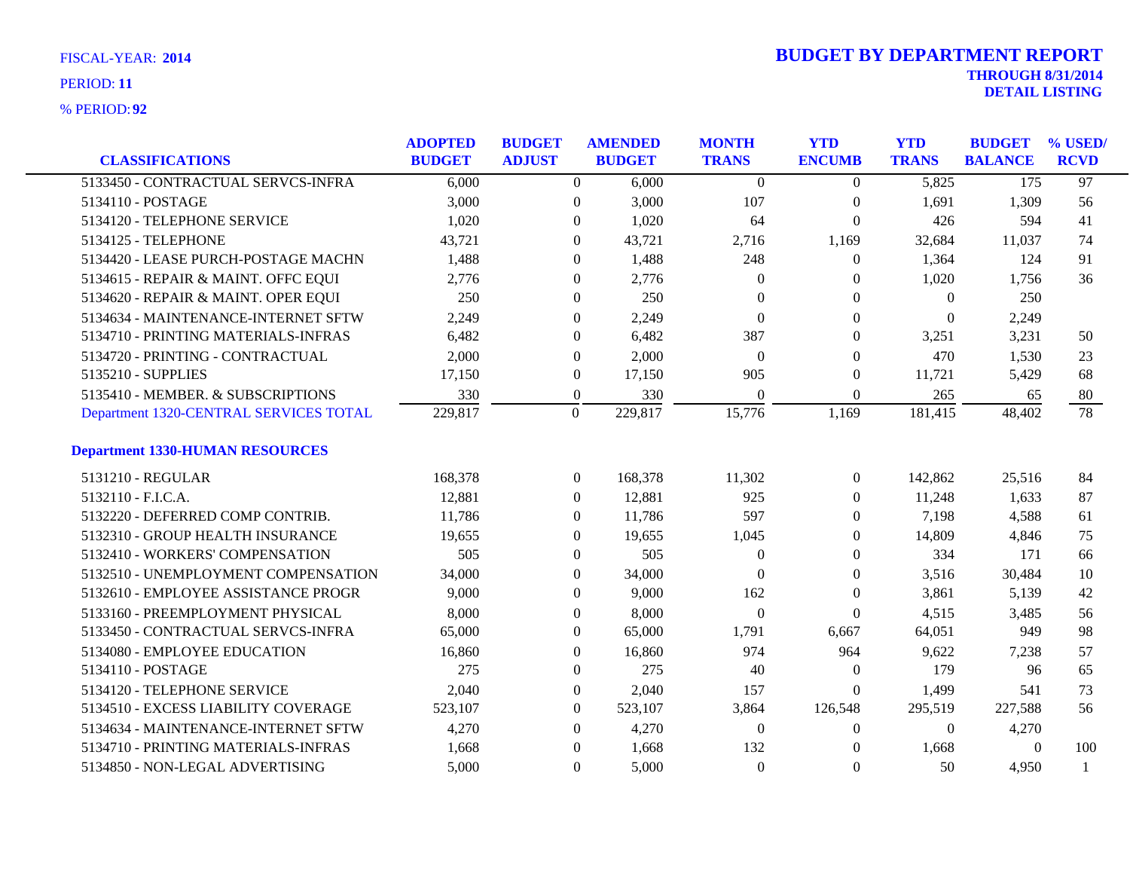| <b>CLASSIFICATIONS</b>                 | <b>ADOPTED</b><br><b>BUDGET</b> | <b>BUDGET</b><br><b>ADJUST</b> | <b>AMENDED</b><br><b>BUDGET</b> |         | <b>MONTH</b><br><b>TRANS</b> | <b>YTD</b><br><b>ENCUMB</b> | <b>YTD</b><br><b>TRANS</b> | <b>BUDGET</b><br><b>BALANCE</b> | % USED/<br><b>RCVD</b> |
|----------------------------------------|---------------------------------|--------------------------------|---------------------------------|---------|------------------------------|-----------------------------|----------------------------|---------------------------------|------------------------|
| 5133450 - CONTRACTUAL SERVCS-INFRA     | 6,000                           |                                | $\overline{0}$                  | 6,000   | $\Omega$                     | $\Omega$                    | 5,825                      | 175                             | $\overline{97}$        |
| 5134110 - POSTAGE                      | 3,000                           |                                | $\overline{0}$                  | 3,000   | 107                          | $\boldsymbol{0}$            | 1,691                      | 1,309                           | 56                     |
| 5134120 - TELEPHONE SERVICE            | 1,020                           |                                | $\overline{0}$                  | 1,020   | 64                           | $\boldsymbol{0}$            | 426                        | 594                             | 41                     |
| 5134125 - TELEPHONE                    | 43,721                          |                                | $\Omega$                        | 43,721  | 2,716                        | 1,169                       | 32,684                     | 11,037                          | 74                     |
| 5134420 - LEASE PURCH-POSTAGE MACHN    | 1,488                           |                                | $\Omega$                        | 1,488   | 248                          | $\Omega$                    | 1,364                      | 124                             | 91                     |
| 5134615 - REPAIR & MAINT. OFFC EQUI    | 2,776                           |                                | $\overline{0}$                  | 2,776   | $\mathbf{0}$                 | $\theta$                    | 1,020                      | 1,756                           | 36                     |
| 5134620 - REPAIR & MAINT. OPER EQUI    | 250                             |                                | $\overline{0}$                  | 250     | $\theta$                     | $\theta$                    | $\overline{0}$             | 250                             |                        |
| 5134634 - MAINTENANCE-INTERNET SFTW    | 2,249                           |                                | $\Omega$                        | 2,249   | $\theta$                     | $\Omega$                    | $\Omega$                   | 2,249                           |                        |
| 5134710 - PRINTING MATERIALS-INFRAS    | 6,482                           |                                | $\overline{0}$                  | 6,482   | 387                          | $\Omega$                    | 3,251                      | 3,231                           | 50                     |
| 5134720 - PRINTING - CONTRACTUAL       | 2,000                           |                                | $\boldsymbol{0}$                | 2,000   | $\theta$                     | $\mathbf{0}$                | 470                        | 1,530                           | 23                     |
| 5135210 - SUPPLIES                     | 17,150                          |                                | $\overline{0}$                  | 17,150  | 905                          | $\boldsymbol{0}$            | 11,721                     | 5,429                           | 68                     |
| 5135410 - MEMBER. & SUBSCRIPTIONS      | 330                             |                                | $\overline{0}$                  | 330     | $\Omega$                     | $\Omega$                    | 265                        | 65                              | 80                     |
| Department 1320-CENTRAL SERVICES TOTAL | 229,817                         | $\boldsymbol{0}$               |                                 | 229,817 | 15,776                       | 1,169                       | 181,415                    | 48,402                          | $\overline{78}$        |
| <b>Department 1330-HUMAN RESOURCES</b> |                                 |                                |                                 |         |                              |                             |                            |                                 |                        |
| 5131210 - REGULAR                      | 168,378                         |                                | $\mathbf{0}$                    | 168,378 | 11,302                       | $\mathbf{0}$                | 142,862                    | 25,516                          | 84                     |
| 5132110 - F.I.C.A.                     | 12,881                          |                                | $\overline{0}$                  | 12,881  | 925                          | $\theta$                    | 11,248                     | 1,633                           | 87                     |
| 5132220 - DEFERRED COMP CONTRIB.       | 11,786                          |                                | $\overline{0}$                  | 11,786  | 597                          | $\theta$                    | 7,198                      | 4,588                           | 61                     |
| 5132310 - GROUP HEALTH INSURANCE       | 19,655                          |                                | $\boldsymbol{0}$                | 19,655  | 1,045                        | $\mathbf{0}$                | 14,809                     | 4,846                           | 75                     |
| 5132410 - WORKERS' COMPENSATION        | 505                             |                                | $\overline{0}$                  | 505     | $\theta$                     | $\theta$                    | 334                        | 171                             | 66                     |
| 5132510 - UNEMPLOYMENT COMPENSATION    | 34,000                          |                                | $\overline{0}$                  | 34,000  | $\theta$                     | $\theta$                    | 3,516                      | 30,484                          | 10                     |
| 5132610 - EMPLOYEE ASSISTANCE PROGR    | 9,000                           |                                | $\overline{0}$                  | 9,000   | 162                          | $\boldsymbol{0}$            | 3,861                      | 5,139                           | 42                     |
| 5133160 - PREEMPLOYMENT PHYSICAL       | 8,000                           |                                | $\boldsymbol{0}$                | 8,000   | $\overline{0}$               | $\boldsymbol{0}$            | 4,515                      | 3,485                           | 56                     |
| 5133450 - CONTRACTUAL SERVCS-INFRA     | 65,000                          |                                | $\mathbf{0}$                    | 65,000  | 1,791                        | 6,667                       | 64,051                     | 949                             | 98                     |
| 5134080 - EMPLOYEE EDUCATION           | 16,860                          |                                | $\overline{0}$                  | 16,860  | 974                          | 964                         | 9,622                      | 7,238                           | 57                     |
| 5134110 - POSTAGE                      | 275                             |                                | $\overline{0}$                  | 275     | 40                           | $\boldsymbol{0}$            | 179                        | 96                              | 65                     |
| 5134120 - TELEPHONE SERVICE            | 2,040                           |                                | $\boldsymbol{0}$                | 2,040   | 157                          | $\overline{0}$              | 1,499                      | 541                             | 73                     |
| 5134510 - EXCESS LIABILITY COVERAGE    | 523,107                         |                                | 0                               | 523,107 | 3,864                        | 126,548                     | 295,519                    | 227,588                         | 56                     |
| 5134634 - MAINTENANCE-INTERNET SFTW    | 4,270                           |                                | $\overline{0}$                  | 4,270   | $\theta$                     | $\overline{0}$              | $\overline{0}$             | 4,270                           |                        |
| 5134710 - PRINTING MATERIALS-INFRAS    | 1,668                           |                                | $\theta$                        | 1,668   | 132                          | $\overline{0}$              | 1,668                      | $\mathbf{0}$                    | 100                    |
| 5134850 - NON-LEGAL ADVERTISING        | 5,000                           |                                | $\overline{0}$                  | 5,000   | $\overline{0}$               | $\theta$                    | 50                         | 4.950                           |                        |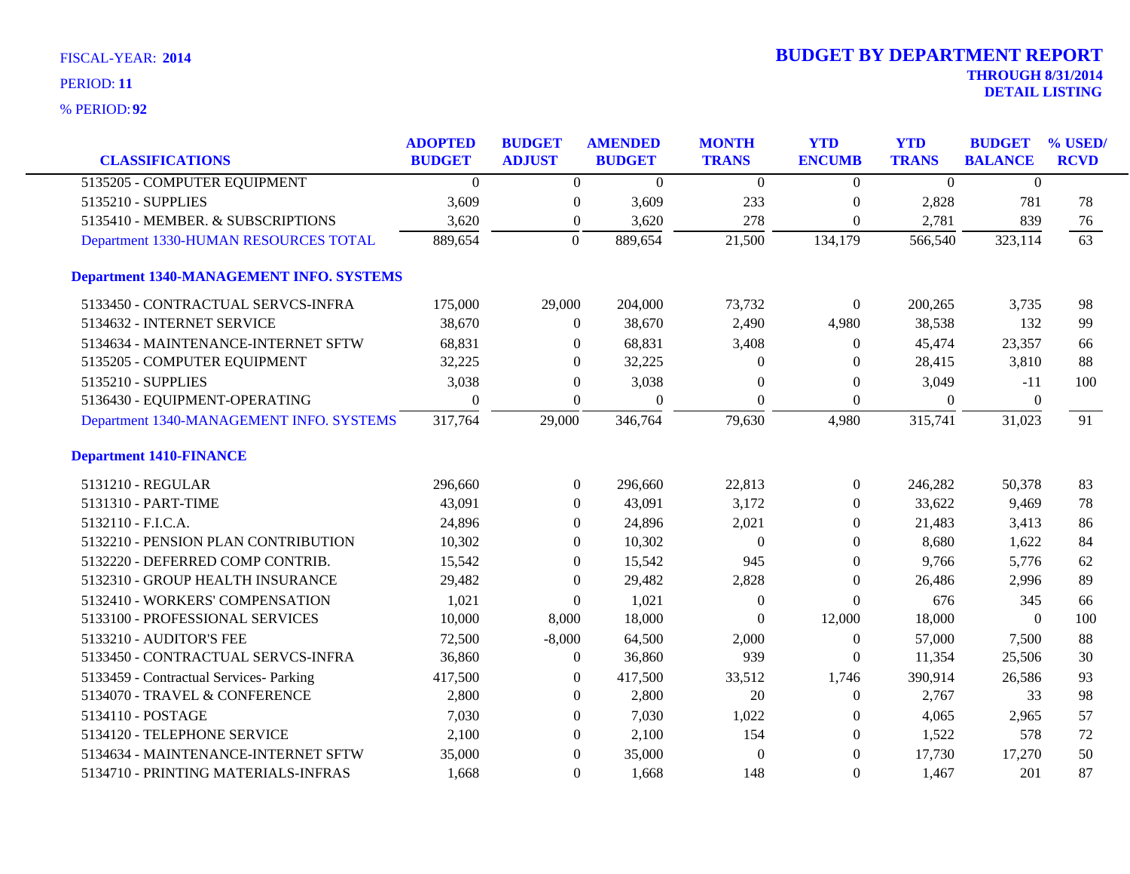| <b>CLASSIFICATIONS</b>                          | <b>ADOPTED</b><br><b>BUDGET</b> | <b>BUDGET</b><br><b>ADJUST</b> | <b>AMENDED</b><br><b>BUDGET</b> | <b>MONTH</b><br><b>TRANS</b> | <b>YTD</b><br><b>ENCUMB</b> | <b>YTD</b><br><b>TRANS</b> | <b>BUDGET</b><br><b>BALANCE</b> | % USED/<br><b>RCVD</b> |
|-------------------------------------------------|---------------------------------|--------------------------------|---------------------------------|------------------------------|-----------------------------|----------------------------|---------------------------------|------------------------|
| 5135205 - COMPUTER EQUIPMENT                    | $\theta$                        | $\overline{0}$                 | $\Omega$                        | $\Omega$                     | $\mathbf{0}$                | $\theta$                   | $\Omega$                        |                        |
| 5135210 - SUPPLIES                              | 3,609                           | $\boldsymbol{0}$               | 3,609                           | 233                          | $\boldsymbol{0}$            | 2,828                      | 781                             | 78                     |
| 5135410 - MEMBER. & SUBSCRIPTIONS               | 3,620                           | $\boldsymbol{0}$               | 3,620                           | 278                          | $\overline{0}$              | 2,781                      | 839                             | 76                     |
| Department 1330-HUMAN RESOURCES TOTAL           | 889,654                         | $\overline{0}$                 | 889,654                         | 21,500                       | 134,179                     | 566,540                    | 323,114                         | 63                     |
| <b>Department 1340-MANAGEMENT INFO. SYSTEMS</b> |                                 |                                |                                 |                              |                             |                            |                                 |                        |
| 5133450 - CONTRACTUAL SERVCS-INFRA              | 175,000                         | 29,000                         | 204,000                         | 73,732                       | $\boldsymbol{0}$            | 200,265                    | 3,735                           | 98                     |
| 5134632 - INTERNET SERVICE                      | 38,670                          | $\overline{0}$                 | 38,670                          | 2,490                        | 4,980                       | 38,538                     | 132                             | 99                     |
| 5134634 - MAINTENANCE-INTERNET SFTW             | 68,831                          | $\overline{0}$                 | 68,831                          | 3,408                        | $\mathbf{0}$                | 45,474                     | 23,357                          | 66                     |
| 5135205 - COMPUTER EQUIPMENT                    | 32,225                          | $\overline{0}$                 | 32,225                          | $\Omega$                     | $\Omega$                    | 28,415                     | 3,810                           | 88                     |
| 5135210 - SUPPLIES                              | 3,038                           | $\overline{0}$                 | 3,038                           | $\theta$                     | $\overline{0}$              | 3,049                      | $-11$                           | 100                    |
| 5136430 - EQUIPMENT-OPERATING                   | $\overline{0}$                  | $\overline{0}$                 | $\theta$                        | $\mathbf{0}$                 | $\boldsymbol{0}$            | $\overline{0}$             | $\theta$                        |                        |
| Department 1340-MANAGEMENT INFO. SYSTEMS        | 317,764                         | 29,000                         | 346,764                         | 79,630                       | 4,980                       | 315,741                    | 31,023                          | 91                     |
| <b>Department 1410-FINANCE</b>                  |                                 |                                |                                 |                              |                             |                            |                                 |                        |
| 5131210 - REGULAR                               | 296,660                         | $\boldsymbol{0}$               | 296,660                         | 22,813                       | $\boldsymbol{0}$            | 246,282                    | 50,378                          | 83                     |
| 5131310 - PART-TIME                             | 43,091                          | $\Omega$                       | 43,091                          | 3,172                        | $\Omega$                    | 33,622                     | 9,469                           | 78                     |
| 5132110 - F.I.C.A.                              | 24,896                          | $\overline{0}$                 | 24,896                          | 2,021                        | $\overline{0}$              | 21,483                     | 3,413                           | 86                     |
| 5132210 - PENSION PLAN CONTRIBUTION             | 10,302                          | $\theta$                       | 10,302                          | $\Omega$                     | $\Omega$                    | 8,680                      | 1,622                           | 84                     |
| 5132220 - DEFERRED COMP CONTRIB.                | 15,542                          | $\overline{0}$                 | 15,542                          | 945                          | 0                           | 9,766                      | 5,776                           | 62                     |
| 5132310 - GROUP HEALTH INSURANCE                | 29,482                          | $\overline{0}$                 | 29,482                          | 2,828                        | $\overline{0}$              | 26,486                     | 2,996                           | 89                     |
| 5132410 - WORKERS' COMPENSATION                 | 1,021                           | $\overline{0}$                 | 1,021                           | $\theta$                     | $\theta$                    | 676                        | 345                             | 66                     |
| 5133100 - PROFESSIONAL SERVICES                 | 10,000                          | 8,000                          | 18,000                          | $\theta$                     | 12,000                      | 18,000                     | $\Omega$                        | 100                    |
| 5133210 - AUDITOR'S FEE                         | 72,500                          | $-8,000$                       | 64,500                          | 2,000                        | $\mathbf{0}$                | 57,000                     | 7,500                           | 88                     |
| 5133450 - CONTRACTUAL SERVCS-INFRA              | 36,860                          | $\boldsymbol{0}$               | 36,860                          | 939                          | $\overline{0}$              | 11,354                     | 25,506                          | 30                     |
| 5133459 - Contractual Services- Parking         | 417,500                         | $\overline{0}$                 | 417,500                         | 33,512                       | 1,746                       | 390,914                    | 26,586                          | 93                     |
| 5134070 - TRAVEL & CONFERENCE                   | 2,800                           | $\overline{0}$                 | 2,800                           | 20                           | 0                           | 2,767                      | 33                              | 98                     |
| 5134110 - POSTAGE                               | 7,030                           | $\overline{0}$                 | 7,030                           | 1,022                        | $\theta$                    | 4,065                      | 2,965                           | 57                     |
| 5134120 - TELEPHONE SERVICE                     | 2,100                           | $\overline{0}$                 | 2,100                           | 154                          | $\mathbf{0}$                | 1,522                      | 578                             | 72                     |
| 5134634 - MAINTENANCE-INTERNET SFTW             | 35,000                          | $\overline{0}$                 | 35,000                          | $\theta$                     | $\overline{0}$              | 17,730                     | 17,270                          | 50                     |
| 5134710 - PRINTING MATERIALS-INFRAS             | 1,668                           | $\Omega$                       | 1,668                           | 148                          | $\theta$                    | 1,467                      | 201                             | 87                     |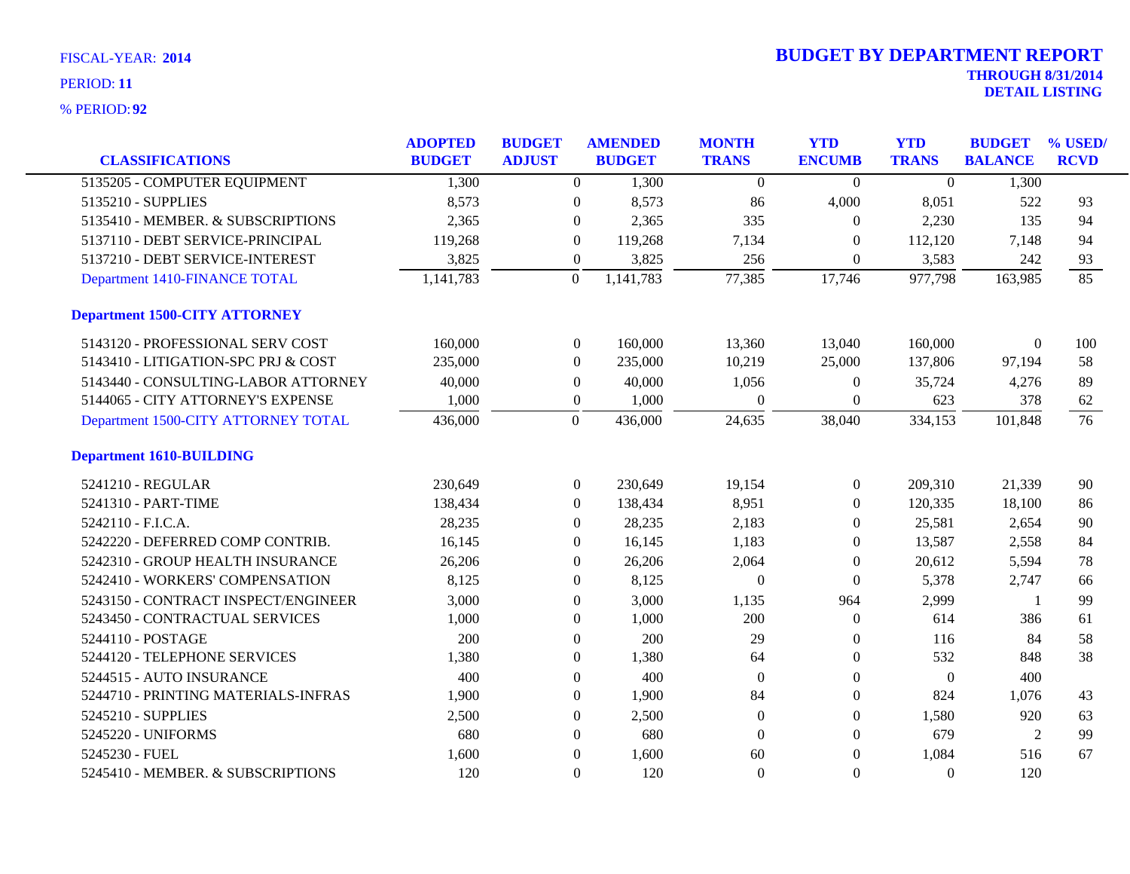| <b>CLASSIFICATIONS</b>               | <b>ADOPTED</b><br><b>BUDGET</b> | <b>BUDGET</b><br><b>ADJUST</b> |                  | <b>AMENDED</b><br><b>BUDGET</b> | <b>MONTH</b><br><b>TRANS</b> | <b>YTD</b><br><b>ENCUMB</b> | <b>YTD</b><br><b>TRANS</b> | <b>BUDGET</b><br><b>BALANCE</b> | % USED/<br><b>RCVD</b> |
|--------------------------------------|---------------------------------|--------------------------------|------------------|---------------------------------|------------------------------|-----------------------------|----------------------------|---------------------------------|------------------------|
| 5135205 - COMPUTER EQUIPMENT         | 1,300                           |                                | $\overline{0}$   | 1,300                           | $\overline{0}$               | $\theta$                    | $\overline{0}$             | 1,300                           |                        |
| 5135210 - SUPPLIES                   | 8,573                           |                                | $\boldsymbol{0}$ | 8,573                           | 86                           | 4,000                       | 8,051                      | 522                             | 93                     |
| 5135410 - MEMBER. & SUBSCRIPTIONS    | 2,365                           |                                | $\boldsymbol{0}$ | 2,365                           | 335                          | $\boldsymbol{0}$            | 2,230                      | 135                             | 94                     |
| 5137110 - DEBT SERVICE-PRINCIPAL     | 119,268                         |                                | $\overline{0}$   | 119,268                         | 7,134                        | $\theta$                    | 112,120                    | 7,148                           | 94                     |
| 5137210 - DEBT SERVICE-INTEREST      | 3,825                           |                                | $\boldsymbol{0}$ | 3,825                           | 256                          | $\overline{0}$              | 3,583                      | 242                             | 93                     |
| Department 1410-FINANCE TOTAL        | 1,141,783                       |                                | $\overline{0}$   | 1,141,783                       | 77,385                       | 17,746                      | 977,798                    | 163,985                         | 85                     |
| <b>Department 1500-CITY ATTORNEY</b> |                                 |                                |                  |                                 |                              |                             |                            |                                 |                        |
| 5143120 - PROFESSIONAL SERV COST     | 160,000                         |                                | $\overline{0}$   | 160,000                         | 13,360                       | 13,040                      | 160,000                    | $\theta$                        | 100                    |
| 5143410 - LITIGATION-SPC PRJ & COST  | 235,000                         |                                | $\overline{0}$   | 235,000                         | 10,219                       | 25,000                      | 137,806                    | 97,194                          | 58                     |
| 5143440 - CONSULTING-LABOR ATTORNEY  | 40,000                          |                                | $\boldsymbol{0}$ | 40,000                          | 1,056                        | $\boldsymbol{0}$            | 35,724                     | 4,276                           | 89                     |
| 5144065 - CITY ATTORNEY'S EXPENSE    | 1,000                           |                                | $\boldsymbol{0}$ | 1,000                           | $\Omega$                     | $\overline{0}$              | 623                        | 378                             | 62                     |
| Department 1500-CITY ATTORNEY TOTAL  | 436,000                         |                                | $\overline{0}$   | 436,000                         | 24,635                       | 38,040                      | 334,153                    | 101,848                         | 76                     |
| <b>Department 1610-BUILDING</b>      |                                 |                                |                  |                                 |                              |                             |                            |                                 |                        |
| 5241210 - REGULAR                    | 230,649                         |                                | $\overline{0}$   | 230,649                         | 19,154                       | $\boldsymbol{0}$            | 209,310                    | 21,339                          | 90                     |
| 5241310 - PART-TIME                  | 138,434                         |                                | $\overline{0}$   | 138,434                         | 8,951                        | $\overline{0}$              | 120,335                    | 18,100                          | 86                     |
| 5242110 - F.I.C.A.                   | 28,235                          |                                | $\overline{0}$   | 28,235                          | 2,183                        | $\overline{0}$              | 25,581                     | 2,654                           | 90                     |
| 5242220 - DEFERRED COMP CONTRIB.     | 16,145                          |                                | $\Omega$         | 16,145                          | 1,183                        | $\theta$                    | 13,587                     | 2,558                           | 84                     |
| 5242310 - GROUP HEALTH INSURANCE     | 26,206                          |                                | $\overline{0}$   | 26,206                          | 2,064                        | $\overline{0}$              | 20,612                     | 5,594                           | 78                     |
| 5242410 - WORKERS' COMPENSATION      | 8,125                           |                                | $\boldsymbol{0}$ | 8,125                           | $\theta$                     | $\boldsymbol{0}$            | 5,378                      | 2,747                           | 66                     |
| 5243150 - CONTRACT INSPECT/ENGINEER  | 3,000                           |                                | 0                | 3,000                           | 1,135                        | 964                         | 2,999                      | -1                              | 99                     |
| 5243450 - CONTRACTUAL SERVICES       | 1,000                           |                                | $\overline{0}$   | 1,000                           | 200                          | $\overline{0}$              | 614                        | 386                             | 61                     |
| 5244110 - POSTAGE                    | 200                             |                                | $\boldsymbol{0}$ | 200                             | 29                           | $\overline{0}$              | 116                        | 84                              | 58                     |
| 5244120 - TELEPHONE SERVICES         | 1,380                           |                                | $\overline{0}$   | 1,380                           | 64                           | $\overline{0}$              | 532                        | 848                             | 38                     |
| 5244515 - AUTO INSURANCE             | 400                             |                                | $\boldsymbol{0}$ | 400                             | $\theta$                     | $\boldsymbol{0}$            | $\mathbf{0}$               | 400                             |                        |
| 5244710 - PRINTING MATERIALS-INFRAS  | 1,900                           |                                | 0                | 1,900                           | 84                           | $\boldsymbol{0}$            | 824                        | 1,076                           | 43                     |
| 5245210 - SUPPLIES                   | 2,500                           |                                | $\overline{0}$   | 2,500                           | $\Omega$                     | $\overline{0}$              | 1,580                      | 920                             | 63                     |
| 5245220 - UNIFORMS                   | 680                             |                                | $\boldsymbol{0}$ | 680                             | $\Omega$                     | $\boldsymbol{0}$            | 679                        | $\overline{2}$                  | 99                     |
| 5245230 - FUEL                       | 1,600                           |                                | $\boldsymbol{0}$ | 1,600                           | 60                           | $\overline{0}$              | 1,084                      | 516                             | 67                     |
| 5245410 - MEMBER. & SUBSCRIPTIONS    | 120                             |                                | $\Omega$         | 120                             | $\theta$                     | $\mathbf{0}$                | $\Omega$                   | 120                             |                        |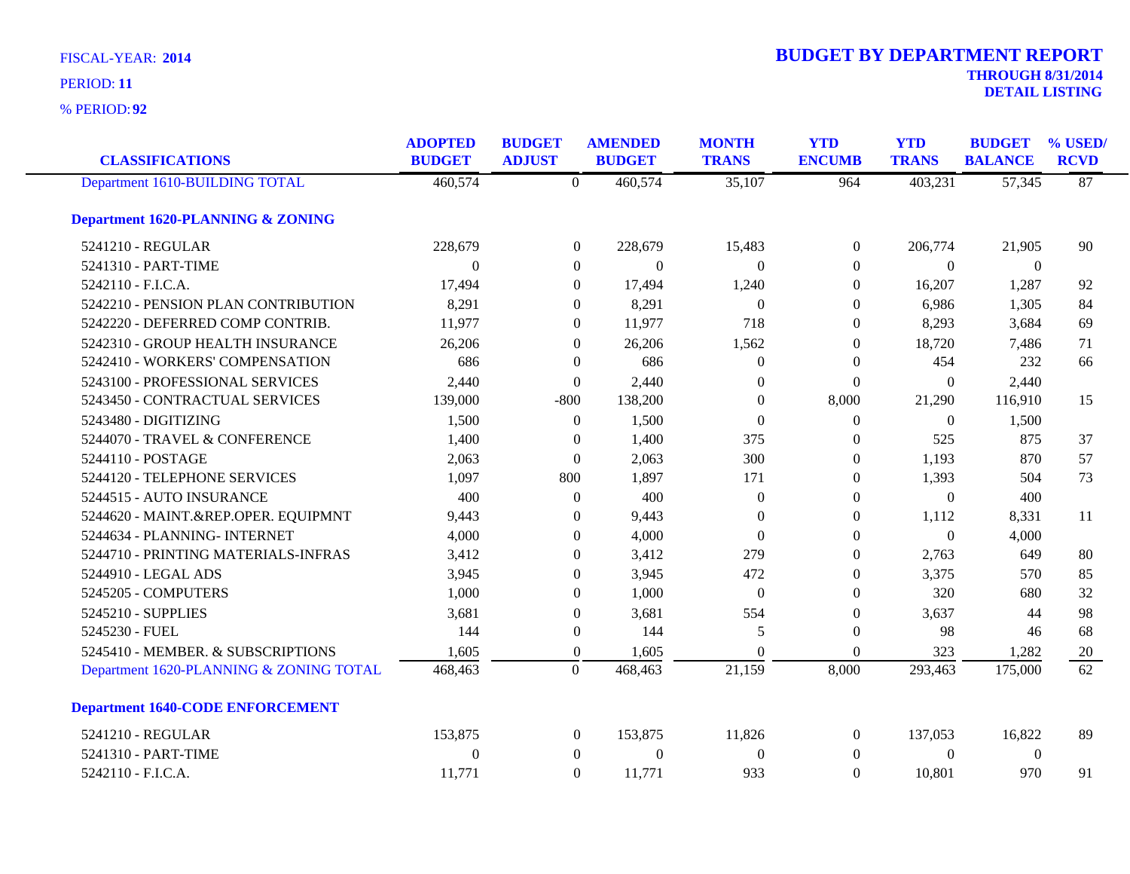| <b>FISCAL-YEAR: 2014</b> | <b>BUDGET BY DEPARTMENT REPORT</b> |
|--------------------------|------------------------------------|
| PERIOD: 11               | <b>THROUGH 8/31/2014</b>           |
|                          | <b>DETAIL LISTING</b>              |

| <b>CLASSIFICATIONS</b>                       | <b>ADOPTED</b><br><b>BUDGET</b> | <b>BUDGET</b><br><b>ADJUST</b> | <b>AMENDED</b><br><b>BUDGET</b> | <b>MONTH</b><br><b>TRANS</b> | <b>YTD</b><br><b>ENCUMB</b> | <b>YTD</b><br><b>TRANS</b> | <b>BUDGET</b><br><b>BALANCE</b> | % USED/<br><b>RCVD</b> |
|----------------------------------------------|---------------------------------|--------------------------------|---------------------------------|------------------------------|-----------------------------|----------------------------|---------------------------------|------------------------|
| Department 1610-BUILDING TOTAL               | 460,574                         | $\overline{0}$                 | 460,574                         | 35,107                       | 964                         | 403,231                    | 57,345                          | 87                     |
| <b>Department 1620-PLANNING &amp; ZONING</b> |                                 |                                |                                 |                              |                             |                            |                                 |                        |
| 5241210 - REGULAR                            | 228,679                         | $\boldsymbol{0}$               | 228,679                         | 15,483                       | $\boldsymbol{0}$            | 206,774                    | 21,905                          | 90                     |
| 5241310 - PART-TIME                          | $\Omega$                        | $\theta$                       | $\Omega$                        | $\Omega$                     | $\Omega$                    | $\theta$                   | $\theta$                        |                        |
| 5242110 - F.I.C.A.                           | 17,494                          | $\theta$                       | 17,494                          | 1,240                        | $\theta$                    | 16,207                     | 1,287                           | 92                     |
| 5242210 - PENSION PLAN CONTRIBUTION          | 8,291                           | $\theta$                       | 8,291                           | $\overline{0}$               | $\theta$                    | 6,986                      | 1,305                           | 84                     |
| 5242220 - DEFERRED COMP CONTRIB.             | 11,977                          | $\overline{0}$                 | 11,977                          | 718                          | $\theta$                    | 8,293                      | 3,684                           | 69                     |
| 5242310 - GROUP HEALTH INSURANCE             | 26,206                          | $\overline{0}$                 | 26,206                          | 1,562                        | $\overline{0}$              | 18,720                     | 7,486                           | 71                     |
| 5242410 - WORKERS' COMPENSATION              | 686                             | $\theta$                       | 686                             | $\theta$                     | $\overline{0}$              | 454                        | 232                             | 66                     |
| 5243100 - PROFESSIONAL SERVICES              | 2,440                           | $\theta$                       | 2,440                           | $\Omega$                     | $\Omega$                    | $\boldsymbol{0}$           | 2,440                           |                        |
| 5243450 - CONTRACTUAL SERVICES               | 139,000                         | $-800$                         | 138,200                         | $\mathbf{0}$                 | 8,000                       | 21,290                     | 116,910                         | 15                     |
| 5243480 - DIGITIZING                         | 1,500                           | $\overline{0}$                 | 1,500                           | $\Omega$                     | $\overline{0}$              | $\theta$                   | 1,500                           |                        |
| 5244070 - TRAVEL & CONFERENCE                | 1,400                           | $\Omega$                       | 1,400                           | 375                          | $\theta$                    | 525                        | 875                             | 37                     |
| 5244110 - POSTAGE                            | 2,063                           | $\overline{0}$                 | 2,063                           | 300                          | $\overline{0}$              | 1,193                      | 870                             | 57                     |
| 5244120 - TELEPHONE SERVICES                 | 1,097                           | 800                            | 1,897                           | 171                          | $\overline{0}$              | 1,393                      | 504                             | 73                     |
| 5244515 - AUTO INSURANCE                     | 400                             | $\theta$                       | 400                             | $\overline{0}$               | $\Omega$                    | $\overline{0}$             | 400                             |                        |
| 5244620 - MAINT.&REP.OPER. EQUIPMNT          | 9,443                           | $\theta$                       | 9,443                           | $\Omega$                     | $\theta$                    | 1,112                      | 8,331                           | 11                     |
| 5244634 - PLANNING- INTERNET                 | 4,000                           | $\Omega$                       | 4,000                           | $\Omega$                     | $\theta$                    | $\overline{0}$             | 4,000                           |                        |
| 5244710 - PRINTING MATERIALS-INFRAS          | 3,412                           | $\Omega$                       | 3,412                           | 279                          | $\Omega$                    | 2,763                      | 649                             | 80                     |
| 5244910 - LEGAL ADS                          | 3,945                           | $\theta$                       | 3,945                           | 472                          | $\theta$                    | 3,375                      | 570                             | 85                     |
| 5245205 - COMPUTERS                          | 1,000                           | $\theta$                       | 1,000                           | $\Omega$                     | $\Omega$                    | 320                        | 680                             | 32                     |
| 5245210 - SUPPLIES                           | 3,681                           | $\Omega$                       | 3,681                           | 554                          | $\Omega$                    | 3,637                      | 44                              | 98                     |
| 5245230 - FUEL                               | 144                             | $\boldsymbol{0}$               | 144                             | 5                            | $\theta$                    | 98                         | 46                              | 68                     |
| 5245410 - MEMBER. & SUBSCRIPTIONS            | 1,605                           | $\overline{0}$                 | 1,605                           | $\theta$                     | $\Omega$                    | 323                        | 1,282                           | 20                     |
| Department 1620-PLANNING & ZONING TOTAL      | 468,463                         | $\overline{0}$                 | 468,463                         | 21,159                       | 8,000                       | 293,463                    | 175,000                         | $\overline{62}$        |
| <b>Department 1640-CODE ENFORCEMENT</b>      |                                 |                                |                                 |                              |                             |                            |                                 |                        |
| 5241210 - REGULAR                            | 153,875                         | $\boldsymbol{0}$               | 153,875                         | 11,826                       | $\overline{0}$              | 137,053                    | 16,822                          | 89                     |
| 5241310 - PART-TIME                          | $\mathbf{0}$                    | $\theta$                       | $\boldsymbol{0}$                | $\boldsymbol{0}$             | $\overline{0}$              | $\overline{0}$             | $\mathbf{0}$                    |                        |
| 5242110 - F.I.C.A.                           | 11,771                          | $\Omega$                       | 11,771                          | 933                          | $\Omega$                    | 10,801                     | 970                             | 91                     |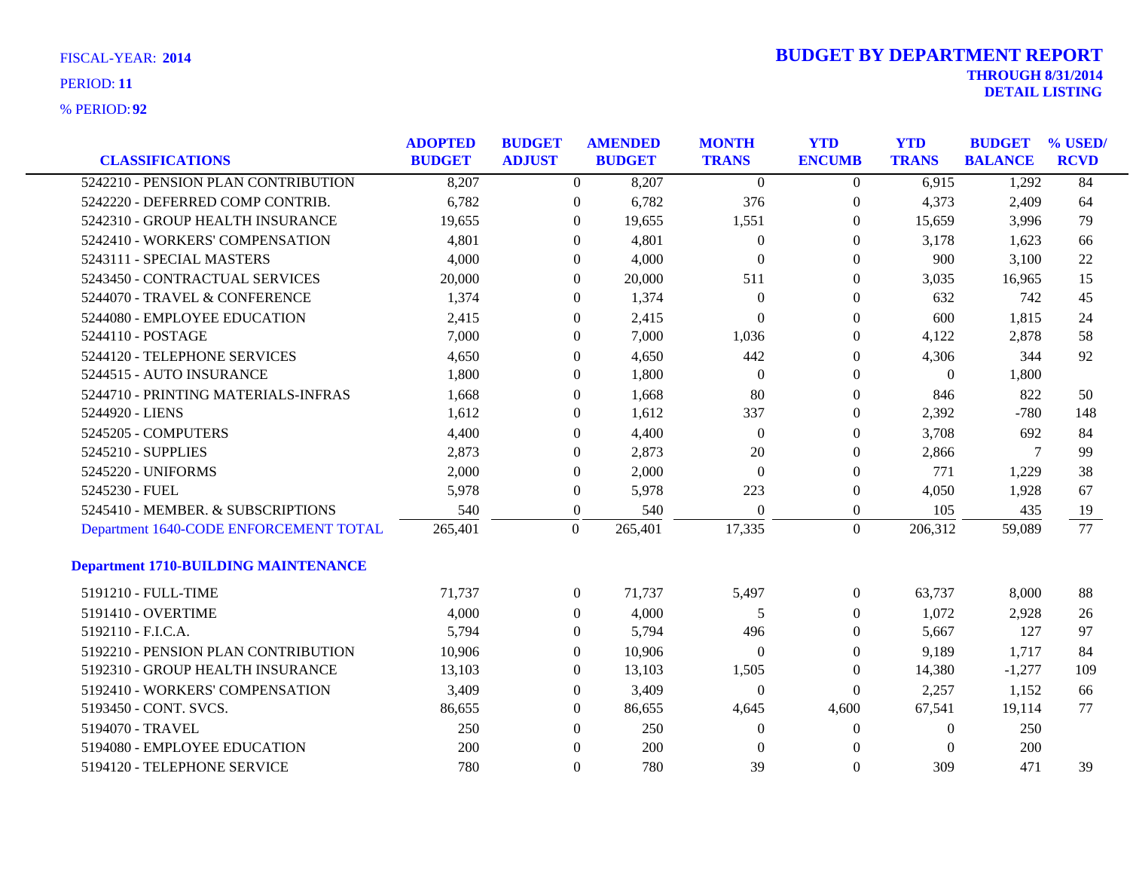| <b>CLASSIFICATIONS</b>                      | <b>ADOPTED</b><br><b>BUDGET</b> | <b>BUDGET</b><br><b>ADJUST</b> |                  | <b>AMENDED</b><br><b>BUDGET</b> | <b>MONTH</b><br><b>TRANS</b> | <b>YTD</b><br><b>ENCUMB</b> | <b>YTD</b><br><b>TRANS</b> | <b>BUDGET</b><br><b>BALANCE</b> | % USED/<br><b>RCVD</b> |
|---------------------------------------------|---------------------------------|--------------------------------|------------------|---------------------------------|------------------------------|-----------------------------|----------------------------|---------------------------------|------------------------|
| 5242210 - PENSION PLAN CONTRIBUTION         | 8,207                           |                                | $\overline{0}$   | 8,207                           | $\overline{0}$               | $\overline{0}$              | 6,915                      | 1,292                           | 84                     |
| 5242220 - DEFERRED COMP CONTRIB.            | 6,782                           |                                | $\boldsymbol{0}$ | 6,782                           | 376                          | $\boldsymbol{0}$            | 4,373                      | 2,409                           | 64                     |
| 5242310 - GROUP HEALTH INSURANCE            | 19,655                          |                                | $\mathbf{0}$     | 19,655                          | 1,551                        | $\boldsymbol{0}$            | 15,659                     | 3,996                           | 79                     |
| 5242410 - WORKERS' COMPENSATION             | 4,801                           |                                | $\overline{0}$   | 4,801                           | $\theta$                     | $\theta$                    | 3,178                      | 1,623                           | 66                     |
| 5243111 - SPECIAL MASTERS                   | 4,000                           |                                | 0                | 4,000                           | $\mathbf{0}$                 | $\boldsymbol{0}$            | 900                        | 3,100                           | 22                     |
| 5243450 - CONTRACTUAL SERVICES              | 20,000                          |                                | $\boldsymbol{0}$ | 20,000                          | 511                          | $\boldsymbol{0}$            | 3,035                      | 16,965                          | 15                     |
| 5244070 - TRAVEL & CONFERENCE               | 1,374                           |                                | $\mathbf{0}$     | 1,374                           | $\theta$                     | $\boldsymbol{0}$            | 632                        | 742                             | 45                     |
| 5244080 - EMPLOYEE EDUCATION                | 2,415                           |                                | $\overline{0}$   | 2,415                           | $\Omega$                     | $\theta$                    | 600                        | 1,815                           | 24                     |
| 5244110 - POSTAGE                           | 7,000                           |                                | 0                | 7,000                           | 1,036                        | $\boldsymbol{0}$            | 4,122                      | 2,878                           | 58                     |
| 5244120 - TELEPHONE SERVICES                | 4,650                           |                                | $\boldsymbol{0}$ | 4,650                           | 442                          | $\boldsymbol{0}$            | 4,306                      | 344                             | 92                     |
| 5244515 - AUTO INSURANCE                    | 1,800                           |                                | $\mathbf{0}$     | 1,800                           | $\boldsymbol{0}$             | $\boldsymbol{0}$            | $\boldsymbol{0}$           | 1,800                           |                        |
| 5244710 - PRINTING MATERIALS-INFRAS         | 1,668                           |                                | $\overline{0}$   | 1,668                           | 80                           | $\theta$                    | 846                        | 822                             | 50                     |
| 5244920 - LIENS                             | 1,612                           |                                | 0                | 1,612                           | 337                          | $\boldsymbol{0}$            | 2,392                      | $-780$                          | 148                    |
| 5245205 - COMPUTERS                         | 4,400                           |                                | $\boldsymbol{0}$ | 4,400                           | $\mathbf{0}$                 | $\boldsymbol{0}$            | 3,708                      | 692                             | 84                     |
| 5245210 - SUPPLIES                          | 2,873                           |                                | 0                | 2,873                           | 20                           | $\boldsymbol{0}$            | 2,866                      | 7                               | 99                     |
| 5245220 - UNIFORMS                          | 2,000                           |                                | $\overline{0}$   | 2,000                           | $\mathbf{0}$                 | $\theta$                    | 771                        | 1,229                           | 38                     |
| 5245230 - FUEL                              | 5,978                           |                                | $\boldsymbol{0}$ | 5,978                           | 223                          | $\boldsymbol{0}$            | 4,050                      | 1,928                           | 67                     |
| 5245410 - MEMBER. & SUBSCRIPTIONS           | 540                             |                                | $\overline{0}$   | 540                             | $\mathbf{0}$                 | $\overline{0}$              | 105                        | 435                             | 19                     |
| Department 1640-CODE ENFORCEMENT TOTAL      | 265,401                         |                                | $\boldsymbol{0}$ | 265,401                         | 17,335                       | $\mathbf{0}$                | 206,312                    | 59,089                          | 77                     |
| <b>Department 1710-BUILDING MAINTENANCE</b> |                                 |                                |                  |                                 |                              |                             |                            |                                 |                        |
| 5191210 - FULL-TIME                         | 71,737                          |                                | $\boldsymbol{0}$ | 71,737                          | 5,497                        | $\boldsymbol{0}$            | 63,737                     | 8,000                           | 88                     |
| 5191410 - OVERTIME                          | 4,000                           |                                | $\overline{0}$   | 4,000                           | 5                            | $\boldsymbol{0}$            | 1,072                      | 2,928                           | 26                     |
| 5192110 - F.I.C.A.                          | 5,794                           |                                | $\mathbf{0}$     | 5,794                           | 496                          | $\boldsymbol{0}$            | 5,667                      | 127                             | 97                     |
| 5192210 - PENSION PLAN CONTRIBUTION         | 10,906                          |                                | 0                | 10,906                          | $\mathbf{0}$                 | $\theta$                    | 9,189                      | 1,717                           | 84                     |
| 5192310 - GROUP HEALTH INSURANCE            | 13,103                          |                                | $\mathbf{0}$     | 13,103                          | 1,505                        | $\boldsymbol{0}$            | 14,380                     | $-1,277$                        | 109                    |
| 5192410 - WORKERS' COMPENSATION             | 3,409                           |                                | $\boldsymbol{0}$ | 3,409                           | $\boldsymbol{0}$             | $\boldsymbol{0}$            | 2,257                      | 1,152                           | 66                     |
| 5193450 - CONT. SVCS.                       | 86,655                          |                                | $\mathbf{0}$     | 86,655                          | 4,645                        | 4,600                       | 67,541                     | 19,114                          | 77                     |
| 5194070 - TRAVEL                            | 250                             |                                | $\overline{0}$   | 250                             | $\theta$                     | $\theta$                    | $\theta$                   | 250                             |                        |
| 5194080 - EMPLOYEE EDUCATION                | 200                             |                                | $\theta$         | 200                             | $\theta$                     | $\Omega$                    | $\Omega$                   | 200                             |                        |
| 5194120 - TELEPHONE SERVICE                 | 780                             |                                | $\overline{0}$   | 780                             | 39                           | $\Omega$                    | 309                        | 471                             | 39                     |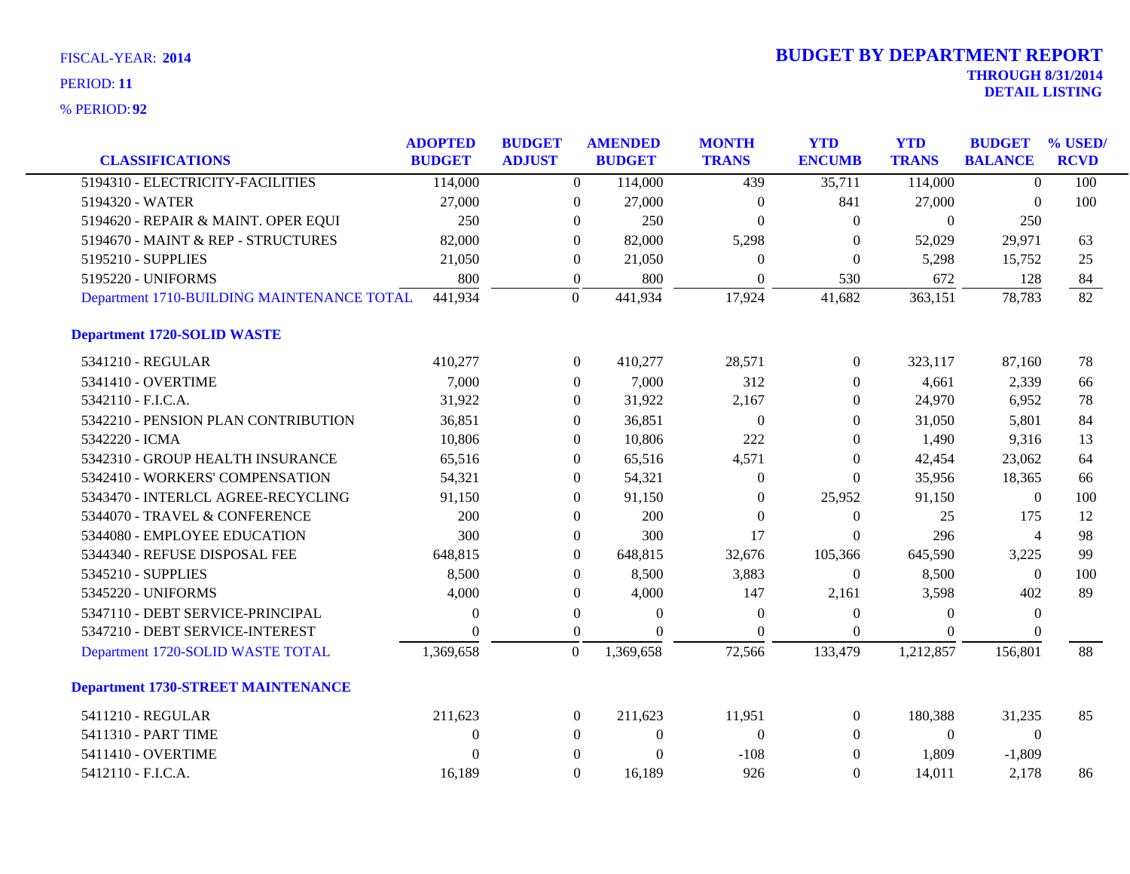|                                            | <b>ADOPTED</b> | <b>BUDGET</b> |                  | <b>AMENDED</b> | <b>MONTH</b>     | <b>YTD</b>     | <b>YTD</b>     | <b>BUDGET</b>    | % USED/         |
|--------------------------------------------|----------------|---------------|------------------|----------------|------------------|----------------|----------------|------------------|-----------------|
| <b>CLASSIFICATIONS</b>                     | <b>BUDGET</b>  | <b>ADJUST</b> |                  | <b>BUDGET</b>  | <b>TRANS</b>     | <b>ENCUMB</b>  | <b>TRANS</b>   | <b>BALANCE</b>   | <b>RCVD</b>     |
| 5194310 - ELECTRICITY-FACILITIES           | 114,000        |               | $\Omega$         | 114,000        | 439              | 35,711         | 114,000        | $\Omega$         | 100             |
| 5194320 - WATER                            | 27,000         |               | $\boldsymbol{0}$ | 27,000         | $\boldsymbol{0}$ | 841            | 27,000         | $\theta$         | 100             |
| 5194620 - REPAIR & MAINT. OPER EQUI        | 250            |               | $\theta$         | 250            | $\boldsymbol{0}$ | $\theta$       | $\overline{0}$ | 250              |                 |
| 5194670 - MAINT & REP - STRUCTURES         | 82,000         |               | $\Omega$         | 82,000         | 5,298            | $\Omega$       | 52,029         | 29,971           | 63              |
| 5195210 - SUPPLIES                         | 21,050         |               | $\theta$         | 21,050         | $\Omega$         | $\overline{0}$ | 5,298          | 15,752           | 25              |
| 5195220 - UNIFORMS                         | 800            |               | $\boldsymbol{0}$ | 800            | $\theta$         | 530            | 672            | 128              | 84              |
| Department 1710-BUILDING MAINTENANCE TOTAL | 441,934        |               | $\overline{0}$   | 441,934        | 17,924           | 41,682         | 363,151        | 78,783           | $\overline{82}$ |
| <b>Department 1720-SOLID WASTE</b>         |                |               |                  |                |                  |                |                |                  |                 |
| 5341210 - REGULAR                          | 410,277        |               | $\overline{0}$   | 410,277        | 28,571           | $\overline{0}$ | 323,117        | 87,160           | 78              |
| 5341410 - OVERTIME                         | 7,000          |               | $\theta$         | 7,000          | 312              | $\overline{0}$ | 4,661          | 2,339            | 66              |
| 5342110 - F.I.C.A.                         | 31,922         |               | $\theta$         | 31,922         | 2,167            | $\theta$       | 24,970         | 6,952            | 78              |
| 5342210 - PENSION PLAN CONTRIBUTION        | 36,851         |               | $\theta$         | 36,851         | $\theta$         | $\Omega$       | 31,050         | 5,801            | 84              |
| 5342220 - ICMA                             | 10,806         |               | $\theta$         | 10,806         | 222              | $\theta$       | 1,490          | 9,316            | 13              |
| 5342310 - GROUP HEALTH INSURANCE           | 65,516         |               | $\theta$         | 65,516         | 4,571            | $\theta$       | 42,454         | 23,062           | 64              |
| 5342410 - WORKERS' COMPENSATION            | 54,321         |               | $\mathbf{0}$     | 54,321         | $\theta$         | $\Omega$       | 35,956         | 18,365           | 66              |
| 5343470 - INTERLCL AGREE-RECYCLING         | 91,150         |               | $\mathbf{0}$     | 91,150         | $\theta$         | 25,952         | 91,150         | $\boldsymbol{0}$ | 100             |
| 5344070 - TRAVEL & CONFERENCE              | 200            |               | $\theta$         | 200            | $\Omega$         | $\theta$       | 25             | 175              | 12              |
| 5344080 - EMPLOYEE EDUCATION               | 300            |               | $\mathbf{0}$     | 300            | 17               | $\theta$       | 296            | $\overline{4}$   | 98              |
| 5344340 - REFUSE DISPOSAL FEE              | 648,815        |               | $\boldsymbol{0}$ | 648,815        | 32,676           | 105,366        | 645,590        | 3,225            | 99              |
| 5345210 - SUPPLIES                         | 8,500          |               | $\boldsymbol{0}$ | 8,500          | 3,883            | $\overline{0}$ | 8,500          | $\mathbf{0}$     | 100             |
| 5345220 - UNIFORMS                         | 4,000          |               | $\theta$         | 4,000          | 147              | 2,161          | 3,598          | 402              | 89              |
| 5347110 - DEBT SERVICE-PRINCIPAL           | $\theta$       |               | $\boldsymbol{0}$ | $\theta$       | $\overline{0}$   | $\theta$       | $\Omega$       | $\theta$         |                 |
| 5347210 - DEBT SERVICE-INTEREST            | $\Omega$       |               | $\theta$         | $\Omega$       | $\Omega$         | $\theta$       | $\Omega$       | $\Omega$         |                 |
| Department 1720-SOLID WASTE TOTAL          | 1,369,658      |               | $\mathbf{0}$     | 1,369,658      | 72,566           | 133,479        | 1,212,857      | 156,801          | 88              |
| <b>Department 1730-STREET MAINTENANCE</b>  |                |               |                  |                |                  |                |                |                  |                 |
| 5411210 - REGULAR                          | 211,623        |               | $\mathbf{0}$     | 211,623        | 11,951           | $\overline{0}$ | 180,388        | 31,235           | 85              |
| 5411310 - PART TIME                        | $\mathbf{0}$   |               | $\theta$         | $\overline{0}$ | $\overline{0}$   | $\theta$       | $\overline{0}$ | $\mathbf{0}$     |                 |
| 5411410 - OVERTIME                         | $\Omega$       |               | $\mathbf{0}$     | $\theta$       | $-108$           | $\overline{0}$ | 1,809          | $-1,809$         |                 |
| 5412110 - F.I.C.A.                         | 16,189         |               | $\Omega$         | 16,189         | 926              | $\Omega$       | 14,011         | 2,178            | 86              |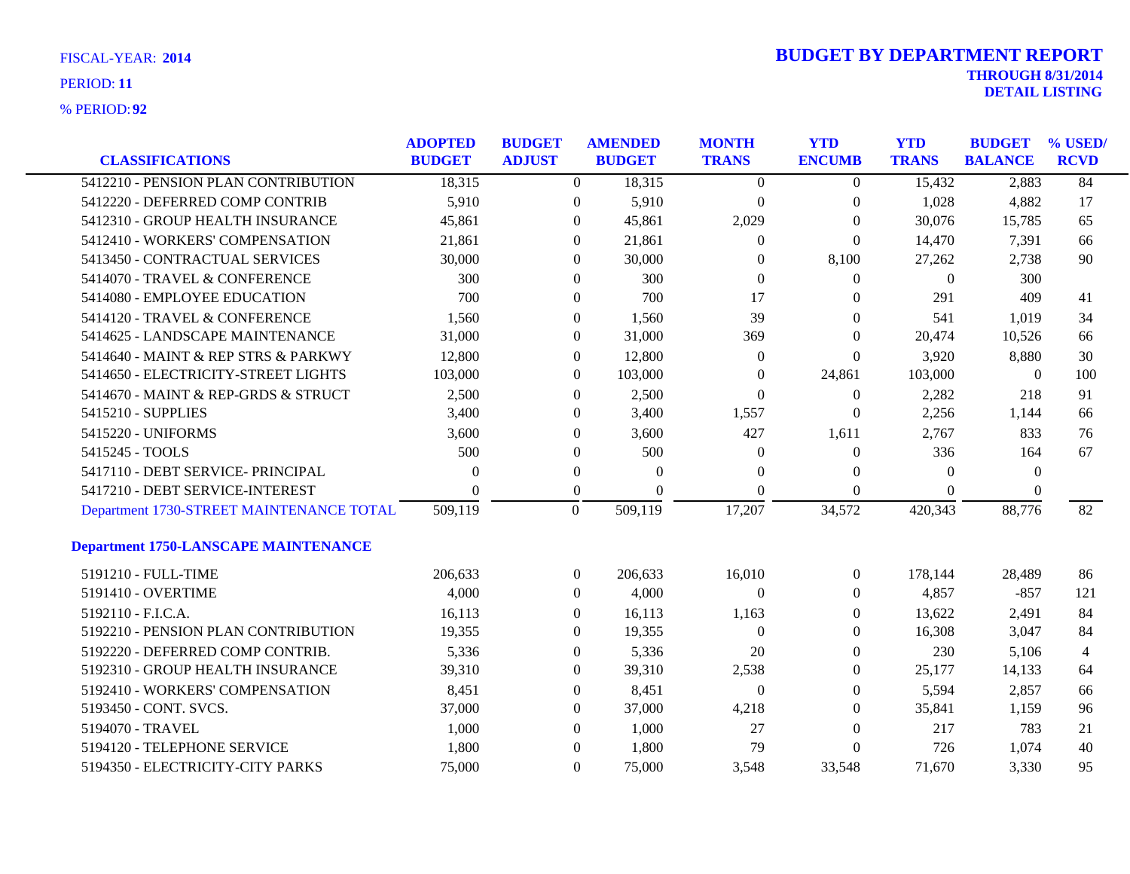| FISCAL-YEAR: 2014   |
|---------------------|
| PERIOD: 11          |
| <b>% PERIOD: 92</b> |

| <b>CLASSIFICATIONS</b>                      | <b>ADOPTED</b><br><b>BUDGET</b> | <b>BUDGET</b><br><b>ADJUST</b> |                  | <b>AMENDED</b><br><b>BUDGET</b> | <b>MONTH</b><br><b>TRANS</b> | <b>YTD</b><br><b>ENCUMB</b> | <b>YTD</b><br><b>TRANS</b> | <b>BUDGET</b><br><b>BALANCE</b> | % USED/<br><b>RCVD</b> |
|---------------------------------------------|---------------------------------|--------------------------------|------------------|---------------------------------|------------------------------|-----------------------------|----------------------------|---------------------------------|------------------------|
| 5412210 - PENSION PLAN CONTRIBUTION         | 18,315                          |                                | $\Omega$         | 18,315                          | $\theta$                     | $\Omega$                    | 15,432                     | 2,883                           | 84                     |
| 5412220 - DEFERRED COMP CONTRIB             | 5,910                           |                                | $\overline{0}$   | 5,910                           | $\boldsymbol{0}$             | $\mathbf{0}$                | 1,028                      | 4,882                           | 17                     |
| 5412310 - GROUP HEALTH INSURANCE            | 45,861                          |                                | $\overline{0}$   | 45,861                          | 2,029                        | $\theta$                    | 30,076                     | 15,785                          | 65                     |
| 5412410 - WORKERS' COMPENSATION             | 21,861                          |                                | $\Omega$         | 21,861                          | $\Omega$                     | $\overline{0}$              | 14,470                     | 7,391                           | 66                     |
| 5413450 - CONTRACTUAL SERVICES              | 30,000                          |                                | $\Omega$         | 30,000                          | $\Omega$                     | 8,100                       | 27,262                     | 2,738                           | 90                     |
| 5414070 - TRAVEL & CONFERENCE               | 300                             |                                | $\overline{0}$   | 300                             | $\Omega$                     | $\theta$                    | $\boldsymbol{0}$           | 300                             |                        |
| 5414080 - EMPLOYEE EDUCATION                | 700                             |                                | $\overline{0}$   | 700                             | 17                           | $\Omega$                    | 291                        | 409                             | 41                     |
| 5414120 - TRAVEL & CONFERENCE               | 1,560                           |                                | $\overline{0}$   | 1,560                           | 39                           | $\theta$                    | 541                        | 1,019                           | 34                     |
| 5414625 - LANDSCAPE MAINTENANCE             | 31,000                          |                                | $\overline{0}$   | 31,000                          | 369                          | $\theta$                    | 20,474                     | 10,526                          | 66                     |
| 5414640 - MAINT & REP STRS & PARKWY         | 12,800                          |                                | $\Omega$         | 12,800                          | $\mathbf{0}$                 | $\Omega$                    | 3,920                      | 8,880                           | 30                     |
| 5414650 - ELECTRICITY-STREET LIGHTS         | 103,000                         |                                | $\overline{0}$   | 103,000                         | $\theta$                     | 24,861                      | 103,000                    | $\mathbf{0}$                    | 100                    |
| 5414670 - MAINT & REP-GRDS & STRUCT         | 2,500                           |                                | $\Omega$         | 2,500                           | $\Omega$                     | $\overline{0}$              | 2,282                      | 218                             | 91                     |
| 5415210 - SUPPLIES                          | 3,400                           |                                | $\Omega$         | 3,400                           | 1,557                        | $\Omega$                    | 2,256                      | 1,144                           | 66                     |
| 5415220 - UNIFORMS                          | 3,600                           |                                | $\overline{0}$   | 3,600                           | 427                          | 1,611                       | 2,767                      | 833                             | 76                     |
| 5415245 - TOOLS                             | 500                             |                                | $\overline{0}$   | 500                             | 0                            | $\mathbf{0}$                | 336                        | 164                             | 67                     |
| 5417110 - DEBT SERVICE- PRINCIPAL           | $\theta$                        |                                | $\overline{0}$   | $\Omega$                        | $\Omega$                     | $\bf{0}$                    | $\Omega$                   | $\mathbf{0}$                    |                        |
| 5417210 - DEBT SERVICE-INTEREST             | $\Omega$                        |                                | $\boldsymbol{0}$ | $\Omega$                        | $\Omega$                     | $\theta$                    | $\Omega$                   | 0                               |                        |
| Department 1730-STREET MAINTENANCE TOTAL    | 509,119                         | $\boldsymbol{0}$               |                  | 509,119                         | 17,207                       | 34,572                      | 420,343                    | 88,776                          | 82                     |
| <b>Department 1750-LANSCAPE MAINTENANCE</b> |                                 |                                |                  |                                 |                              |                             |                            |                                 |                        |
| 5191210 - FULL-TIME                         | 206,633                         |                                | $\theta$         | 206,633                         | 16,010                       | $\overline{0}$              | 178,144                    | 28,489                          | 86                     |
| 5191410 - OVERTIME                          | 4,000                           |                                | $\overline{0}$   | 4,000                           | $\overline{0}$               | $\theta$                    | 4,857                      | $-857$                          | 121                    |
| 5192110 - F.I.C.A.                          | 16,113                          |                                | $\overline{0}$   | 16,113                          | 1,163                        | $\theta$                    | 13,622                     | 2,491                           | 84                     |
| 5192210 - PENSION PLAN CONTRIBUTION         | 19,355                          |                                | $\overline{0}$   | 19,355                          | $\theta$                     | $\mathbf{0}$                | 16,308                     | 3,047                           | 84                     |
| 5192220 - DEFERRED COMP CONTRIB.            | 5,336                           |                                | $\Omega$         | 5,336                           | 20                           | $\theta$                    | 230                        | 5,106                           | 4                      |
| 5192310 - GROUP HEALTH INSURANCE            | 39,310                          |                                | $\overline{0}$   | 39,310                          | 2,538                        | $\theta$                    | 25,177                     | 14,133                          | 64                     |
| 5192410 - WORKERS' COMPENSATION             | 8,451                           |                                | $\overline{0}$   | 8,451                           | $\theta$                     | $\mathbf{0}$                | 5,594                      | 2,857                           | 66                     |
| 5193450 - CONT. SVCS.                       | 37,000                          |                                | 0                | 37,000                          | 4,218                        | $\theta$                    | 35,841                     | 1,159                           | 96                     |
| 5194070 - TRAVEL                            | 1,000                           |                                | $\Omega$         | 1,000                           | 27                           | $\Omega$                    | 217                        | 783                             | 21                     |
| 5194120 - TELEPHONE SERVICE                 | 1,800                           |                                | $\overline{0}$   | 1,800                           | 79                           | $\Omega$                    | 726                        | 1,074                           | 40                     |
| 5194350 - ELECTRICITY-CITY PARKS            | 75,000                          |                                | $\Omega$         | 75,000                          | 3,548                        | 33,548                      | 71,670                     | 3,330                           | 95                     |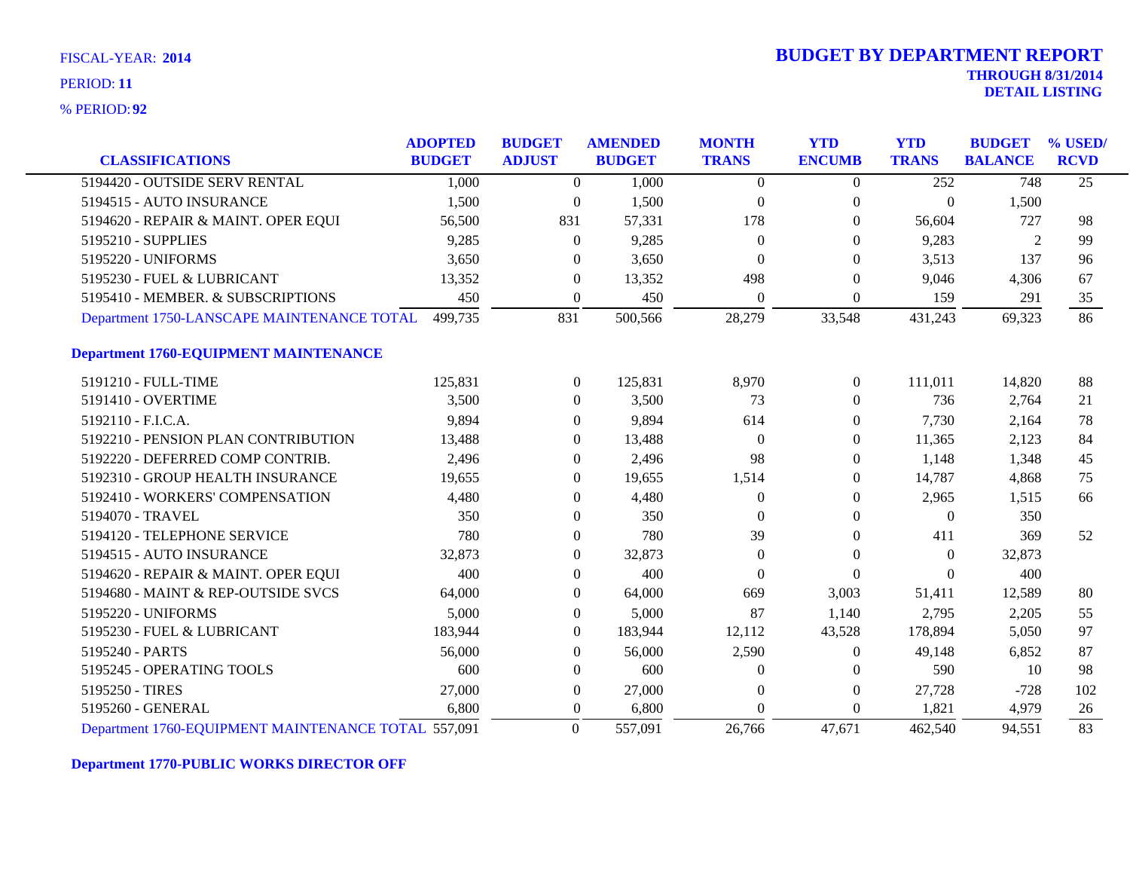**92** % PERIOD:

|                                                     | <b>ADOPTED</b> | <b>BUDGET</b>    | <b>AMENDED</b> | <b>MONTH</b>     | <b>YTD</b>       | <b>YTD</b>   | <b>BUDGET</b>  | % USED/         |
|-----------------------------------------------------|----------------|------------------|----------------|------------------|------------------|--------------|----------------|-----------------|
| <b>CLASSIFICATIONS</b>                              | <b>BUDGET</b>  | <b>ADJUST</b>    | <b>BUDGET</b>  | <b>TRANS</b>     | <b>ENCUMB</b>    | <b>TRANS</b> | <b>BALANCE</b> | <b>RCVD</b>     |
| 5194420 - OUTSIDE SERV RENTAL                       | 1,000          | $\theta$         | 1,000          | $\Omega$         | $\overline{0}$   | 252          | 748            | $\overline{25}$ |
| 5194515 - AUTO INSURANCE                            | 1,500          | $\overline{0}$   | 1,500          | $\theta$         | $\overline{0}$   | $\Omega$     | 1,500          |                 |
| 5194620 - REPAIR & MAINT. OPER EQUI                 | 56,500         | 831              | 57,331         | 178              | $\Omega$         | 56,604       | 727            | 98              |
| 5195210 - SUPPLIES                                  | 9,285          | $\theta$         | 9,285          | $\Omega$         | $\theta$         | 9,283        | 2              | 99              |
| 5195220 - UNIFORMS                                  | 3,650          | 0                | 3,650          | $\Omega$         | $\theta$         | 3,513        | 137            | 96              |
| 5195230 - FUEL & LUBRICANT                          | 13,352         | $\overline{0}$   | 13,352         | 498              | $\overline{0}$   | 9,046        | 4,306          | 67              |
| 5195410 - MEMBER. & SUBSCRIPTIONS                   | 450            | $\Omega$         | 450            | $\Omega$         | $\theta$         | 159          | 291            | 35              |
| Department 1750-LANSCAPE MAINTENANCE TOTAL          | 499,735        | 831              | 500,566        | 28,279           | 33,548           | 431,243      | 69,323         | 86              |
| <b>Department 1760-EQUIPMENT MAINTENANCE</b>        |                |                  |                |                  |                  |              |                |                 |
| 5191210 - FULL-TIME                                 | 125,831        | $\overline{0}$   | 125,831        | 8,970            | $\boldsymbol{0}$ | 111,011      | 14,820         | 88              |
| 5191410 - OVERTIME                                  | 3,500          | $\overline{0}$   | 3,500          | 73               | $\overline{0}$   | 736          | 2,764          | 21              |
| 5192110 - F.I.C.A.                                  | 9,894          | 0                | 9,894          | 614              | $\overline{0}$   | 7,730        | 2,164          | 78              |
| 5192210 - PENSION PLAN CONTRIBUTION                 | 13,488         | $\overline{0}$   | 13,488         | $\boldsymbol{0}$ | $\boldsymbol{0}$ | 11,365       | 2,123          | 84              |
| 5192220 - DEFERRED COMP CONTRIB.                    | 2,496          | $\Omega$         | 2,496          | 98               | $\theta$         | 1,148        | 1,348          | 45              |
| 5192310 - GROUP HEALTH INSURANCE                    | 19,655         | $\overline{0}$   | 19,655         | 1,514            | $\Omega$         | 14,787       | 4,868          | 75              |
| 5192410 - WORKERS' COMPENSATION                     | 4,480          | $\theta$         | 4,480          | $\theta$         | $\theta$         | 2,965        | 1,515          | 66              |
| 5194070 - TRAVEL                                    | 350            | $\overline{0}$   | 350            | $\Omega$         | $\theta$         | $\theta$     | 350            |                 |
| 5194120 - TELEPHONE SERVICE                         | 780            | $\overline{0}$   | 780            | 39               | $\overline{0}$   | 411          | 369            | 52              |
| 5194515 - AUTO INSURANCE                            | 32,873         | $\overline{0}$   | 32,873         | $\theta$         | $\overline{0}$   | $\theta$     | 32,873         |                 |
| 5194620 - REPAIR & MAINT. OPER EQUI                 | 400            | $\overline{0}$   | 400            | $\theta$         | $\Omega$         | $\Omega$     | 400            |                 |
| 5194680 - MAINT & REP-OUTSIDE SVCS                  | 64,000         | $\overline{0}$   | 64,000         | 669              | 3,003            | 51,411       | 12,589         | 80              |
| 5195220 - UNIFORMS                                  | 5,000          | $\Omega$         | 5,000          | 87               | 1,140            | 2,795        | 2,205          | 55              |
| 5195230 - FUEL & LUBRICANT                          | 183,944        | $\overline{0}$   | 183,944        | 12,112           | 43,528           | 178,894      | 5,050          | 97              |
| 5195240 - PARTS                                     | 56,000         | $\overline{0}$   | 56,000         | 2,590            | $\boldsymbol{0}$ | 49,148       | 6,852          | 87              |
| 5195245 - OPERATING TOOLS                           | 600            | $\overline{0}$   | 600            | $\Omega$         | $\overline{0}$   | 590          | 10             | 98              |
| 5195250 - TIRES                                     | 27,000         | $\boldsymbol{0}$ | 27,000         | $\theta$         | $\overline{0}$   | 27,728       | $-728$         | 102             |
| 5195260 - GENERAL                                   | 6,800          | $\overline{0}$   | 6,800          | $\Omega$         | $\Omega$         | 1,821        | 4,979          | 26              |
| Department 1760-EQUIPMENT MAINTENANCE TOTAL 557,091 |                | $\Omega$         | 557,091        | 26,766           | 47,671           | 462,540      | 94,551         | 83              |

**Department 1770-PUBLIC WORKS DIRECTOR OFF**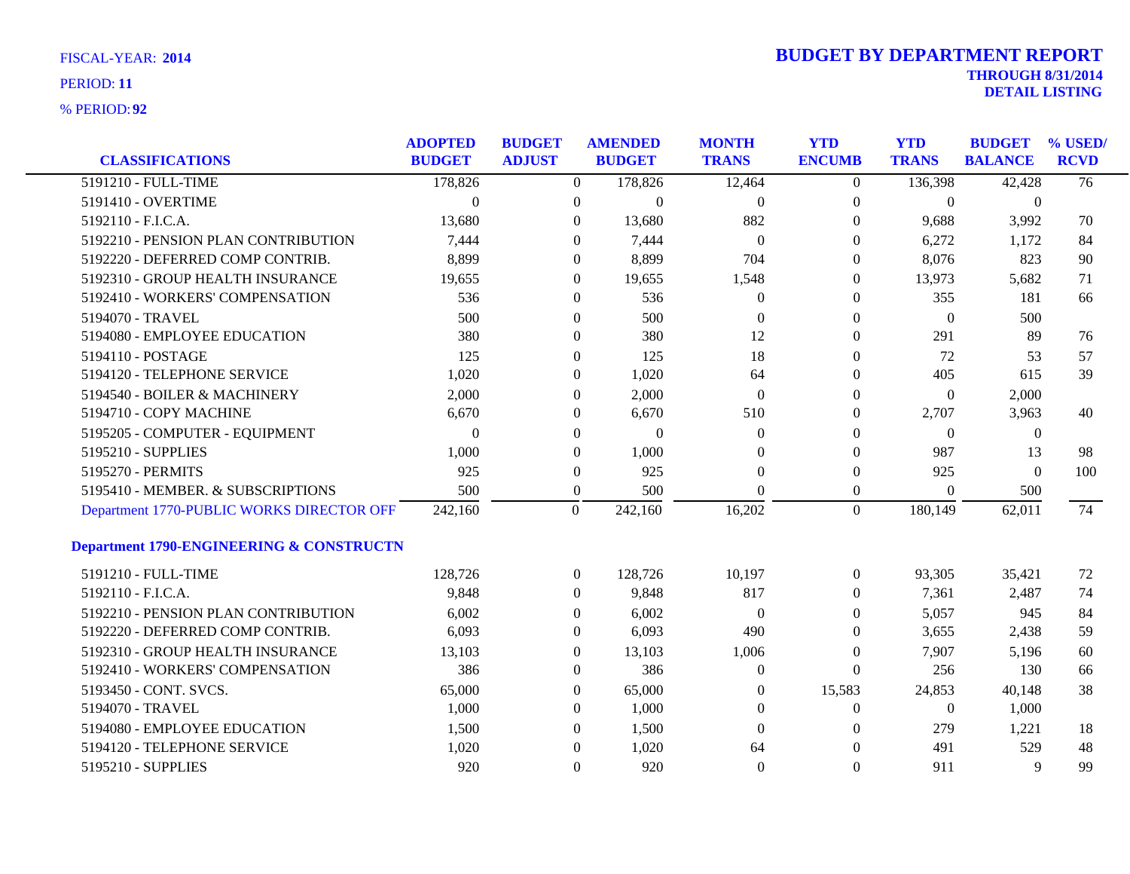| <b>CLASSIFICATIONS</b>                              | <b>ADOPTED</b><br><b>BUDGET</b> | <b>BUDGET</b><br><b>ADJUST</b> |                  | <b>AMENDED</b><br><b>BUDGET</b> | <b>MONTH</b><br><b>TRANS</b> | <b>YTD</b><br><b>ENCUMB</b> | <b>YTD</b><br><b>TRANS</b> | <b>BUDGET</b><br><b>BALANCE</b> | % USED/<br><b>RCVD</b> |
|-----------------------------------------------------|---------------------------------|--------------------------------|------------------|---------------------------------|------------------------------|-----------------------------|----------------------------|---------------------------------|------------------------|
| 5191210 - FULL-TIME                                 | 178,826                         |                                | $\overline{0}$   | 178,826                         | 12,464                       | $\overline{0}$              | 136,398                    | 42,428                          | $\overline{76}$        |
| 5191410 - OVERTIME                                  | $\overline{0}$                  |                                | $\overline{0}$   | $\boldsymbol{0}$                | $\boldsymbol{0}$             | $\boldsymbol{0}$            | $\boldsymbol{0}$           | $\boldsymbol{0}$                |                        |
| 5192110 - F.I.C.A.                                  | 13,680                          |                                | $\theta$         | 13,680                          | 882                          | $\theta$                    | 9,688                      | 3,992                           | 70                     |
| 5192210 - PENSION PLAN CONTRIBUTION                 | 7,444                           |                                | $\Omega$         | 7,444                           | $\overline{0}$               | 0                           | 6,272                      | 1,172                           | 84                     |
| 5192220 - DEFERRED COMP CONTRIB.                    | 8,899                           |                                | $\theta$         | 8,899                           | 704                          | $\theta$                    | 8,076                      | 823                             | 90                     |
| 5192310 - GROUP HEALTH INSURANCE                    | 19,655                          |                                | $\boldsymbol{0}$ | 19,655                          | 1,548                        | $\overline{0}$              | 13,973                     | 5,682                           | 71                     |
| 5192410 - WORKERS' COMPENSATION                     | 536                             |                                | $\theta$         | 536                             | 0                            | $\overline{0}$              | 355                        | 181                             | 66                     |
| 5194070 - TRAVEL                                    | 500                             |                                | $\overline{0}$   | 500                             | $\Omega$                     | $\Omega$                    | $\overline{0}$             | 500                             |                        |
| 5194080 - EMPLOYEE EDUCATION                        | 380                             |                                | $\theta$         | 380                             | 12                           | $\theta$                    | 291                        | 89                              | 76                     |
| 5194110 - POSTAGE                                   | 125                             |                                | $\boldsymbol{0}$ | 125                             | 18                           | $\overline{0}$              | 72                         | 53                              | 57                     |
| 5194120 - TELEPHONE SERVICE                         | 1,020                           |                                | $\theta$         | 1,020                           | 64                           | $\theta$                    | 405                        | 615                             | 39                     |
| 5194540 - BOILER & MACHINERY                        | 2,000                           |                                | $\overline{0}$   | 2,000                           | $\Omega$                     | $\Omega$                    | $\theta$                   | 2,000                           |                        |
| 5194710 - COPY MACHINE                              | 6,670                           |                                | $\theta$         | 6,670                           | 510                          | $\theta$                    | 2,707                      | 3,963                           | 40                     |
| 5195205 - COMPUTER - EQUIPMENT                      | $\Omega$                        |                                | $\boldsymbol{0}$ | $\Omega$                        | $\theta$                     | $\overline{0}$              | $\overline{0}$             | $\boldsymbol{0}$                |                        |
| 5195210 - SUPPLIES                                  | 1,000                           |                                | $\theta$         | 1,000                           | $\Omega$                     | $\theta$                    | 987                        | 13                              | 98                     |
| 5195270 - PERMITS                                   | 925                             |                                | $\overline{0}$   | 925                             | $\theta$                     | $\mathbf{0}$                | 925                        | $\theta$                        | 100                    |
| 5195410 - MEMBER. & SUBSCRIPTIONS                   | 500                             |                                | $\overline{0}$   | 500                             | $\Omega$                     | $\boldsymbol{0}$            | $\theta$                   | 500                             |                        |
| Department 1770-PUBLIC WORKS DIRECTOR OFF           | 242,160                         |                                | $\overline{0}$   | 242,160                         | 16,202                       | $\overline{0}$              | 180,149                    | 62,011                          | 74                     |
| <b>Department 1790-ENGINEERING &amp; CONSTRUCTN</b> |                                 |                                |                  |                                 |                              |                             |                            |                                 |                        |
| 5191210 - FULL-TIME                                 | 128,726                         |                                | $\overline{0}$   | 128,726                         | 10,197                       | $\overline{0}$              | 93,305                     | 35,421                          | 72                     |
| 5192110 - F.I.C.A.                                  | 9,848                           |                                | $\overline{0}$   | 9,848                           | 817                          | $\theta$                    | 7,361                      | 2,487                           | 74                     |
| 5192210 - PENSION PLAN CONTRIBUTION                 | 6,002                           |                                | $\overline{0}$   | 6,002                           | $\mathbf{0}$                 | $\overline{0}$              | 5,057                      | 945                             | 84                     |
| 5192220 - DEFERRED COMP CONTRIB.                    | 6,093                           |                                | $\theta$         | 6,093                           | 490                          | 0                           | 3,655                      | 2,438                           | 59                     |
| 5192310 - GROUP HEALTH INSURANCE                    | 13,103                          |                                | $\overline{0}$   | 13,103                          | 1,006                        | $\Omega$                    | 7,907                      | 5,196                           | 60                     |
| 5192410 - WORKERS' COMPENSATION                     | 386                             |                                | $\overline{0}$   | 386                             | $\Omega$                     | $\theta$                    | 256                        | 130                             | 66                     |
| 5193450 - CONT. SVCS.                               | 65,000                          |                                | $\boldsymbol{0}$ | 65,000                          | $\theta$                     | 15,583                      | 24,853                     | 40,148                          | 38                     |
| 5194070 - TRAVEL                                    | 1,000                           |                                | $\overline{0}$   | 1,000                           | $\Omega$                     | $\mathbf{0}$                | $\overline{0}$             | 1,000                           |                        |
| 5194080 - EMPLOYEE EDUCATION                        | 1,500                           |                                | $\Omega$         | 1,500                           | $\Omega$                     | $\Omega$                    | 279                        | 1,221                           | 18                     |
| 5194120 - TELEPHONE SERVICE                         | 1,020                           |                                | $\mathbf{0}$     | 1,020                           | 64                           | $\Omega$                    | 491                        | 529                             | 48                     |
| 5195210 - SUPPLIES                                  | 920                             |                                | $\Omega$         | 920                             | $\Omega$                     | $\Omega$                    | 911                        | 9                               | 99                     |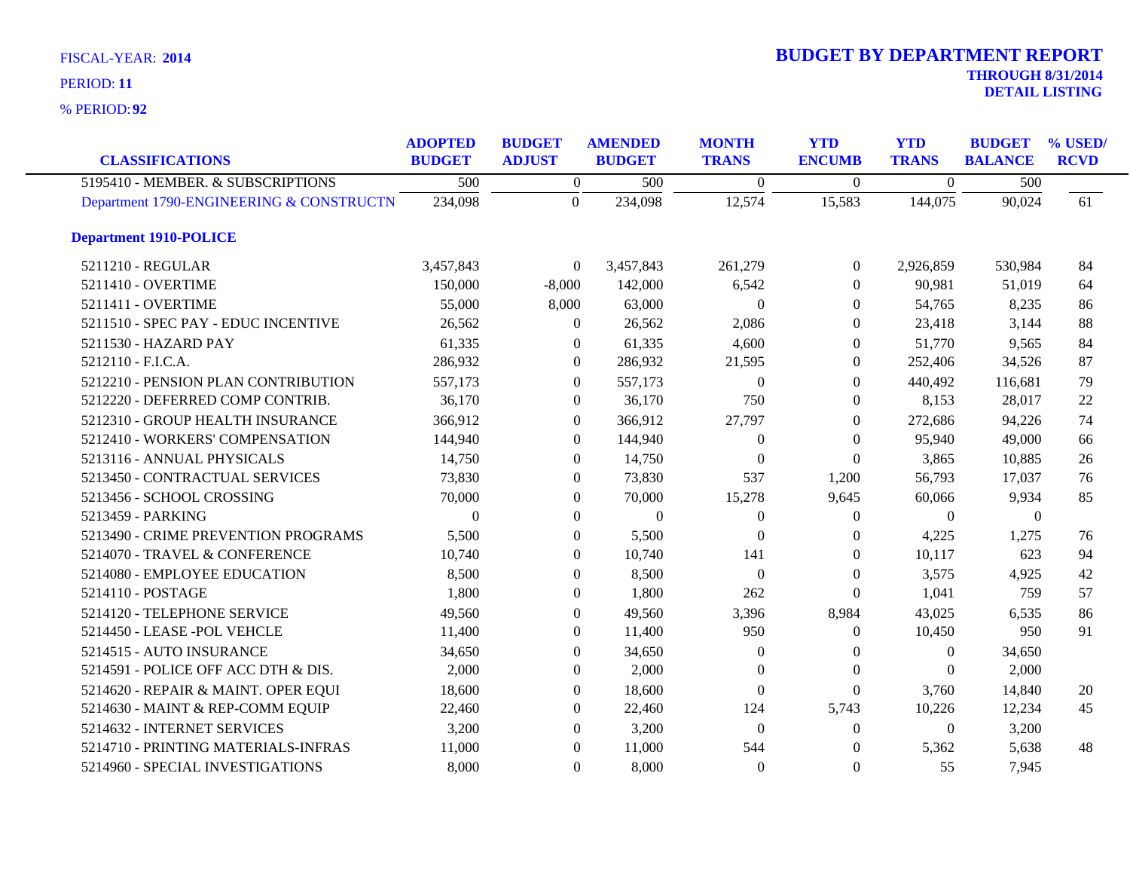**92** % PERIOD:

| <b>CLASSIFICATIONS</b>                   | <b>ADOPTED</b><br><b>BUDGET</b> | <b>BUDGET</b><br><b>ADJUST</b> | <b>AMENDED</b><br><b>BUDGET</b> | <b>MONTH</b><br><b>TRANS</b> | <b>YTD</b><br><b>ENCUMB</b> | <b>YTD</b><br><b>TRANS</b> | <b>BUDGET</b><br><b>BALANCE</b> | % USED/<br><b>RCVD</b> |
|------------------------------------------|---------------------------------|--------------------------------|---------------------------------|------------------------------|-----------------------------|----------------------------|---------------------------------|------------------------|
| 5195410 - MEMBER. & SUBSCRIPTIONS        | 500                             | $\boldsymbol{0}$               | 500                             | $\mathbf{0}$                 | $\mathbf{0}$                | $\overline{0}$             | 500                             |                        |
| Department 1790-ENGINEERING & CONSTRUCTN | 234,098                         | $\overline{0}$                 | 234,098                         | 12,574                       | 15,583                      | 144,075                    | 90,024                          | 61                     |
| <b>Department 1910-POLICE</b>            |                                 |                                |                                 |                              |                             |                            |                                 |                        |
| 5211210 - REGULAR                        | 3,457,843                       | $\overline{0}$                 | 3,457,843                       | 261,279                      | $\overline{0}$              | 2,926,859                  | 530,984                         | 84                     |
| 5211410 - OVERTIME                       | 150,000                         | $-8,000$                       | 142,000                         | 6,542                        | $\Omega$                    | 90,981                     | 51,019                          | 64                     |
| 5211411 - OVERTIME                       | 55,000                          | 8,000                          | 63,000                          | $\Omega$                     | $\Omega$                    | 54,765                     | 8,235                           | 86                     |
| 5211510 - SPEC PAY - EDUC INCENTIVE      | 26,562                          | $\theta$                       | 26,562                          | 2,086                        | $\Omega$                    | 23,418                     | 3,144                           | 88                     |
| 5211530 - HAZARD PAY                     | 61,335                          | $\theta$                       | 61,335                          | 4,600                        | $\overline{0}$              | 51,770                     | 9,565                           | 84                     |
| 5212110 - F.I.C.A.                       | 286,932                         | $\overline{0}$                 | 286,932                         | 21,595                       | $\theta$                    | 252,406                    | 34,526                          | 87                     |
| 5212210 - PENSION PLAN CONTRIBUTION      | 557,173                         | $\theta$                       | 557,173                         | $\Omega$                     | $\theta$                    | 440,492                    | 116,681                         | 79                     |
| 5212220 - DEFERRED COMP CONTRIB.         | 36,170                          | $\Omega$                       | 36,170                          | 750                          | $\Omega$                    | 8,153                      | 28,017                          | 22                     |
| 5212310 - GROUP HEALTH INSURANCE         | 366,912                         | $\Omega$                       | 366,912                         | 27,797                       | $\Omega$                    | 272,686                    | 94,226                          | 74                     |
| 5212410 - WORKERS' COMPENSATION          | 144,940                         | $\Omega$                       | 144,940                         | $\Omega$                     | $\theta$                    | 95,940                     | 49,000                          | 66                     |
| 5213116 - ANNUAL PHYSICALS               | 14,750                          | $\theta$                       | 14,750                          | $\theta$                     | $\theta$                    | 3,865                      | 10,885                          | 26                     |
| 5213450 - CONTRACTUAL SERVICES           | 73,830                          | $\left($                       | 73,830                          | 537                          | 1,200                       | 56,793                     | 17,037                          | 76                     |
| 5213456 - SCHOOL CROSSING                | 70,000                          | $\Omega$                       | 70,000                          | 15,278                       | 9,645                       | 60,066                     | 9,934                           | 85                     |
| 5213459 - PARKING                        | $\Omega$                        | $\Omega$                       | $\boldsymbol{0}$                | $\Omega$                     | $\Omega$                    | $\overline{0}$             | $\theta$                        |                        |
| 5213490 - CRIME PREVENTION PROGRAMS      | 5,500                           | $\mathbf{0}$                   | 5,500                           | $\Omega$                     | $\Omega$                    | 4,225                      | 1,275                           | 76                     |
| 5214070 - TRAVEL & CONFERENCE            | 10,740                          | $\theta$                       | 10,740                          | 141                          | $\theta$                    | 10,117                     | 623                             | 94                     |
| 5214080 - EMPLOYEE EDUCATION             | 8,500                           | $\Omega$                       | 8,500                           | $\Omega$                     | $\Omega$                    | 3,575                      | 4,925                           | 42                     |
| 5214110 - POSTAGE                        | 1,800                           | $\overline{0}$                 | 1,800                           | 262                          | $\Omega$                    | 1,041                      | 759                             | 57                     |
| 5214120 - TELEPHONE SERVICE              | 49,560                          | $\boldsymbol{0}$               | 49,560                          | 3,396                        | 8,984                       | 43,025                     | 6,535                           | 86                     |
| 5214450 - LEASE - POL VEHCLE             | 11,400                          | $\Omega$                       | 11,400                          | 950                          | $\theta$                    | 10,450                     | 950                             | 91                     |
| 5214515 - AUTO INSURANCE                 | 34,650                          | $\Omega$                       | 34,650                          | $\Omega$                     | $\Omega$                    | $\Omega$                   | 34,650                          |                        |
| 5214591 - POLICE OFF ACC DTH & DIS.      | 2,000                           | $\overline{0}$                 | 2,000                           | $\theta$                     | $\overline{0}$              | $\Omega$                   | 2,000                           |                        |
| 5214620 - REPAIR & MAINT. OPER EQUI      | 18,600                          | $\boldsymbol{0}$               | 18,600                          | $\theta$                     | $\overline{0}$              | 3,760                      | 14,840                          | 20                     |
| 5214630 - MAINT & REP-COMM EQUIP         | 22,460                          | $\theta$                       | 22,460                          | 124                          | 5,743                       | 10,226                     | 12,234                          | 45                     |
| 5214632 - INTERNET SERVICES              | 3,200                           | $\Omega$                       | 3,200                           | $\theta$                     | $\overline{0}$              | $\Omega$                   | 3,200                           |                        |
| 5214710 - PRINTING MATERIALS-INFRAS      | 11,000                          | $\theta$                       | 11,000                          | 544                          | $\Omega$                    | 5,362                      | 5,638                           | 48                     |
| 5214960 - SPECIAL INVESTIGATIONS         | 8,000                           | $\Omega$                       | 8,000                           | $\Omega$                     | $\theta$                    | 55                         | 7,945                           |                        |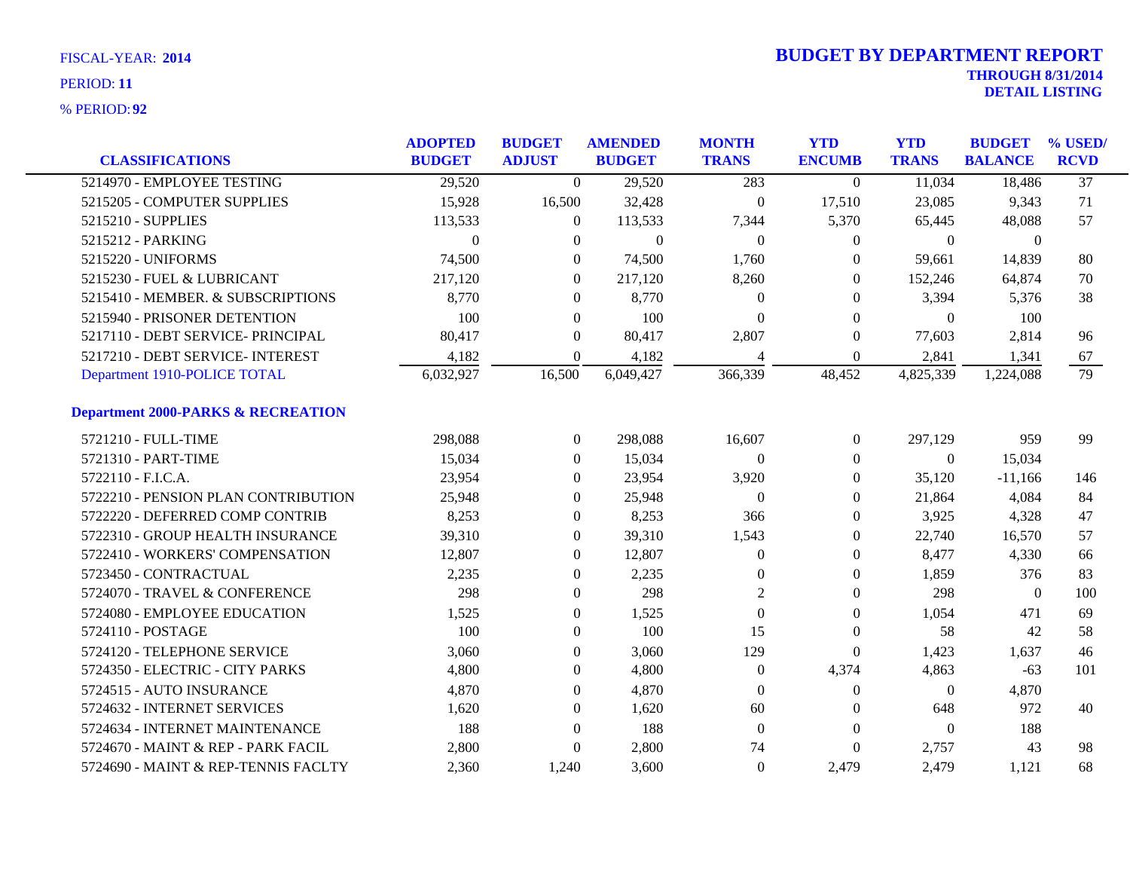| <b>CLASSIFICATIONS</b>                        | <b>ADOPTED</b><br><b>BUDGET</b> | <b>BUDGET</b><br><b>ADJUST</b> | <b>AMENDED</b><br><b>BUDGET</b> | <b>MONTH</b><br><b>TRANS</b> | <b>YTD</b><br><b>ENCUMB</b> | <b>YTD</b><br><b>TRANS</b> | <b>BUDGET</b><br><b>BALANCE</b> | % USED/<br><b>RCVD</b> |
|-----------------------------------------------|---------------------------------|--------------------------------|---------------------------------|------------------------------|-----------------------------|----------------------------|---------------------------------|------------------------|
| 5214970 - EMPLOYEE TESTING                    |                                 | $\Omega$                       |                                 | 283                          |                             | 11,034                     | 18,486                          | $\overline{37}$        |
|                                               | 29,520                          |                                | 29,520                          |                              | $\theta$                    |                            |                                 |                        |
| 5215205 - COMPUTER SUPPLIES                   | 15,928                          | 16,500                         | 32,428                          | $\mathbf{0}$                 | 17,510                      | 23,085                     | 9,343                           | 71                     |
| 5215210 - SUPPLIES                            | 113,533                         | $\mathbf{0}$                   | 113,533                         | 7,344                        | 5,370                       | 65,445                     | 48,088                          | 57                     |
| 5215212 - PARKING                             | $\Omega$                        | $\Omega$                       | $\mathbf{0}$                    | $\mathbf{0}$                 | $\theta$                    | $\overline{0}$             | $\mathbf{0}$                    |                        |
| 5215220 - UNIFORMS                            | 74,500                          | $\Omega$                       | 74,500                          | 1,760                        | $\Omega$                    | 59,661                     | 14,839                          | 80                     |
| 5215230 - FUEL & LUBRICANT                    | 217,120                         | $\overline{0}$                 | 217,120                         | 8,260                        | $\mathbf{0}$                | 152,246                    | 64,874                          | 70                     |
| 5215410 - MEMBER. & SUBSCRIPTIONS             | 8,770                           | $\overline{0}$                 | 8,770                           | $\Omega$                     | $\mathbf{0}$                | 3,394                      | 5,376                           | 38                     |
| 5215940 - PRISONER DETENTION                  | 100                             | $\overline{0}$                 | 100                             | $\theta$                     | $\Omega$                    | $\Omega$                   | 100                             |                        |
| 5217110 - DEBT SERVICE- PRINCIPAL             | 80,417                          | $\overline{0}$                 | 80,417                          | 2,807                        | $\mathbf{0}$                | 77,603                     | 2,814                           | 96                     |
| 5217210 - DEBT SERVICE- INTEREST              | 4,182                           | $\mathbf{0}$                   | 4,182                           | 4                            | $\mathbf{0}$                | 2,841                      | 1,341                           | 67                     |
| Department 1910-POLICE TOTAL                  | 6,032,927                       | 16,500                         | 6,049,427                       | 366,339                      | 48,452                      | 4,825,339                  | 1,224,088                       | 79                     |
| <b>Department 2000-PARKS &amp; RECREATION</b> |                                 |                                |                                 |                              |                             |                            |                                 |                        |
| 5721210 - FULL-TIME                           | 298,088                         | $\mathbf{0}$                   | 298,088                         | 16,607                       | $\overline{0}$              | 297,129                    | 959                             | 99                     |
| 5721310 - PART-TIME                           | 15,034                          | $\overline{0}$                 | 15,034                          | $\theta$                     | $\theta$                    | $\theta$                   | 15,034                          |                        |
| 5722110 - F.I.C.A.                            | 23,954                          | $\overline{0}$                 | 23,954                          | 3,920                        | $\theta$                    | 35,120                     | $-11,166$                       | 146                    |
| 5722210 - PENSION PLAN CONTRIBUTION           | 25,948                          | $\Omega$                       | 25,948                          | $\theta$                     | $\Omega$                    | 21,864                     | 4,084                           | 84                     |
| 5722220 - DEFERRED COMP CONTRIB               | 8,253                           | $\Omega$                       | 8,253                           | 366                          | $\Omega$                    | 3,925                      | 4,328                           | 47                     |
| 5722310 - GROUP HEALTH INSURANCE              | 39,310                          | $\boldsymbol{0}$               | 39,310                          | 1,543                        | $\overline{0}$              | 22,740                     | 16,570                          | 57                     |
| 5722410 - WORKERS' COMPENSATION               | 12,807                          | $\overline{0}$                 | 12,807                          | $\theta$                     | $\theta$                    | 8,477                      | 4,330                           | 66                     |
| 5723450 - CONTRACTUAL                         | 2,235                           | $\Omega$                       | 2,235                           | $\Omega$                     | $\Omega$                    | 1,859                      | 376                             | 83                     |
| 5724070 - TRAVEL & CONFERENCE                 | 298                             | $\overline{0}$                 | 298                             | $\overline{2}$               | $\mathbf{0}$                | 298                        | $\mathbf{0}$                    | 100                    |
| 5724080 - EMPLOYEE EDUCATION                  | 1,525                           | $\boldsymbol{0}$               | 1,525                           | $\theta$                     | $\mathbf{0}$                | 1,054                      | 471                             | 69                     |
| 5724110 - POSTAGE                             | 100                             | $\overline{0}$                 | 100                             | 15                           | $\mathbf{0}$                | 58                         | 42                              | 58                     |
| 5724120 - TELEPHONE SERVICE                   | 3,060                           | $\overline{0}$                 | 3,060                           | 129                          | $\mathbf{0}$                | 1,423                      | 1,637                           | 46                     |
| 5724350 - ELECTRIC - CITY PARKS               | 4,800                           | $\overline{0}$                 | 4,800                           | $\theta$                     | 4,374                       | 4,863                      | $-63$                           | 101                    |
| 5724515 - AUTO INSURANCE                      | 4,870                           | $\boldsymbol{0}$               | 4,870                           | $\theta$                     | $\mathbf{0}$                | $\boldsymbol{0}$           | 4,870                           |                        |
| 5724632 - INTERNET SERVICES                   | 1,620                           | $\mathbf{0}$                   | 1,620                           | 60                           | $\overline{0}$              | 648                        | 972                             | 40                     |
| 5724634 - INTERNET MAINTENANCE                | 188                             | $\theta$                       | 188                             | $\overline{0}$               | $\theta$                    | $\overline{0}$             | 188                             |                        |
| 5724670 - MAINT & REP - PARK FACIL            | 2,800                           | $\theta$                       | 2,800                           | 74                           | $\mathbf{0}$                | 2,757                      | 43                              | 98                     |
| 5724690 - MAINT & REP-TENNIS FACLTY           | 2,360                           | 1,240                          | 3,600                           | $\mathbf{0}$                 | 2,479                       | 2,479                      | 1.121                           | 68                     |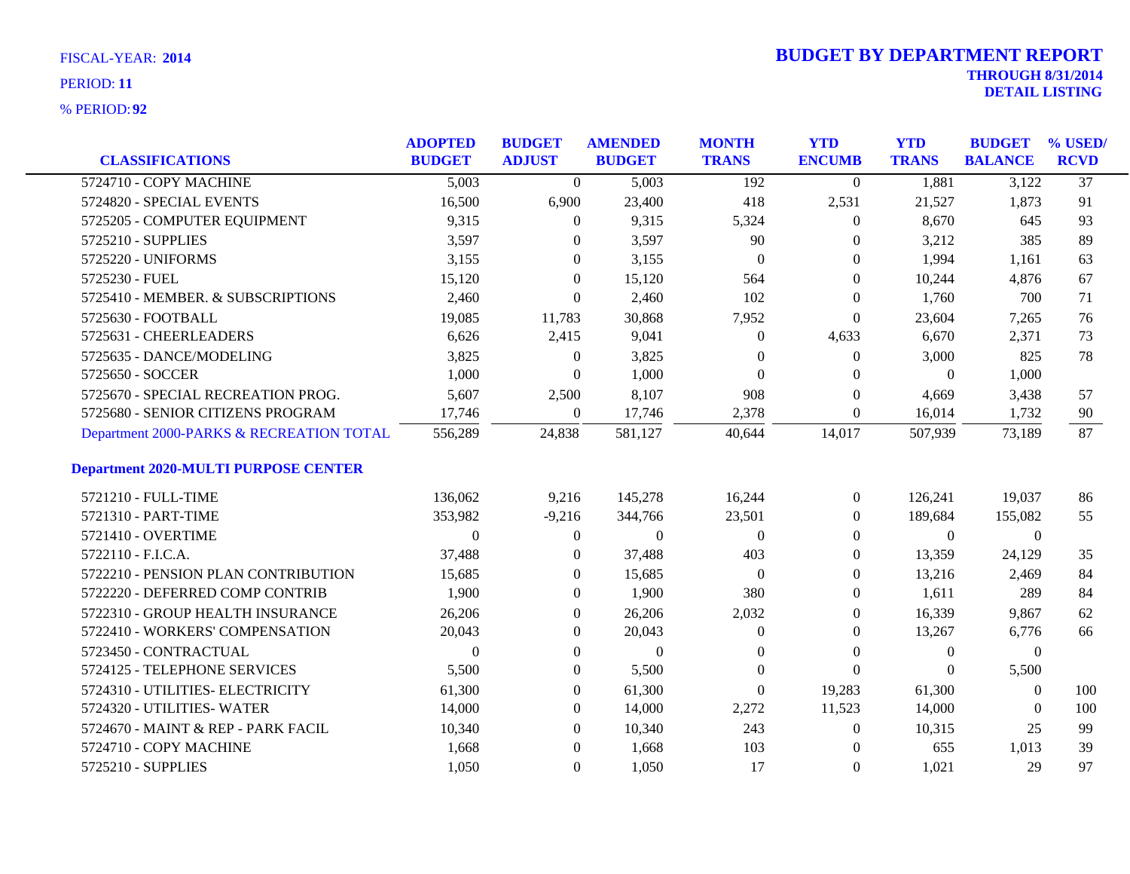| <b>CLASSIFICATIONS</b>                      | <b>ADOPTED</b><br><b>BUDGET</b> | <b>BUDGET</b><br><b>ADJUST</b> | <b>AMENDED</b><br><b>BUDGET</b> | <b>MONTH</b><br><b>TRANS</b> | <b>YTD</b><br><b>ENCUMB</b> | <b>YTD</b><br><b>TRANS</b> | <b>BUDGET</b><br><b>BALANCE</b> | % USED/<br><b>RCVD</b> |
|---------------------------------------------|---------------------------------|--------------------------------|---------------------------------|------------------------------|-----------------------------|----------------------------|---------------------------------|------------------------|
| 5724710 - COPY MACHINE                      |                                 |                                |                                 |                              |                             |                            |                                 | $\overline{37}$        |
|                                             | 5,003                           | $\overline{0}$                 | 5,003                           | 192                          | $\overline{0}$              | 1,881                      | 3,122                           |                        |
| 5724820 - SPECIAL EVENTS                    | 16,500                          | 6,900                          | 23,400                          | 418                          | 2,531                       | 21,527                     | 1,873                           | 91                     |
| 5725205 - COMPUTER EQUIPMENT                | 9,315                           | $\boldsymbol{0}$               | 9,315                           | 5,324                        | $\mathbf{0}$                | 8,670                      | 645                             | 93                     |
| 5725210 - SUPPLIES                          | 3,597                           | $\theta$                       | 3,597                           | 90                           | $\overline{0}$              | 3,212                      | 385                             | 89                     |
| 5725220 - UNIFORMS                          | 3,155                           | $\theta$                       | 3,155                           | $\overline{0}$               | $\overline{0}$              | 1,994                      | 1,161                           | 63                     |
| 5725230 - FUEL                              | 15,120                          | $\theta$                       | 15,120                          | 564                          | 0                           | 10,244                     | 4,876                           | 67                     |
| 5725410 - MEMBER. & SUBSCRIPTIONS           | 2,460                           | $\theta$                       | 2,460                           | 102                          | $\overline{0}$              | 1,760                      | 700                             | 71                     |
| 5725630 - FOOTBALL                          | 19,085                          | 11,783                         | 30,868                          | 7,952                        | $\overline{0}$              | 23,604                     | 7,265                           | 76                     |
| 5725631 - CHEERLEADERS                      | 6,626                           | 2,415                          | 9,041                           | $\mathbf{0}$                 | 4,633                       | 6,670                      | 2,371                           | 73                     |
| 5725635 - DANCE/MODELING                    | 3,825                           | $\boldsymbol{0}$               | 3,825                           | $\theta$                     | $\mathbf{0}$                | 3,000                      | 825                             | 78                     |
| 5725650 - SOCCER                            | 1,000                           | $\mathbf{0}$                   | 1,000                           | $\mathbf{0}$                 | 0                           | $\overline{0}$             | 1,000                           |                        |
| 5725670 - SPECIAL RECREATION PROG.          | 5,607                           | 2,500                          | 8,107                           | 908                          | $\overline{0}$              | 4,669                      | 3,438                           | 57                     |
| 5725680 - SENIOR CITIZENS PROGRAM           | 17,746                          | $\overline{0}$                 | 17,746                          | 2,378                        | $\boldsymbol{0}$            | 16,014                     | 1,732                           | 90                     |
| Department 2000-PARKS & RECREATION TOTAL    | 556,289                         | 24,838                         | 581,127                         | 40,644                       | 14,017                      | 507,939                    | 73,189                          | 87                     |
| <b>Department 2020-MULTI PURPOSE CENTER</b> |                                 |                                |                                 |                              |                             |                            |                                 |                        |
| 5721210 - FULL-TIME                         | 136,062                         | 9,216                          | 145,278                         | 16,244                       | $\overline{0}$              | 126,241                    | 19,037                          | 86                     |
| 5721310 - PART-TIME                         | 353,982                         | $-9,216$                       | 344,766                         | 23,501                       | $\overline{0}$              | 189,684                    | 155,082                         | 55                     |
| 5721410 - OVERTIME                          | $\theta$                        | $\mathbf{0}$                   | $\boldsymbol{0}$                | $\mathbf{0}$                 | 0                           | $\boldsymbol{0}$           | $\boldsymbol{0}$                |                        |
| 5722110 - F.I.C.A.                          | 37,488                          | $\overline{0}$                 | 37,488                          | 403                          | 0                           | 13,359                     | 24,129                          | 35                     |
| 5722210 - PENSION PLAN CONTRIBUTION         | 15,685                          | $\theta$                       | 15,685                          | $\overline{0}$               | 0                           | 13,216                     | 2,469                           | 84                     |
| 5722220 - DEFERRED COMP CONTRIB             | 1,900                           | $\overline{0}$                 | 1,900                           | 380                          | 0                           | 1,611                      | 289                             | 84                     |
| 5722310 - GROUP HEALTH INSURANCE            | 26,206                          | $\mathbf{0}$                   | 26,206                          | 2,032                        | 0                           | 16,339                     | 9,867                           | 62                     |
| 5722410 - WORKERS' COMPENSATION             | 20,043                          | $\overline{0}$                 | 20,043                          | $\boldsymbol{0}$             | $\overline{0}$              | 13,267                     | 6,776                           | 66                     |
| 5723450 - CONTRACTUAL                       | $\Omega$                        | $\overline{0}$                 | $\mathbf{0}$                    | $\theta$                     | $\overline{0}$              | $\theta$                   | $\overline{0}$                  |                        |
| 5724125 - TELEPHONE SERVICES                | 5,500                           | $\overline{0}$                 | 5,500                           | $\theta$                     | $\Omega$                    | $\Omega$                   | 5,500                           |                        |
| 5724310 - UTILITIES- ELECTRICITY            | 61,300                          | $\mathbf{0}$                   | 61,300                          | $\boldsymbol{0}$             | 19,283                      | 61,300                     | $\boldsymbol{0}$                | 100                    |
| 5724320 - UTILITIES-WATER                   | 14,000                          | $\overline{0}$                 | 14,000                          | 2,272                        | 11,523                      | 14,000                     | $\overline{0}$                  | 100                    |
| 5724670 - MAINT & REP - PARK FACIL          | 10,340                          | $\theta$                       | 10,340                          | 243                          | 0                           | 10,315                     | 25                              | 99                     |
| 5724710 - COPY MACHINE                      | 1,668                           | $\overline{0}$                 | 1,668                           | 103                          | $\theta$                    | 655                        | 1,013                           | 39                     |
| 5725210 - SUPPLIES                          | 1,050                           | $\overline{0}$                 | 1,050                           | 17                           | $\overline{0}$              | 1,021                      | 29                              | 97                     |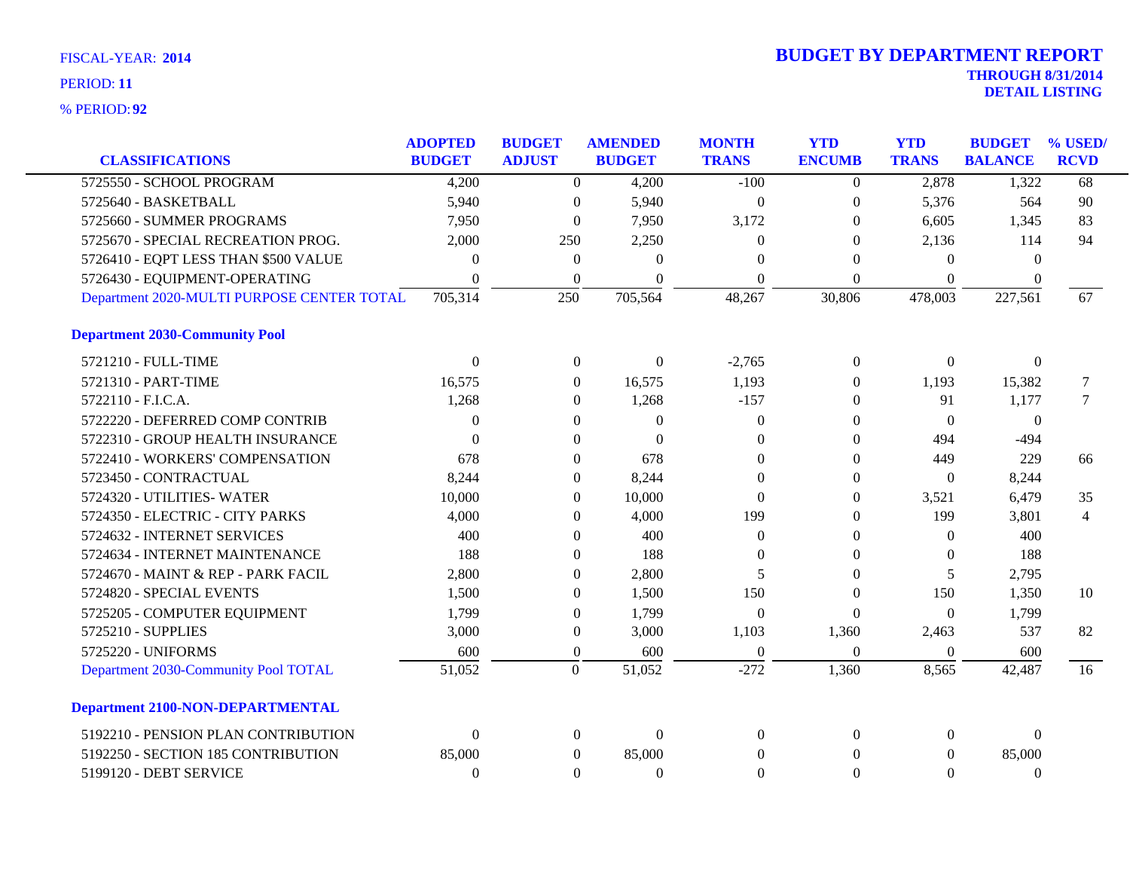| <b>CLASSIFICATIONS</b>                     | <b>ADOPTED</b><br><b>BUDGET</b> | <b>BUDGET</b><br><b>ADJUST</b> | <b>AMENDED</b><br><b>BUDGET</b> | <b>MONTH</b><br><b>TRANS</b> | <b>YTD</b><br><b>ENCUMB</b> | <b>YTD</b><br><b>TRANS</b> | <b>BUDGET</b><br><b>BALANCE</b> | % USED/<br><b>RCVD</b> |
|--------------------------------------------|---------------------------------|--------------------------------|---------------------------------|------------------------------|-----------------------------|----------------------------|---------------------------------|------------------------|
|                                            |                                 |                                |                                 |                              |                             |                            |                                 |                        |
| 5725550 - SCHOOL PROGRAM                   | 4,200                           | $\Omega$                       | 4,200                           | $-100$                       | $\overline{0}$              | 2,878                      | 1,322                           | 68                     |
| 5725640 - BASKETBALL                       | 5,940                           | $\mathbf{0}$                   | 5,940                           | $\theta$                     | $\overline{0}$              | 5,376                      | 564                             | 90                     |
| 5725660 - SUMMER PROGRAMS                  | 7,950                           | $\mathbf{0}$                   | 7,950                           | 3,172                        | $\overline{0}$              | 6,605                      | 1,345                           | 83                     |
| 5725670 - SPECIAL RECREATION PROG.         | 2,000                           | 250                            | 2,250                           | $\Omega$                     | $\Omega$                    | 2,136                      | 114                             | 94                     |
| 5726410 - EQPT LESS THAN \$500 VALUE       | $\theta$                        | $\mathbf{0}$                   | $\Omega$                        | $\Omega$                     | $\Omega$                    | $\Omega$                   | $\Omega$                        |                        |
| 5726430 - EQUIPMENT-OPERATING              | $\Omega$                        | $\boldsymbol{0}$               | $\Omega$                        | $\Omega$                     | $\Omega$                    | $\Omega$                   | $\Omega$                        |                        |
| Department 2020-MULTI PURPOSE CENTER TOTAL | 705,314                         | 250                            | 705,564                         | 48,267                       | 30,806                      | 478,003                    | 227,561                         | 67                     |
| <b>Department 2030-Community Pool</b>      |                                 |                                |                                 |                              |                             |                            |                                 |                        |
| 5721210 - FULL-TIME                        | $\Omega$                        | $\boldsymbol{0}$               | $\theta$                        | $-2,765$                     | $\boldsymbol{0}$            | $\boldsymbol{0}$           | $\boldsymbol{0}$                |                        |
| 5721310 - PART-TIME                        | 16,575                          | $\overline{0}$                 | 16,575                          | 1,193                        | $\Omega$                    | 1,193                      | 15,382                          | $\overline{7}$         |
| 5722110 - F.I.C.A.                         | 1,268                           | $\boldsymbol{0}$               | 1,268                           | $-157$                       | $\overline{0}$              | 91                         | 1,177                           | $7\phantom{.0}$        |
| 5722220 - DEFERRED COMP CONTRIB            | $\theta$                        | $\overline{0}$                 | $\theta$                        | $\Omega$                     | $\left($                    | $\Omega$                   | $\overline{0}$                  |                        |
| 5722310 - GROUP HEALTH INSURANCE           | $\theta$                        | $\overline{0}$                 | $\Omega$                        | $\Omega$                     | $\overline{0}$              | 494                        | $-494$                          |                        |
| 5722410 - WORKERS' COMPENSATION            | 678                             | $\overline{0}$                 | 678                             | $\Omega$                     | $\overline{0}$              | 449                        | 229                             | 66                     |
| 5723450 - CONTRACTUAL                      | 8,244                           | $\boldsymbol{0}$               | 8,244                           | $\theta$                     | $\mathbf{0}$                | $\overline{0}$             | 8,244                           |                        |
| 5724320 - UTILITIES-WATER                  | 10,000                          | $\overline{0}$                 | 10,000                          | $\Omega$                     | $\theta$                    | 3,521                      | 6,479                           | 35                     |
| 5724350 - ELECTRIC - CITY PARKS            | 4,000                           | $\theta$                       | 4,000                           | 199                          | $\overline{0}$              | 199                        | 3,801                           | $\overline{4}$         |
| 5724632 - INTERNET SERVICES                | 400                             | $\overline{0}$                 | 400                             | $\Omega$                     | $\Omega$                    | $\Omega$                   | 400                             |                        |
| 5724634 - INTERNET MAINTENANCE             | 188                             | $\overline{0}$                 | 188                             | $\Omega$                     | $\overline{0}$              | $\Omega$                   | 188                             |                        |
| 5724670 - MAINT & REP - PARK FACIL         | 2,800                           | $\overline{0}$                 | 2,800                           | 5                            | $\overline{0}$              | 5                          | 2,795                           |                        |
| 5724820 - SPECIAL EVENTS                   | 1,500                           | $\boldsymbol{0}$               | 1,500                           | 150                          | $\overline{0}$              | 150                        | 1,350                           | 10                     |
| 5725205 - COMPUTER EQUIPMENT               | 1,799                           | $\Omega$                       | 1,799                           | $\Omega$                     | $\Omega$                    | $\Omega$                   | 1,799                           |                        |
| 5725210 - SUPPLIES                         | 3,000                           | $\boldsymbol{0}$               | 3,000                           | 1,103                        | 1,360                       | 2,463                      | 537                             | 82                     |
| 5725220 - UNIFORMS                         | 600                             | $\overline{0}$                 | 600                             | $\Omega$                     | $\overline{0}$              | $\Omega$                   | 600                             |                        |
| Department 2030-Community Pool TOTAL       | 51,052                          | $\boldsymbol{0}$               | 51,052                          | $-272$                       | 1,360                       | 8,565                      | 42,487                          | 16                     |
| <b>Department 2100-NON-DEPARTMENTAL</b>    |                                 |                                |                                 |                              |                             |                            |                                 |                        |
| 5192210 - PENSION PLAN CONTRIBUTION        | $\Omega$                        | $\overline{0}$                 | $\Omega$                        | $\theta$                     | $\overline{0}$              | $\Omega$                   | $\theta$                        |                        |
| 5192250 - SECTION 185 CONTRIBUTION         | 85,000                          | $\overline{0}$                 | 85,000                          | $\mathbf{0}$                 | $\overline{0}$              | $\Omega$                   | 85,000                          |                        |
| 5199120 - DEBT SERVICE                     | $\Omega$                        | $\Omega$                       | $\Omega$                        | $\Omega$                     | $\Omega$                    | $\Omega$                   | $\Omega$                        |                        |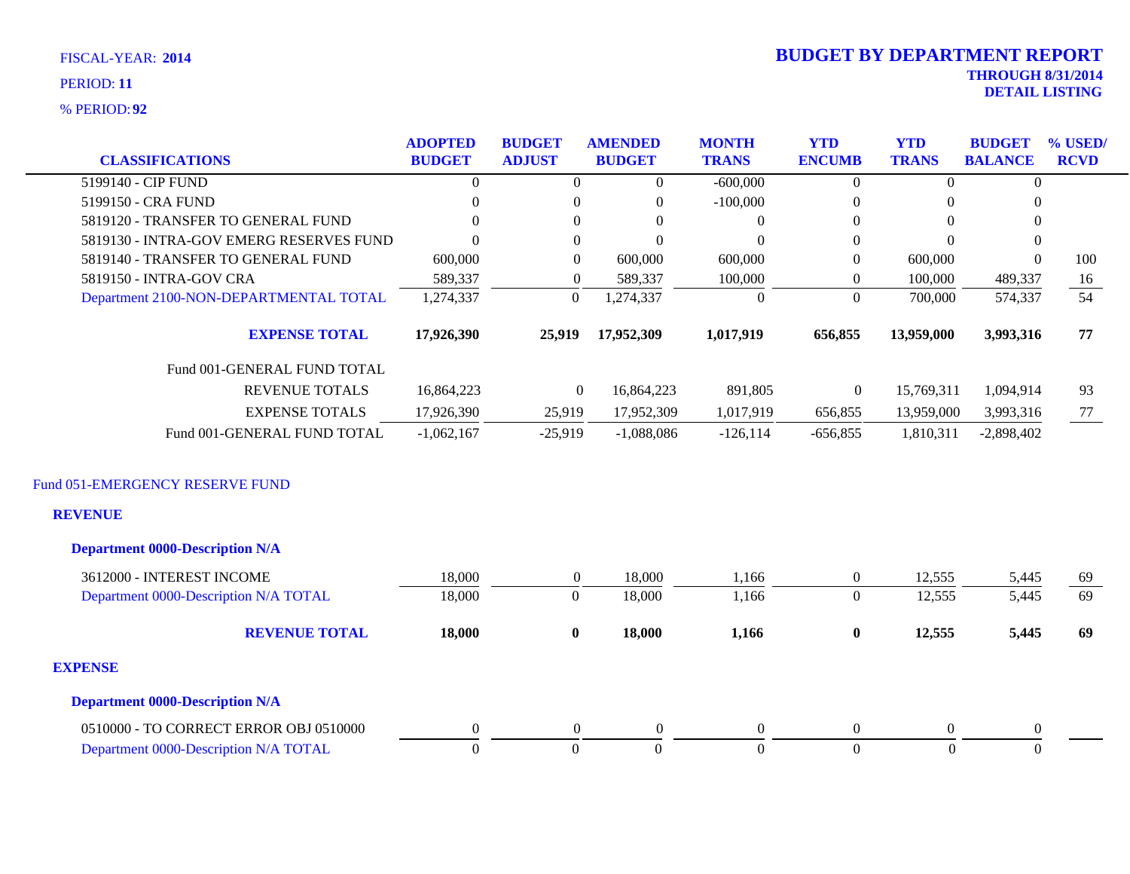**92** % PERIOD:

### **THROUGH 8/31/2014 DETAIL LISTING** PERIOD: **<sup>11</sup> 2014 BUDGET BY DEPARTMENT REPORT**

| <b>CLASSIFICATIONS</b>                  | <b>ADOPTED</b><br><b>BUDGET</b> | <b>BUDGET</b><br><b>ADJUST</b> | <b>AMENDED</b><br><b>BUDGET</b> | <b>MONTH</b><br><b>TRANS</b> | <b>YTD</b><br><b>ENCUMB</b> | <b>YTD</b><br><b>TRANS</b> | <b>BUDGET</b><br><b>BALANCE</b> | % USED/<br><b>RCVD</b> |
|-----------------------------------------|---------------------------------|--------------------------------|---------------------------------|------------------------------|-----------------------------|----------------------------|---------------------------------|------------------------|
| 5199140 - CIP FUND                      | $\theta$                        | 0                              | 0                               | $-600,000$                   | $\overline{0}$              |                            |                                 |                        |
| 5199150 - CRA FUND                      | $\left($                        | 0                              | 0                               | $-100,000$                   | $\Omega$                    | $\theta$                   | 0                               |                        |
| 5819120 - TRANSFER TO GENERAL FUND      | $\Omega$                        | 0                              |                                 |                              | $\Omega$                    |                            |                                 |                        |
| 5819130 - INTRA-GOV EMERG RESERVES FUND | $\Omega$                        | 0                              | 0                               |                              | $\overline{0}$              |                            |                                 |                        |
| 5819140 - TRANSFER TO GENERAL FUND      | 600,000                         | $\theta$                       | 600,000                         | 600,000                      | $\overline{0}$              | 600,000                    |                                 | 100                    |
| 5819150 - INTRA-GOV CRA                 | 589,337                         | 0                              | 589,337                         | 100,000                      | $\overline{0}$              | 100,000                    | 489,337                         | 16                     |
| Department 2100-NON-DEPARTMENTAL TOTAL  | 1,274,337                       | $\theta$                       | 1,274,337                       | -0                           | $\overline{0}$              | 700,000                    | 574,337                         | 54                     |
| <b>EXPENSE TOTAL</b>                    | 17,926,390                      | 25,919                         | 17,952,309                      | 1,017,919                    | 656,855                     | 13,959,000                 | 3,993,316                       | 77                     |
| Fund 001-GENERAL FUND TOTAL             |                                 |                                |                                 |                              |                             |                            |                                 |                        |
| <b>REVENUE TOTALS</b>                   | 16,864,223                      | $\theta$                       | 16,864,223                      | 891,805                      | $\overline{0}$              | 15,769,311                 | 1,094,914                       | 93                     |
| <b>EXPENSE TOTALS</b>                   | 17,926,390                      | 25,919                         | 17,952,309                      | 1,017,919                    | 656,855                     | 13,959,000                 | 3,993,316                       | 77                     |
| Fund 001-GENERAL FUND TOTAL             | $-1,062,167$                    | $-25.919$                      | $-1,088,086$                    | $-126.114$                   | $-656,855$                  | 1.810.311                  | $-2,898,402$                    |                        |

### Fund 051-EMERGENCY RESERVE FUND

### **REVENUE**

| <b>Department 0000-Description N/A</b> |          |              |          |       |                |        |          |     |
|----------------------------------------|----------|--------------|----------|-------|----------------|--------|----------|-----|
| 3612000 - INTEREST INCOME              | 18,000   |              | 18,000   | .166  | $\overline{0}$ | 12,555 | 5,445    | 69  |
| Department 0000-Description N/A TOTAL  | 18,000   | O            | 18,000   | 1.166 | $\left($       | 12,555 | 5,445    | 69  |
| <b>REVENUE TOTAL</b>                   | 18,000   | $\mathbf{0}$ | 18,000   | 1,166 | $\bf{0}$       | 12,555 | 5,445    | -69 |
| <b>EXPENSE</b>                         |          |              |          |       |                |        |          |     |
| <b>Department 0000-Description N/A</b> |          |              |          |       |                |        |          |     |
| 0510000 - TO CORRECT ERROR OBJ 0510000 | $\Omega$ |              | $\Omega$ |       | $\Omega$       |        | $\Omega$ |     |
| Department 0000-Description N/A TOTAL  |          | O            |          |       | 0              |        |          |     |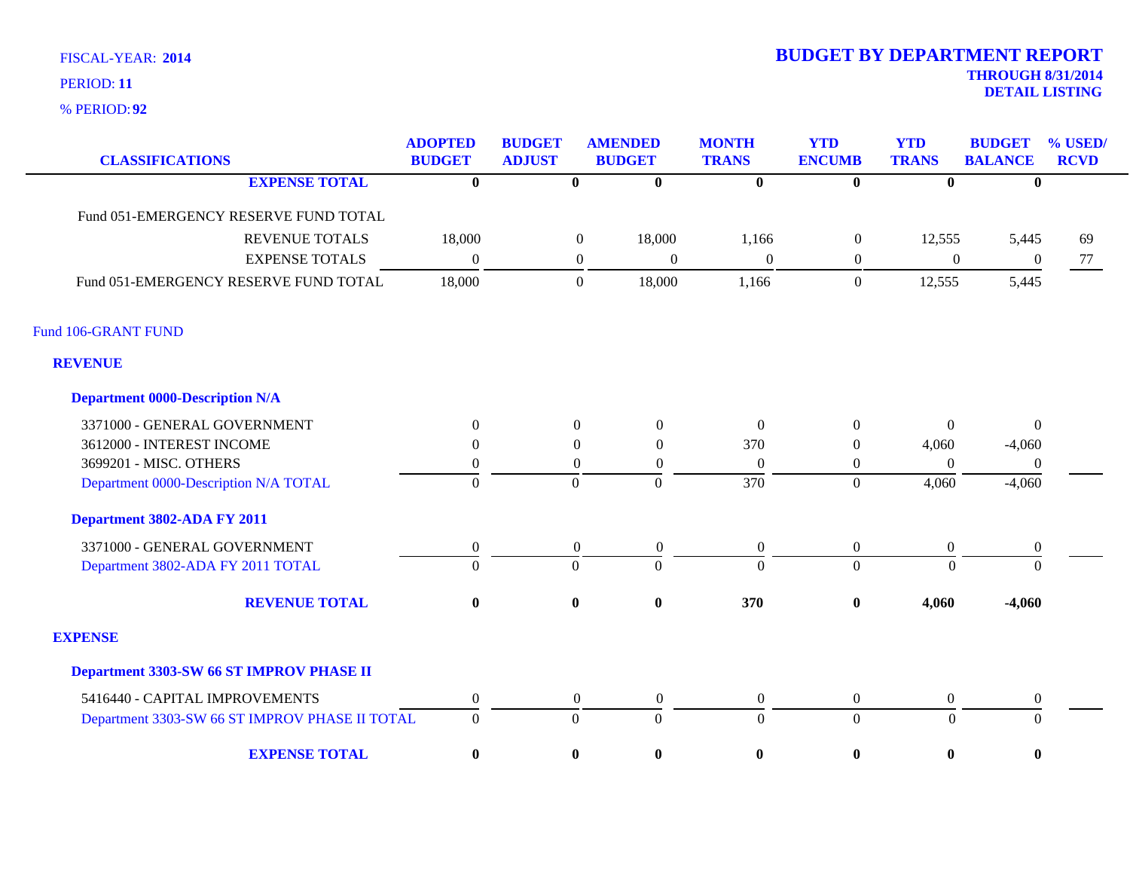**92** % PERIOD:

| <b>CLASSIFICATIONS</b>                         | <b>ADOPTED</b><br><b>BUDGET</b> | <b>BUDGET</b><br><b>ADJUST</b> | <b>AMENDED</b><br><b>BUDGET</b>      | <b>MONTH</b><br><b>TRANS</b> | <b>YTD</b><br><b>ENCUMB</b> | <b>YTD</b><br><b>TRANS</b> | <b>BUDGET</b><br><b>BALANCE</b> | % USED/<br><b>RCVD</b> |
|------------------------------------------------|---------------------------------|--------------------------------|--------------------------------------|------------------------------|-----------------------------|----------------------------|---------------------------------|------------------------|
| <b>EXPENSE TOTAL</b>                           | $\bf{0}$                        | $\bf{0}$                       | $\bf{0}$                             | $\overline{\mathbf{0}}$      | $\overline{\mathbf{0}}$     | $\bf{0}$                   | $\bf{0}$                        |                        |
| Fund 051-EMERGENCY RESERVE FUND TOTAL          |                                 |                                |                                      |                              |                             |                            |                                 |                        |
| <b>REVENUE TOTALS</b>                          | 18,000                          |                                | 18,000<br>$\boldsymbol{0}$           | 1,166                        | $\boldsymbol{0}$            | 12,555                     | 5,445                           | 69                     |
| <b>EXPENSE TOTALS</b>                          | $\Omega$                        |                                | $\boldsymbol{0}$<br>$\theta$         | $\boldsymbol{0}$             | $\boldsymbol{0}$            | $\boldsymbol{0}$           | $\boldsymbol{0}$                | 77                     |
| Fund 051-EMERGENCY RESERVE FUND TOTAL          | 18,000                          |                                | 18,000<br>$\boldsymbol{0}$           | 1,166                        | $\boldsymbol{0}$            | 12,555                     | 5,445                           |                        |
| Fund 106-GRANT FUND                            |                                 |                                |                                      |                              |                             |                            |                                 |                        |
| <b>REVENUE</b>                                 |                                 |                                |                                      |                              |                             |                            |                                 |                        |
| <b>Department 0000-Description N/A</b>         |                                 |                                |                                      |                              |                             |                            |                                 |                        |
| 3371000 - GENERAL GOVERNMENT                   | $\theta$                        |                                | $\overline{0}$<br>$\overline{0}$     | $\Omega$                     | $\mathbf{0}$                | $\mathbf{0}$               | $\overline{0}$                  |                        |
| 3612000 - INTEREST INCOME                      | $\theta$                        | $\overline{0}$                 | $\Omega$                             | 370                          | $\overline{0}$              | 4,060                      | $-4,060$                        |                        |
| 3699201 - MISC. OTHERS                         | $\theta$                        |                                | $\theta$<br>$\theta$                 | $\Omega$                     | $\overline{0}$              | $\Omega$                   | $\left($                        |                        |
| Department 0000-Description N/A TOTAL          | $\overline{0}$                  | $\Omega$                       | $\overline{0}$                       | $\overline{370}$             | $\overline{0}$              | 4,060                      | $-4,060$                        |                        |
| Department 3802-ADA FY 2011                    |                                 |                                |                                      |                              |                             |                            |                                 |                        |
| 3371000 - GENERAL GOVERNMENT                   | $\overline{0}$                  |                                | $\boldsymbol{0}$<br>$\mathbf{0}$     | $\boldsymbol{0}$             | $\overline{0}$              | $\mathbf{0}$               | $\boldsymbol{0}$                |                        |
| Department 3802-ADA FY 2011 TOTAL              | $\Omega$                        | $\overline{0}$                 | $\Omega$                             | $\Omega$                     | $\overline{0}$              | $\theta$                   | $\Omega$                        |                        |
| <b>REVENUE TOTAL</b>                           | $\bf{0}$                        | $\bf{0}$                       | $\bf{0}$                             | 370                          | $\pmb{0}$                   | 4,060                      | $-4,060$                        |                        |
| <b>EXPENSE</b>                                 |                                 |                                |                                      |                              |                             |                            |                                 |                        |
| Department 3303-SW 66 ST IMPROV PHASE II       |                                 |                                |                                      |                              |                             |                            |                                 |                        |
| 5416440 - CAPITAL IMPROVEMENTS                 | $\overline{0}$                  |                                | $\boldsymbol{0}$<br>$\boldsymbol{0}$ | $\boldsymbol{0}$             | $\overline{0}$              | $\boldsymbol{0}$           | $\boldsymbol{0}$                |                        |
| Department 3303-SW 66 ST IMPROV PHASE II TOTAL | $\mathbf{0}$                    | $\Omega$                       | $\theta$                             | $\overline{0}$               | $\overline{0}$              | $\Omega$                   | $\overline{0}$                  |                        |
| <b>EXPENSE TOTAL</b>                           | $\bf{0}$                        | $\bf{0}$                       | $\bf{0}$                             | $\bf{0}$                     | $\bf{0}$                    | $\bf{0}$                   | $\boldsymbol{0}$                |                        |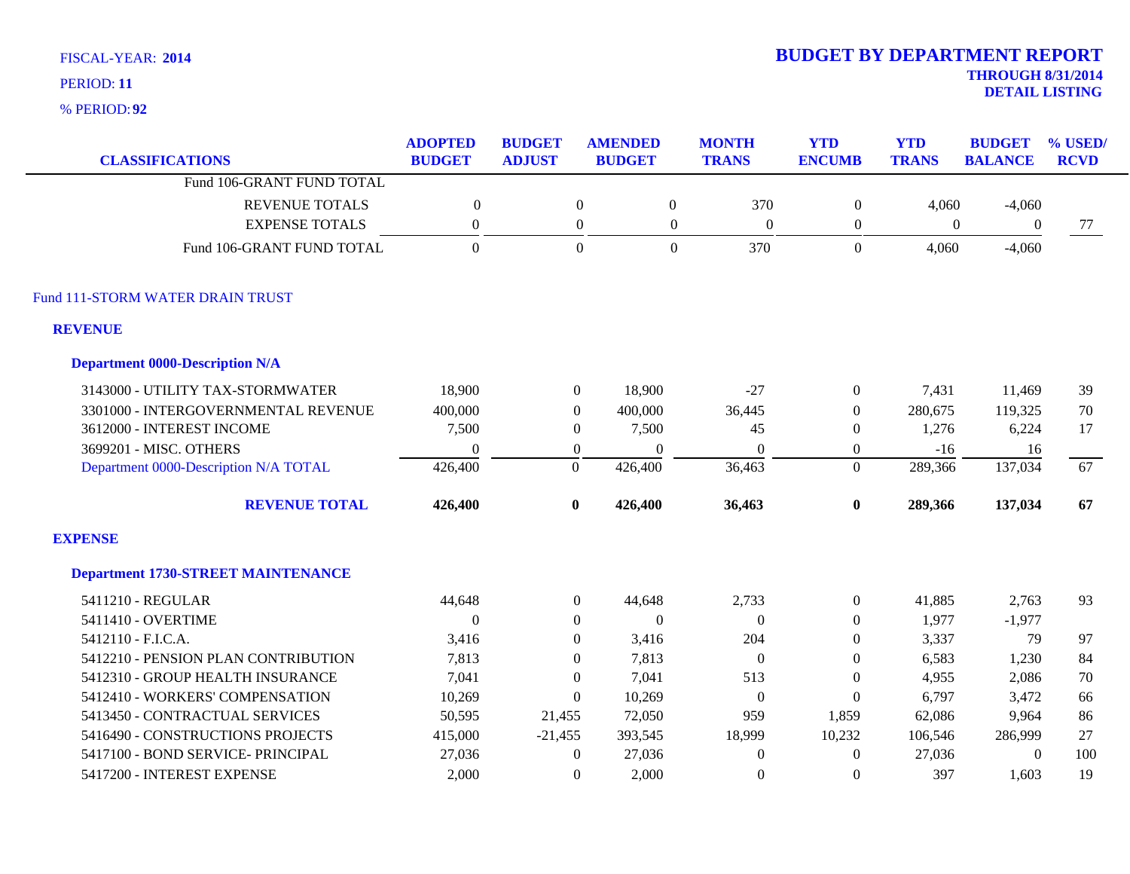**92** % PERIOD:

| <b>CLASSIFICATIONS</b>                    | <b>ADOPTED</b><br><b>BUDGET</b> | <b>BUDGET</b><br><b>ADJUST</b> | <b>AMENDED</b><br><b>BUDGET</b> | <b>MONTH</b><br><b>TRANS</b>         | <b>YTD</b><br><b>ENCUMB</b> | <b>YTD</b><br><b>TRANS</b> | <b>BUDGET</b><br><b>BALANCE</b> | % USED/<br><b>RCVD</b> |
|-------------------------------------------|---------------------------------|--------------------------------|---------------------------------|--------------------------------------|-----------------------------|----------------------------|---------------------------------|------------------------|
| Fund 106-GRANT FUND TOTAL                 |                                 |                                |                                 |                                      |                             |                            |                                 |                        |
| <b>REVENUE TOTALS</b>                     | $\mathbf{0}$                    | $\overline{0}$                 |                                 | $\boldsymbol{0}$<br>370              | $\boldsymbol{0}$            | 4,060                      | $-4,060$                        |                        |
| <b>EXPENSE TOTALS</b>                     | $\boldsymbol{0}$                | $\boldsymbol{0}$               |                                 | $\boldsymbol{0}$<br>$\boldsymbol{0}$ | $\boldsymbol{0}$            | $\boldsymbol{0}$           | $\mathbf{0}$                    | 77                     |
| Fund 106-GRANT FUND TOTAL                 | $\overline{0}$                  |                                | $\Omega$                        | $\mathbf{0}$<br>370                  | $\mathbf{0}$                | 4,060                      | $-4,060$                        |                        |
| Fund 111-STORM WATER DRAIN TRUST          |                                 |                                |                                 |                                      |                             |                            |                                 |                        |
| <b>REVENUE</b>                            |                                 |                                |                                 |                                      |                             |                            |                                 |                        |
| <b>Department 0000-Description N/A</b>    |                                 |                                |                                 |                                      |                             |                            |                                 |                        |
| 3143000 - UTILITY TAX-STORMWATER          | 18,900                          | $\overline{0}$                 | 18,900                          | $-27$                                | $\boldsymbol{0}$            | 7,431                      | 11,469                          | 39                     |
| 3301000 - INTERGOVERNMENTAL REVENUE       | 400,000                         | $\boldsymbol{0}$               | 400,000                         | 36,445                               | $\boldsymbol{0}$            | 280,675                    | 119,325                         | 70                     |
| 3612000 - INTEREST INCOME                 | 7,500                           | $\overline{0}$                 | 7,500                           | 45                                   | $\overline{0}$              | 1,276                      | 6,224                           | 17                     |
| 3699201 - MISC. OTHERS                    | $\Omega$                        | $\overline{0}$                 | $\Omega$                        | $\Omega$                             | $\overline{0}$              | $-16$                      | 16                              |                        |
| Department 0000-Description N/A TOTAL     | 426,400                         | $\mathbf{0}$                   | 426,400                         | 36,463                               | $\overline{0}$              | 289,366                    | 137,034                         | 67                     |
| <b>REVENUE TOTAL</b>                      | 426,400                         | $\bf{0}$                       | 426,400                         | 36,463                               | $\boldsymbol{0}$            | 289,366                    | 137,034                         | 67                     |
| <b>EXPENSE</b>                            |                                 |                                |                                 |                                      |                             |                            |                                 |                        |
| <b>Department 1730-STREET MAINTENANCE</b> |                                 |                                |                                 |                                      |                             |                            |                                 |                        |
| 5411210 - REGULAR                         | 44,648                          | $\boldsymbol{0}$               | 44,648                          | 2,733                                | $\boldsymbol{0}$            | 41,885                     | 2,763                           | 93                     |
| 5411410 - OVERTIME                        | $\Omega$                        | $\theta$                       | $\theta$                        | $\overline{0}$                       | $\overline{0}$              | 1,977                      | $-1,977$                        |                        |
| 5412110 - F.I.C.A.                        | 3,416                           | $\overline{0}$                 | 3,416                           | 204                                  | $\overline{0}$              | 3,337                      | 79                              | 97                     |
| 5412210 - PENSION PLAN CONTRIBUTION       | 7,813                           | $\Omega$                       | 7,813                           | $\theta$                             | $\Omega$                    | 6,583                      | 1,230                           | 84                     |
| 5412310 - GROUP HEALTH INSURANCE          | 7,041                           | $\theta$                       | 7,041                           | 513                                  | $\Omega$                    | 4,955                      | 2,086                           | 70                     |
| 5412410 - WORKERS' COMPENSATION           | 10,269                          | $\Omega$                       | 10,269                          | $\boldsymbol{0}$                     | $\mathbf{0}$                | 6,797                      | 3,472                           | 66                     |
| 5413450 - CONTRACTUAL SERVICES            | 50,595                          | 21,455                         | 72,050                          | 959                                  | 1,859                       | 62,086                     | 9,964                           | 86                     |
| 5416490 - CONSTRUCTIONS PROJECTS          | 415,000                         | $-21,455$                      | 393,545                         | 18,999                               | 10,232                      | 106,546                    | 286,999                         | 27                     |
| 5417100 - BOND SERVICE- PRINCIPAL         | 27,036                          | $\theta$                       | 27,036                          | $\boldsymbol{0}$                     | $\theta$                    | 27,036                     | $\theta$                        | 100                    |
| 5417200 - INTEREST EXPENSE                | 2.000                           | $\Omega$                       | 2,000                           | $\Omega$                             | $\Omega$                    | 397                        | 1,603                           | 19                     |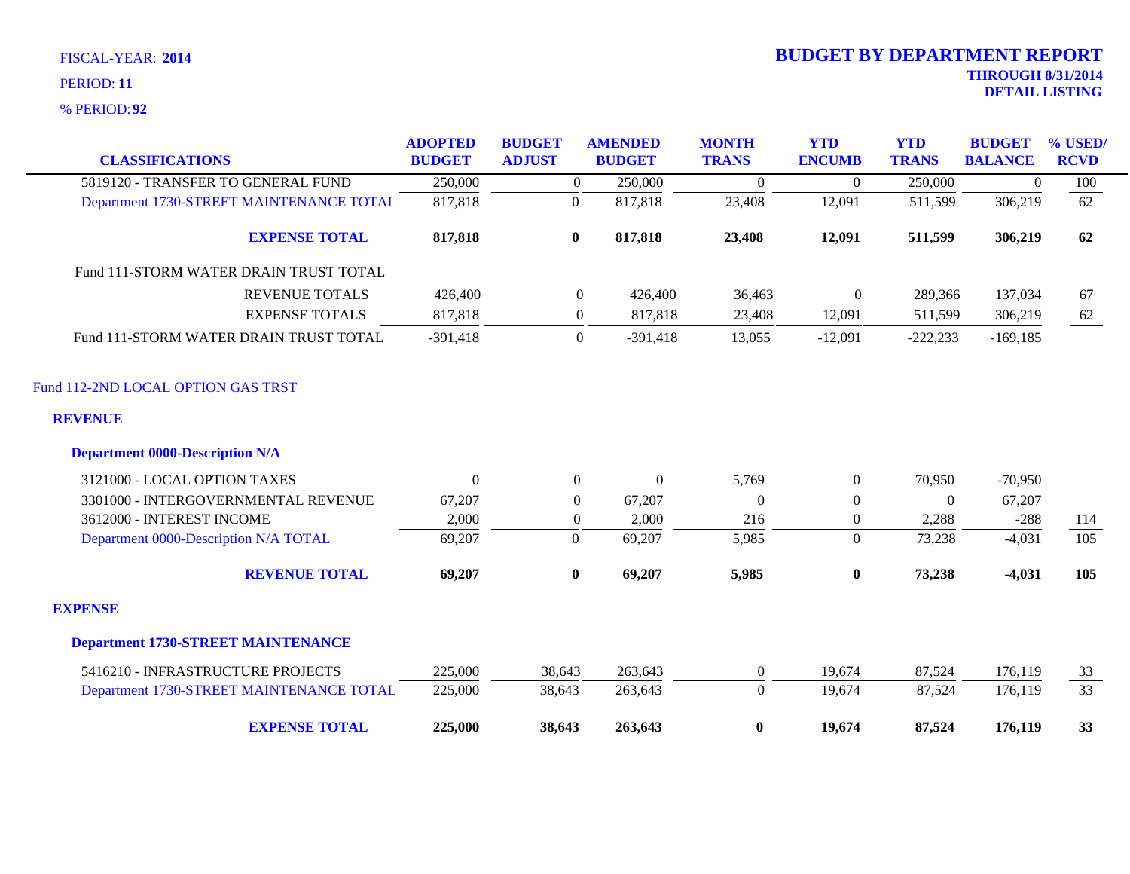| <b>CLASSIFICATIONS</b>                               | <b>ADOPTED</b><br><b>BUDGET</b> | <b>BUDGET</b><br><b>ADJUST</b> | <b>AMENDED</b><br><b>BUDGET</b> | <b>MONTH</b><br><b>TRANS</b> | <b>YTD</b><br><b>ENCUMB</b> | <b>YTD</b><br><b>TRANS</b> | <b>BUDGET</b><br><b>BALANCE</b> | % USED/<br><b>RCVD</b> |
|------------------------------------------------------|---------------------------------|--------------------------------|---------------------------------|------------------------------|-----------------------------|----------------------------|---------------------------------|------------------------|
| 5819120 - TRANSFER TO GENERAL FUND                   | 250,000                         | $\overline{0}$                 | 250,000                         | $\overline{0}$               | $\theta$                    | 250,000                    | $\mathbf{0}$                    | 100                    |
| Department 1730-STREET MAINTENANCE TOTAL             | 817,818                         | $\overline{0}$                 | 817,818                         | 23,408                       | 12,091                      | 511,599                    | 306,219                         | 62                     |
| <b>EXPENSE TOTAL</b>                                 | 817,818                         | $\bf{0}$                       | 817,818                         | 23,408                       | 12,091                      | 511,599                    | 306,219                         | 62                     |
| Fund 111-STORM WATER DRAIN TRUST TOTAL               |                                 |                                |                                 |                              |                             |                            |                                 |                        |
| REVENUE TOTALS                                       | 426,400                         | $\mathbf{0}$                   | 426,400                         | 36,463                       | $\boldsymbol{0}$            | 289,366                    | 137,034                         | 67                     |
| <b>EXPENSE TOTALS</b>                                | 817,818                         | $\overline{0}$                 | 817,818                         | 23,408                       | 12,091                      | 511,599                    | 306,219                         | 62                     |
| Fund 111-STORM WATER DRAIN TRUST TOTAL               | $-391,418$                      | $\theta$                       | $-391,418$                      | 13,055                       | $-12,091$                   | $-222,233$                 | $-169,185$                      |                        |
| Fund 112-2ND LOCAL OPTION GAS TRST<br><b>REVENUE</b> |                                 |                                |                                 |                              |                             |                            |                                 |                        |
| <b>Department 0000-Description N/A</b>               |                                 |                                |                                 |                              |                             |                            |                                 |                        |
| 3121000 - LOCAL OPTION TAXES                         | $\theta$                        | $\overline{0}$                 | $\boldsymbol{0}$                | 5,769                        | $\overline{0}$              | 70,950                     | $-70,950$                       |                        |
| 3301000 - INTERGOVERNMENTAL REVENUE                  | 67,207                          | $\Omega$                       | 67,207                          | $\theta$                     | $\boldsymbol{0}$            | $\Omega$                   | 67,207                          |                        |
| 3612000 - INTEREST INCOME                            | 2,000                           | $\overline{0}$                 | 2,000                           | 216                          | $\overline{0}$              | 2,288                      | $-288$                          | 114                    |
| Department 0000-Description N/A TOTAL                | 69,207                          | $\theta$                       | 69,207                          | 5,985                        | $\Omega$                    | 73,238                     | $-4,031$                        | 105                    |
| <b>REVENUE TOTAL</b>                                 | 69,207                          | $\bf{0}$                       | 69,207                          | 5,985                        | $\bf{0}$                    | 73,238                     | $-4,031$                        | 105                    |
| <b>EXPENSE</b>                                       |                                 |                                |                                 |                              |                             |                            |                                 |                        |
| <b>Department 1730-STREET MAINTENANCE</b>            |                                 |                                |                                 |                              |                             |                            |                                 |                        |
| 5416210 - INFRASTRUCTURE PROJECTS                    | 225,000                         | 38,643                         | 263,643                         | $\overline{0}$               | 19,674                      | 87,524                     | 176,119                         | 33                     |
| Department 1730-STREET MAINTENANCE TOTAL             | 225,000                         | 38,643                         | 263,643                         | $\overline{0}$               | 19,674                      | 87,524                     | 176,119                         | 33                     |
| <b>EXPENSE TOTAL</b>                                 | 225,000                         | 38,643                         | 263,643                         | $\bf{0}$                     | 19,674                      | 87,524                     | 176,119                         | 33                     |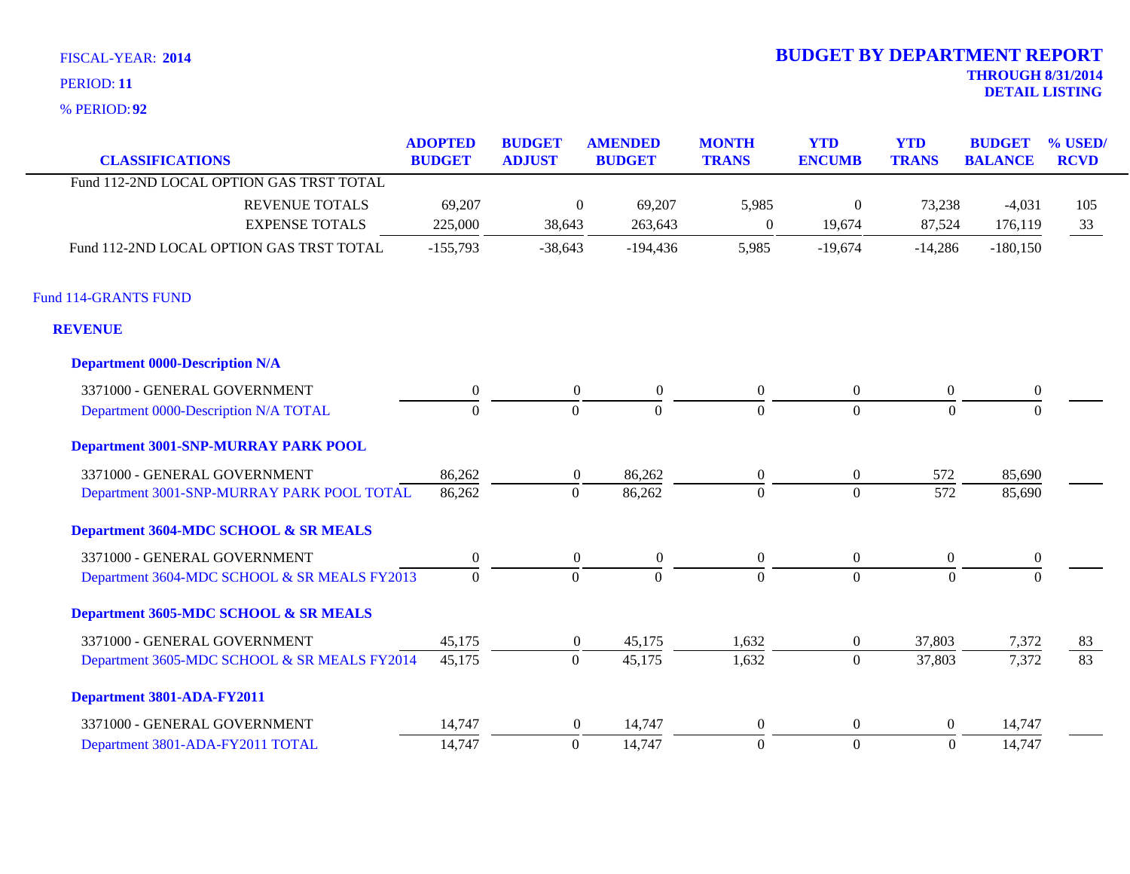**92** % PERIOD:

| <b>CLASSIFICATIONS</b>                       | <b>ADOPTED</b><br><b>BUDGET</b> | <b>BUDGET</b><br><b>ADJUST</b> | <b>AMENDED</b><br><b>BUDGET</b> | <b>MONTH</b><br><b>TRANS</b> | <b>YTD</b><br><b>ENCUMB</b> | <b>YTD</b><br><b>TRANS</b> | <b>BUDGET</b><br><b>BALANCE</b> | % USED/<br><b>RCVD</b> |
|----------------------------------------------|---------------------------------|--------------------------------|---------------------------------|------------------------------|-----------------------------|----------------------------|---------------------------------|------------------------|
| Fund 112-2ND LOCAL OPTION GAS TRST TOTAL     |                                 |                                |                                 |                              |                             |                            |                                 |                        |
| <b>REVENUE TOTALS</b>                        | 69,207                          | $\overline{0}$                 | 69,207                          | 5,985                        | $\boldsymbol{0}$            | 73,238                     | $-4,031$                        | 105                    |
| <b>EXPENSE TOTALS</b>                        | 225,000                         | 38,643                         | 263,643                         | $\mathbf{0}$                 | 19,674                      | 87,524                     | 176,119                         | 33                     |
| Fund 112-2ND LOCAL OPTION GAS TRST TOTAL     | $-155,793$                      | $-38,643$                      | $-194,436$                      | 5,985                        | $-19,674$                   | $-14,286$                  | $-180,150$                      |                        |
| <b>Fund 114-GRANTS FUND</b>                  |                                 |                                |                                 |                              |                             |                            |                                 |                        |
| <b>REVENUE</b>                               |                                 |                                |                                 |                              |                             |                            |                                 |                        |
| <b>Department 0000-Description N/A</b>       |                                 |                                |                                 |                              |                             |                            |                                 |                        |
| 3371000 - GENERAL GOVERNMENT                 | $\boldsymbol{0}$                | $\overline{0}$                 | $\mathbf{0}$                    | $\boldsymbol{0}$             | $\overline{0}$              | $\overline{0}$             | $\boldsymbol{0}$                |                        |
| Department 0000-Description N/A TOTAL        | $\overline{0}$                  | $\overline{0}$                 | $\Omega$                        | $\Omega$                     | $\overline{0}$              | $\mathbf{0}$               | $\Omega$                        |                        |
| <b>Department 3001-SNP-MURRAY PARK POOL</b>  |                                 |                                |                                 |                              |                             |                            |                                 |                        |
| 3371000 - GENERAL GOVERNMENT                 | 86,262                          | $\boldsymbol{0}$               | 86,262                          | $\boldsymbol{0}$             | $\boldsymbol{0}$            | 572                        | 85,690                          |                        |
| Department 3001-SNP-MURRAY PARK POOL TOTAL   | 86,262                          | $\mathbf{0}$                   | 86,262                          | $\overline{0}$               | $\overline{0}$              | 572                        | 85,690                          |                        |
| Department 3604-MDC SCHOOL & SR MEALS        |                                 |                                |                                 |                              |                             |                            |                                 |                        |
| 3371000 - GENERAL GOVERNMENT                 | $\boldsymbol{0}$                | $\overline{0}$                 | $\boldsymbol{0}$                | $\boldsymbol{0}$             | $\overline{0}$              | $\boldsymbol{0}$           | $\boldsymbol{0}$                |                        |
| Department 3604-MDC SCHOOL & SR MEALS FY2013 | $\overline{0}$                  | $\overline{0}$                 | $\overline{0}$                  | $\overline{0}$               | $\overline{0}$              | $\overline{0}$             | $\mathbf{0}$                    |                        |
| Department 3605-MDC SCHOOL & SR MEALS        |                                 |                                |                                 |                              |                             |                            |                                 |                        |
| 3371000 - GENERAL GOVERNMENT                 | 45,175                          | $\overline{0}$                 | 45,175                          | 1,632                        | $\overline{0}$              | 37,803                     | 7,372                           | 83                     |
| Department 3605-MDC SCHOOL & SR MEALS FY2014 | 45,175                          | $\overline{0}$                 | 45,175                          | 1,632                        | $\overline{0}$              | 37,803                     | 7,372                           | $\overline{83}$        |
| Department 3801-ADA-FY2011                   |                                 |                                |                                 |                              |                             |                            |                                 |                        |
| 3371000 - GENERAL GOVERNMENT                 | 14,747                          | $\overline{0}$                 | 14,747                          | $\mathbf{0}$                 | $\boldsymbol{0}$            | $\overline{0}$             | 14,747                          |                        |
| Department 3801-ADA-FY2011 TOTAL             | 14,747                          | $\boldsymbol{0}$               | 14,747                          | $\mathbf{0}$                 | $\overline{0}$              | $\mathbf{0}$               | 14,747                          |                        |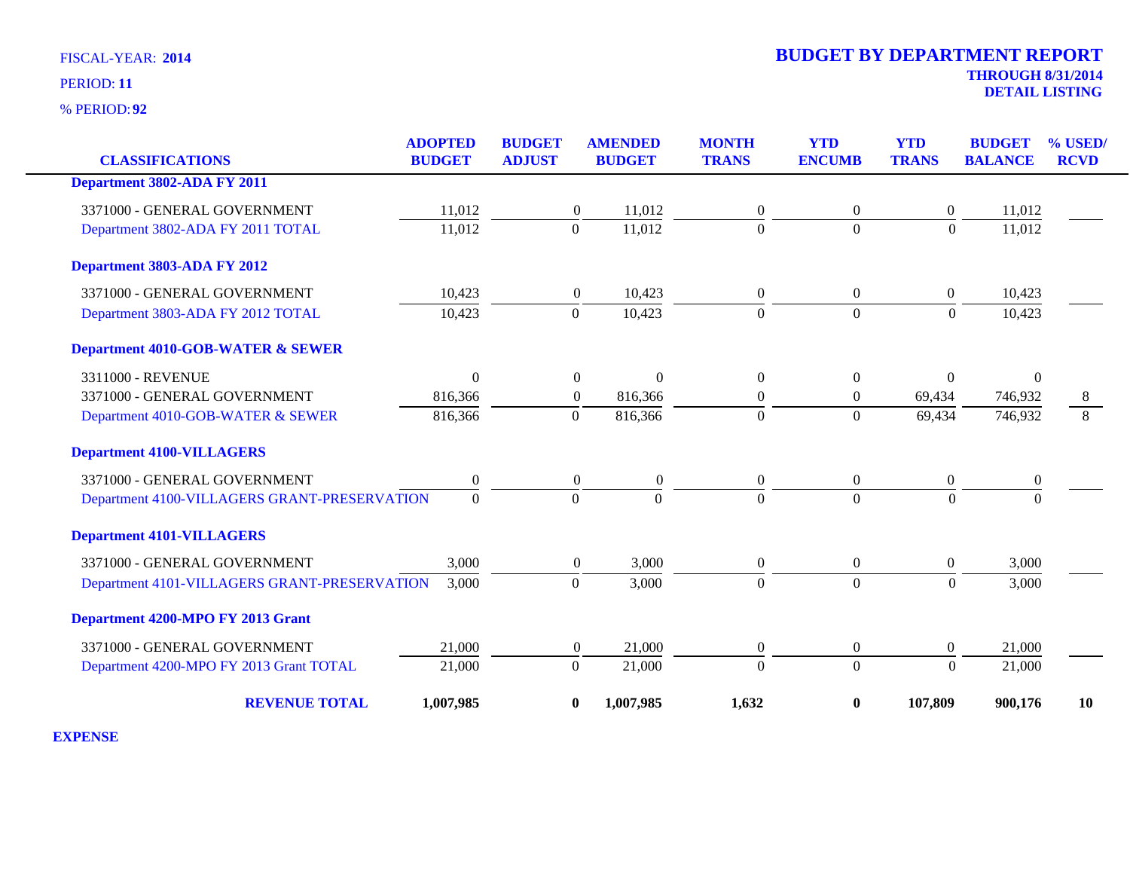**92** % PERIOD:

| <b>CLASSIFICATIONS</b>                       | <b>ADOPTED</b><br><b>BUDGET</b> | <b>BUDGET</b><br><b>ADJUST</b> | <b>AMENDED</b><br><b>BUDGET</b> | <b>MONTH</b><br><b>TRANS</b> | <b>YTD</b><br><b>ENCUMB</b> | <b>YTD</b><br><b>TRANS</b> | <b>BUDGET</b><br><b>BALANCE</b> | % USED<br><b>RCVD</b> |
|----------------------------------------------|---------------------------------|--------------------------------|---------------------------------|------------------------------|-----------------------------|----------------------------|---------------------------------|-----------------------|
| Department 3802-ADA FY 2011                  |                                 |                                |                                 |                              |                             |                            |                                 |                       |
| 3371000 - GENERAL GOVERNMENT                 | 11,012                          | $\boldsymbol{0}$               | 11,012                          | $\overline{0}$               | $\boldsymbol{0}$            | $\boldsymbol{0}$           | 11,012                          |                       |
| Department 3802-ADA FY 2011 TOTAL            | 11,012                          | $\overline{0}$                 | 11,012                          | $\overline{0}$               | $\overline{0}$              | $\overline{0}$             | 11,012                          |                       |
| Department 3803-ADA FY 2012                  |                                 |                                |                                 |                              |                             |                            |                                 |                       |
| 3371000 - GENERAL GOVERNMENT                 | 10,423                          | $\boldsymbol{0}$               | 10,423                          | $\overline{0}$               | $\boldsymbol{0}$            | $\boldsymbol{0}$           | 10,423                          |                       |
| Department 3803-ADA FY 2012 TOTAL            | 10,423                          | $\mathbf{0}$                   | 10,423                          | $\Omega$                     | $\overline{0}$              | $\Omega$                   | 10,423                          |                       |
| <b>Department 4010-GOB-WATER &amp; SEWER</b> |                                 |                                |                                 |                              |                             |                            |                                 |                       |
| 3311000 - REVENUE                            | $\boldsymbol{0}$                | $\boldsymbol{0}$               | $\theta$                        | $\boldsymbol{0}$             | $\boldsymbol{0}$            | $\boldsymbol{0}$           | $\mathbf{0}$                    |                       |
| 3371000 - GENERAL GOVERNMENT                 | 816,366                         | $\boldsymbol{0}$               | 816,366                         | $\overline{0}$               | $\boldsymbol{0}$            | 69,434                     | 746,932                         | 8                     |
| Department 4010-GOB-WATER & SEWER            | 816,366                         | $\Omega$                       | 816,366                         | $\Omega$                     | $\overline{0}$              | 69,434                     | 746,932                         | 8                     |
| <b>Department 4100-VILLAGERS</b>             |                                 |                                |                                 |                              |                             |                            |                                 |                       |
| 3371000 - GENERAL GOVERNMENT                 | $\boldsymbol{0}$                | $\boldsymbol{0}$               | $\boldsymbol{0}$                | $\mathbf{0}$                 | $\boldsymbol{0}$            | $\boldsymbol{0}$           | $\boldsymbol{0}$                |                       |
| Department 4100-VILLAGERS GRANT-PRESERVATION | $\Omega$                        | $\theta$                       | $\Omega$                        | $\Omega$                     | $\Omega$                    | $\Omega$                   | $\Omega$                        |                       |
| <b>Department 4101-VILLAGERS</b>             |                                 |                                |                                 |                              |                             |                            |                                 |                       |
| 3371000 - GENERAL GOVERNMENT                 | 3,000                           | $\theta$                       | 3,000                           | $\overline{0}$               | $\boldsymbol{0}$            | $\overline{0}$             | 3,000                           |                       |
| Department 4101-VILLAGERS GRANT-PRESERVATION | 3,000                           | $\mathbf{0}$                   | 3,000                           | $\overline{0}$               | $\overline{0}$              | $\overline{0}$             | 3,000                           |                       |
| Department 4200-MPO FY 2013 Grant            |                                 |                                |                                 |                              |                             |                            |                                 |                       |
| 3371000 - GENERAL GOVERNMENT                 | 21,000                          | $\boldsymbol{0}$               | 21,000                          | $\boldsymbol{0}$             | $\boldsymbol{0}$            | $\boldsymbol{0}$           | 21,000                          |                       |
| Department 4200-MPO FY 2013 Grant TOTAL      | 21,000                          | $\overline{0}$                 | 21,000                          | $\theta$                     | $\overline{0}$              | $\overline{0}$             | 21,000                          |                       |
| <b>REVENUE TOTAL</b>                         | 1,007,985                       | $\boldsymbol{0}$               | 1,007,985                       | 1,632                        | $\bf{0}$                    | 107,809                    | 900,176                         | 10                    |

**EXPENSE**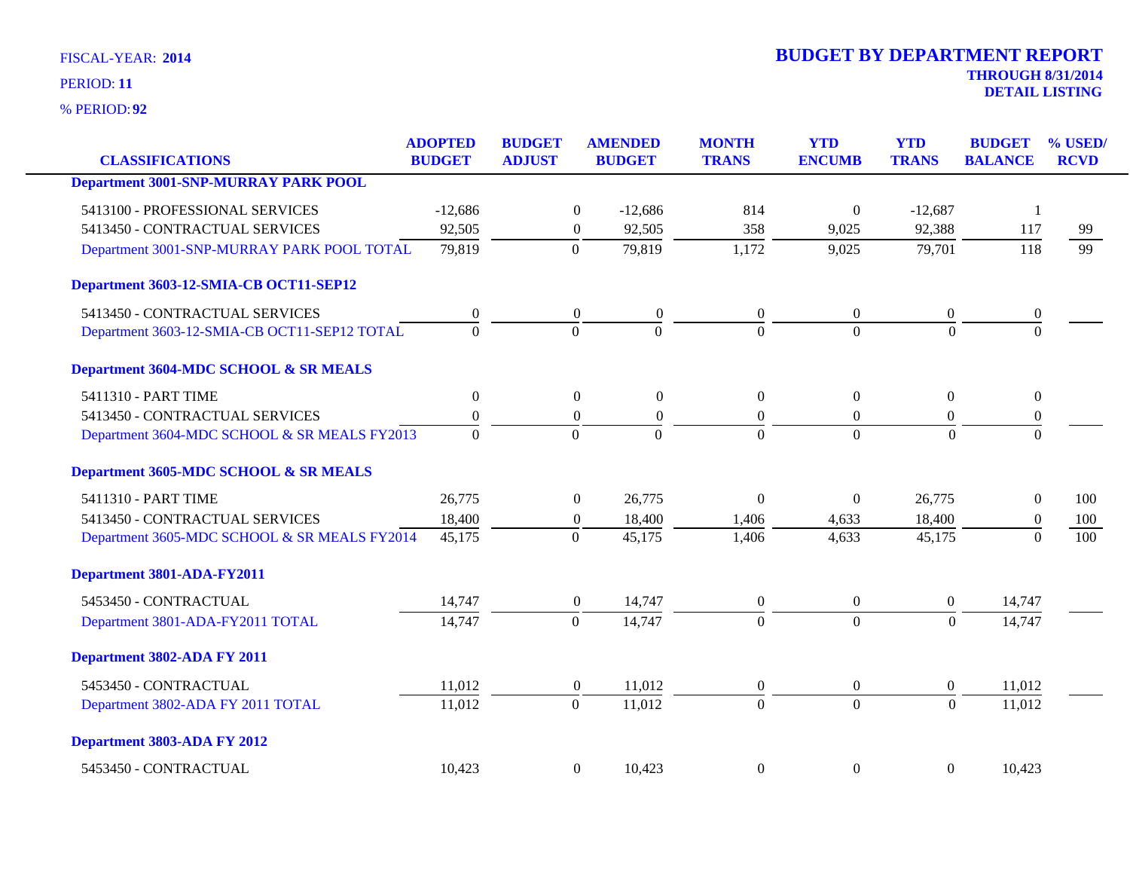**92** % PERIOD:

| <b>CLASSIFICATIONS</b>                       | <b>ADOPTED</b><br><b>BUDGET</b> | <b>BUDGET</b><br><b>ADJUST</b> | <b>AMENDED</b><br><b>BUDGET</b>      | <b>MONTH</b><br><b>TRANS</b> | <b>YTD</b><br><b>ENCUMB</b> | <b>YTD</b><br><b>TRANS</b> | <b>BUDGET</b><br><b>BALANCE</b> | % USED/<br><b>RCVD</b> |
|----------------------------------------------|---------------------------------|--------------------------------|--------------------------------------|------------------------------|-----------------------------|----------------------------|---------------------------------|------------------------|
| <b>Department 3001-SNP-MURRAY PARK POOL</b>  |                                 |                                |                                      |                              |                             |                            |                                 |                        |
|                                              |                                 |                                |                                      |                              |                             |                            |                                 |                        |
| 5413100 - PROFESSIONAL SERVICES              | $-12,686$                       |                                | $\overline{0}$<br>$-12,686$          | 814                          | $\theta$                    | $-12,687$                  | $\overline{1}$                  |                        |
| 5413450 - CONTRACTUAL SERVICES               | 92,505                          |                                | 92,505<br>$\boldsymbol{0}$           | 358                          | 9,025                       | 92,388                     | 117                             | 99                     |
| Department 3001-SNP-MURRAY PARK POOL TOTAL   | 79,819                          | $\mathbf{0}$                   | 79,819                               | 1,172                        | 9,025                       | 79,701                     | 118                             | 99                     |
| Department 3603-12-SMIA-CB OCT11-SEP12       |                                 |                                |                                      |                              |                             |                            |                                 |                        |
| 5413450 - CONTRACTUAL SERVICES               | $\boldsymbol{0}$                |                                | $\boldsymbol{0}$<br>$\boldsymbol{0}$ | $\boldsymbol{0}$             | $\boldsymbol{0}$            | $\boldsymbol{0}$           | $\boldsymbol{0}$                |                        |
| Department 3603-12-SMIA-CB OCT11-SEP12 TOTAL | $\Omega$                        |                                | $\overline{0}$<br>$\mathbf{0}$       | $\Omega$                     | $\Omega$                    | $\Omega$                   | $\Omega$                        |                        |
| Department 3604-MDC SCHOOL & SR MEALS        |                                 |                                |                                      |                              |                             |                            |                                 |                        |
| 5411310 - PART TIME                          | $\overline{0}$                  |                                | $\mathbf{0}$<br>$\boldsymbol{0}$     | $\Omega$                     | $\Omega$                    | $\mathbf{0}$               | $\overline{0}$                  |                        |
| 5413450 - CONTRACTUAL SERVICES               | $\boldsymbol{0}$                |                                | $\boldsymbol{0}$<br>$\boldsymbol{0}$ | $\boldsymbol{0}$             | $\overline{0}$              | $\overline{0}$             | $\boldsymbol{0}$                |                        |
| Department 3604-MDC SCHOOL & SR MEALS FY2013 | $\Omega$                        |                                | $\Omega$<br>$\Omega$                 | $\Omega$                     | $\Omega$                    | $\Omega$                   | $\Omega$                        |                        |
| Department 3605-MDC SCHOOL & SR MEALS        |                                 |                                |                                      |                              |                             |                            |                                 |                        |
| 5411310 - PART TIME                          | 26,775                          |                                | 26,775<br>$\boldsymbol{0}$           | $\mathbf{0}$                 | $\boldsymbol{0}$            | 26,775                     | $\boldsymbol{0}$                | 100                    |
| 5413450 - CONTRACTUAL SERVICES               | 18,400                          |                                | 18,400<br>$\boldsymbol{0}$           | 1,406                        | 4,633                       | 18,400                     | $\boldsymbol{0}$                | 100                    |
| Department 3605-MDC SCHOOL & SR MEALS FY2014 | 45,175                          |                                | $\theta$<br>45,175                   | 1,406                        | 4,633                       | 45,175                     | $\Omega$                        | 100                    |
| Department 3801-ADA-FY2011                   |                                 |                                |                                      |                              |                             |                            |                                 |                        |
| 5453450 - CONTRACTUAL                        | 14,747                          |                                | 14,747<br>$\boldsymbol{0}$           | $\overline{0}$               | $\boldsymbol{0}$            | $\overline{0}$             | 14,747                          |                        |
| Department 3801-ADA-FY2011 TOTAL             | 14,747                          |                                | $\overline{0}$<br>14,747             | $\Omega$                     | $\theta$                    | $\overline{0}$             | 14,747                          |                        |
| Department 3802-ADA FY 2011                  |                                 |                                |                                      |                              |                             |                            |                                 |                        |
| 5453450 - CONTRACTUAL                        | 11,012                          |                                | $\boldsymbol{0}$<br>11,012           | $\boldsymbol{0}$             | $\boldsymbol{0}$            | $\boldsymbol{0}$           | 11,012                          |                        |
| Department 3802-ADA FY 2011 TOTAL            | 11,012                          | $\mathbf{0}$                   | 11,012                               | $\mathbf{0}$                 | $\mathbf{0}$                | $\overline{0}$             | 11,012                          |                        |
| Department 3803-ADA FY 2012                  |                                 |                                |                                      |                              |                             |                            |                                 |                        |
| 5453450 - CONTRACTUAL                        | 10,423                          |                                | $\overline{0}$<br>10,423             | $\theta$                     | $\mathbf{0}$                | $\overline{0}$             | 10,423                          |                        |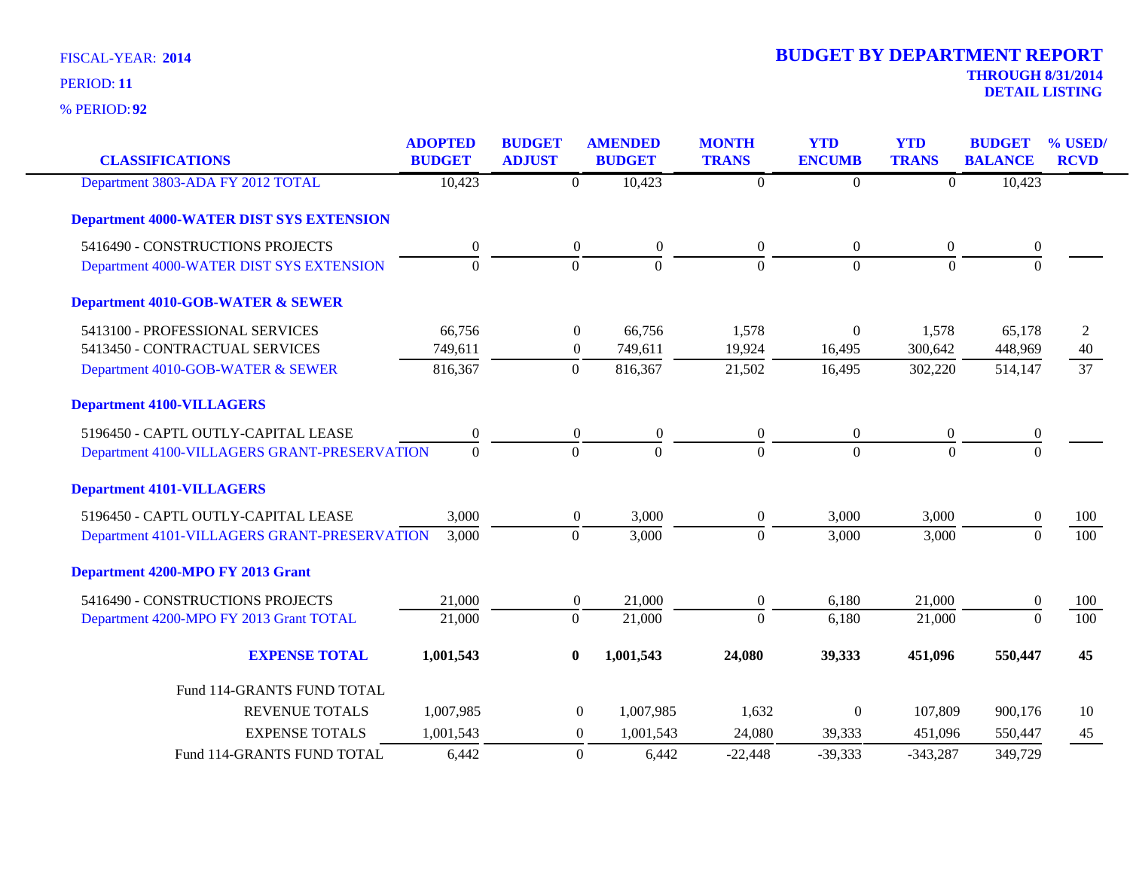| <b>CLASSIFICATIONS</b>                          | <b>ADOPTED</b><br><b>BUDGET</b> | <b>BUDGET</b><br><b>ADJUST</b> | <b>AMENDED</b><br><b>BUDGET</b> | <b>MONTH</b><br><b>TRANS</b> | <b>YTD</b><br><b>ENCUMB</b> | <b>YTD</b><br><b>TRANS</b> | <b>BUDGET</b><br><b>BALANCE</b> | % USED/<br><b>RCVD</b> |
|-------------------------------------------------|---------------------------------|--------------------------------|---------------------------------|------------------------------|-----------------------------|----------------------------|---------------------------------|------------------------|
| Department 3803-ADA FY 2012 TOTAL               | 10,423                          | $\overline{0}$                 | 10,423                          | $\Omega$                     | $\boldsymbol{0}$            | $\mathbf{0}$               | 10,423                          |                        |
| <b>Department 4000-WATER DIST SYS EXTENSION</b> |                                 |                                |                                 |                              |                             |                            |                                 |                        |
| 5416490 - CONSTRUCTIONS PROJECTS                | 0                               | $\boldsymbol{0}$               | $\boldsymbol{0}$                | $\overline{0}$               | $\overline{0}$              | $\boldsymbol{0}$           | $\boldsymbol{0}$                |                        |
| Department 4000-WATER DIST SYS EXTENSION        | $\overline{0}$                  | $\overline{0}$                 | $\mathbf{0}$                    | $\Omega$                     | $\overline{0}$              | $\mathbf{0}$               | $\mathbf{0}$                    |                        |
| <b>Department 4010-GOB-WATER &amp; SEWER</b>    |                                 |                                |                                 |                              |                             |                            |                                 |                        |
| 5413100 - PROFESSIONAL SERVICES                 | 66,756                          | $\boldsymbol{0}$               | 66,756                          | 1,578                        | $\Omega$                    | 1,578                      | 65,178                          | 2                      |
| 5413450 - CONTRACTUAL SERVICES                  | 749,611                         | $\boldsymbol{0}$               | 749,611                         | 19,924                       | 16,495                      | 300,642                    | 448,969                         | 40                     |
| Department 4010-GOB-WATER & SEWER               | 816,367                         | $\overline{0}$                 | 816,367                         | 21,502                       | 16,495                      | 302,220                    | 514,147                         | 37                     |
| <b>Department 4100-VILLAGERS</b>                |                                 |                                |                                 |                              |                             |                            |                                 |                        |
| 5196450 - CAPTL OUTLY-CAPITAL LEASE             | $\boldsymbol{0}$                | $\boldsymbol{0}$               | $\boldsymbol{0}$                | $\boldsymbol{0}$             | $\boldsymbol{0}$            | $\boldsymbol{0}$           | $\boldsymbol{0}$                |                        |
| Department 4100-VILLAGERS GRANT-PRESERVATION    | $\overline{0}$                  | $\overline{0}$                 | $\overline{0}$                  | $\theta$                     | $\mathbf{0}$                | $\overline{0}$             | $\overline{0}$                  |                        |
| <b>Department 4101-VILLAGERS</b>                |                                 |                                |                                 |                              |                             |                            |                                 |                        |
| 5196450 - CAPTL OUTLY-CAPITAL LEASE             | 3,000                           | $\boldsymbol{0}$               | 3,000                           | $\overline{0}$               | 3,000                       | 3,000                      | $\boldsymbol{0}$                | 100                    |
| Department 4101-VILLAGERS GRANT-PRESERVATION    | 3,000                           | $\mathbf{0}$                   | 3,000                           | $\theta$                     | 3,000                       | 3,000                      | $\boldsymbol{0}$                | 100                    |
| Department 4200-MPO FY 2013 Grant               |                                 |                                |                                 |                              |                             |                            |                                 |                        |
| 5416490 - CONSTRUCTIONS PROJECTS                | 21,000                          | $\boldsymbol{0}$               | 21,000                          | $\overline{0}$               | 6,180                       | 21,000                     | $\boldsymbol{0}$                | 100                    |
| Department 4200-MPO FY 2013 Grant TOTAL         | 21,000                          | $\overline{0}$                 | 21,000                          | $\Omega$                     | 6,180                       | 21,000                     | $\overline{0}$                  | 100                    |
| <b>EXPENSE TOTAL</b>                            | 1,001,543                       | $\bf{0}$                       | 1,001,543                       | 24,080                       | 39,333                      | 451,096                    | 550,447                         | 45                     |
| Fund 114-GRANTS FUND TOTAL                      |                                 |                                |                                 |                              |                             |                            |                                 |                        |
| REVENUE TOTALS                                  | 1,007,985                       | $\boldsymbol{0}$               | 1,007,985                       | 1,632                        | $\Omega$                    | 107,809                    | 900,176                         | 10                     |
| <b>EXPENSE TOTALS</b>                           | 1,001,543                       | $\overline{0}$                 | 1,001,543                       | 24,080                       | 39,333                      | 451,096                    | 550,447                         | 45                     |
| Fund 114-GRANTS FUND TOTAL                      | 6,442                           | $\boldsymbol{0}$               | 6,442                           | $-22,448$                    | $-39,333$                   | $-343,287$                 | 349,729                         |                        |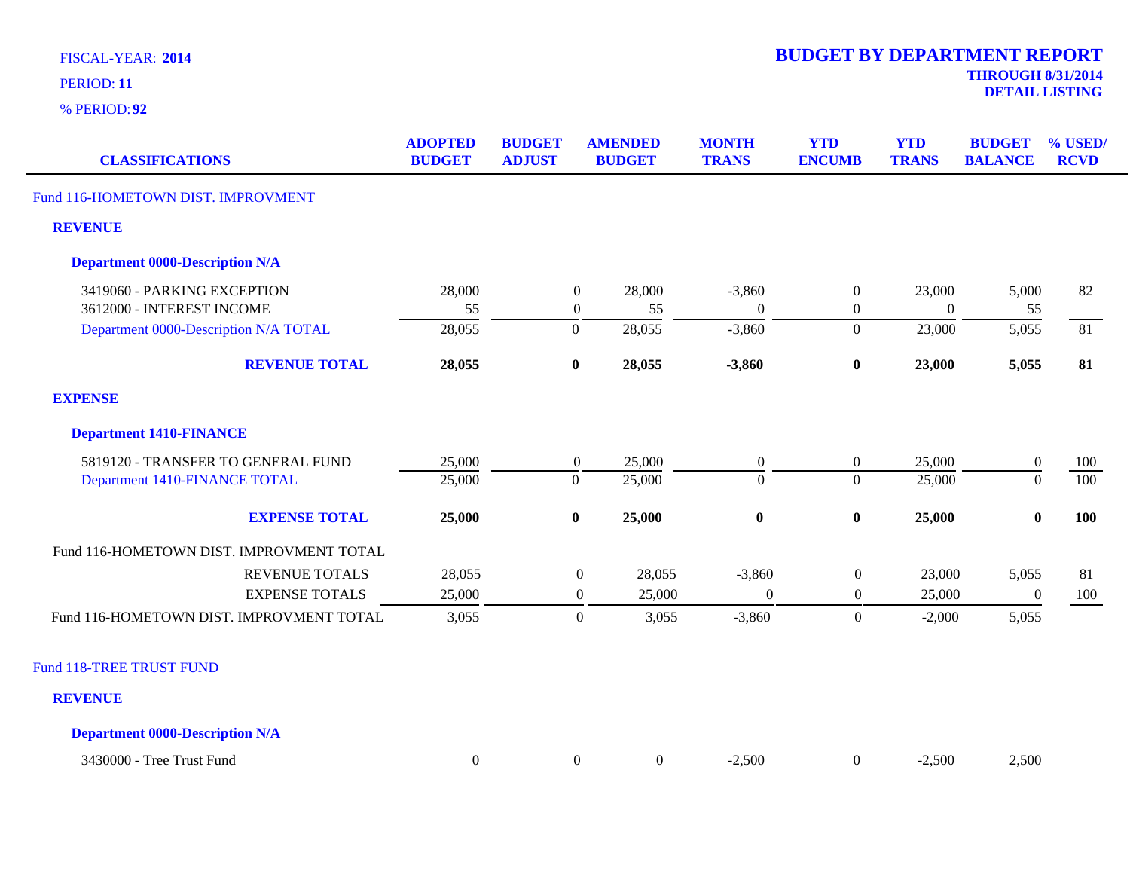**92** % PERIOD:

| <b>CLASSIFICATIONS</b>                            | <b>ADOPTED</b><br><b>BUDGET</b> | <b>BUDGET</b><br><b>ADJUST</b> |                  | <b>AMENDED</b><br><b>BUDGET</b> | <b>MONTH</b><br><b>TRANS</b> | <b>YTD</b><br><b>ENCUMB</b> | <b>YTD</b><br><b>TRANS</b> | <b>BUDGET</b><br><b>BALANCE</b> | % USED/<br><b>RCVD</b> |
|---------------------------------------------------|---------------------------------|--------------------------------|------------------|---------------------------------|------------------------------|-----------------------------|----------------------------|---------------------------------|------------------------|
| Fund 116-HOMETOWN DIST. IMPROVMENT                |                                 |                                |                  |                                 |                              |                             |                            |                                 |                        |
| <b>REVENUE</b>                                    |                                 |                                |                  |                                 |                              |                             |                            |                                 |                        |
| <b>Department 0000-Description N/A</b>            |                                 |                                |                  |                                 |                              |                             |                            |                                 |                        |
| 3419060 - PARKING EXCEPTION                       | 28,000                          |                                | $\mathbf{0}$     | 28,000                          | $-3,860$                     | $\boldsymbol{0}$            | 23,000                     | 5,000                           | 82                     |
| 3612000 - INTEREST INCOME                         | 55                              |                                | $\boldsymbol{0}$ | 55                              | $\Omega$                     | $\overline{0}$              | $\mathbf{0}$               | 55                              |                        |
| Department 0000-Description N/A TOTAL             | 28,055                          |                                | $\overline{0}$   | 28,055                          | $-3,860$                     | $\overline{0}$              | 23,000                     | 5,055                           | 81                     |
| <b>REVENUE TOTAL</b>                              | 28,055                          |                                | $\bf{0}$         | 28,055                          | $-3,860$                     | $\bf{0}$                    | 23,000                     | 5,055                           | 81                     |
| <b>EXPENSE</b>                                    |                                 |                                |                  |                                 |                              |                             |                            |                                 |                        |
| <b>Department 1410-FINANCE</b>                    |                                 |                                |                  |                                 |                              |                             |                            |                                 |                        |
| 5819120 - TRANSFER TO GENERAL FUND                | 25,000                          |                                | $\overline{0}$   | 25,000                          | $\overline{0}$               | $\boldsymbol{0}$            | 25,000                     | $\boldsymbol{0}$                | <b>100</b>             |
| Department 1410-FINANCE TOTAL                     | 25,000                          |                                | $\mathbf{0}$     | 25,000                          | $\overline{0}$               | $\overline{0}$              | 25,000                     | $\overline{0}$                  | 100                    |
| <b>EXPENSE TOTAL</b>                              | 25,000                          |                                | $\bf{0}$         | 25,000                          | $\bf{0}$                     | $\boldsymbol{0}$            | 25,000                     | $\boldsymbol{0}$                | 100                    |
| Fund 116-HOMETOWN DIST. IMPROVMENT TOTAL          |                                 |                                |                  |                                 |                              |                             |                            |                                 |                        |
| <b>REVENUE TOTALS</b>                             | 28,055                          |                                | $\boldsymbol{0}$ | 28,055                          | $-3,860$                     | $\boldsymbol{0}$            | 23,000                     | 5,055                           | 81                     |
| <b>EXPENSE TOTALS</b>                             | 25,000                          |                                | $\boldsymbol{0}$ | 25,000                          | $\boldsymbol{0}$             | $\overline{0}$              | 25,000                     | $\theta$                        | 100                    |
| Fund 116-HOMETOWN DIST. IMPROVMENT TOTAL          | 3,055                           |                                | $\boldsymbol{0}$ | 3,055                           | $-3,860$                     | $\overline{0}$              | $-2,000$                   | 5,055                           |                        |
| <b>Fund 118-TREE TRUST FUND</b><br><b>REVENUE</b> |                                 |                                |                  |                                 |                              |                             |                            |                                 |                        |

**Department 0000-Description N/A**

| 3430000<br>$\mathbf{r}$<br>Tree<br>Fund<br>i rust |  |  |  | $-.500$ |  | .500 | 2.500 |
|---------------------------------------------------|--|--|--|---------|--|------|-------|
|---------------------------------------------------|--|--|--|---------|--|------|-------|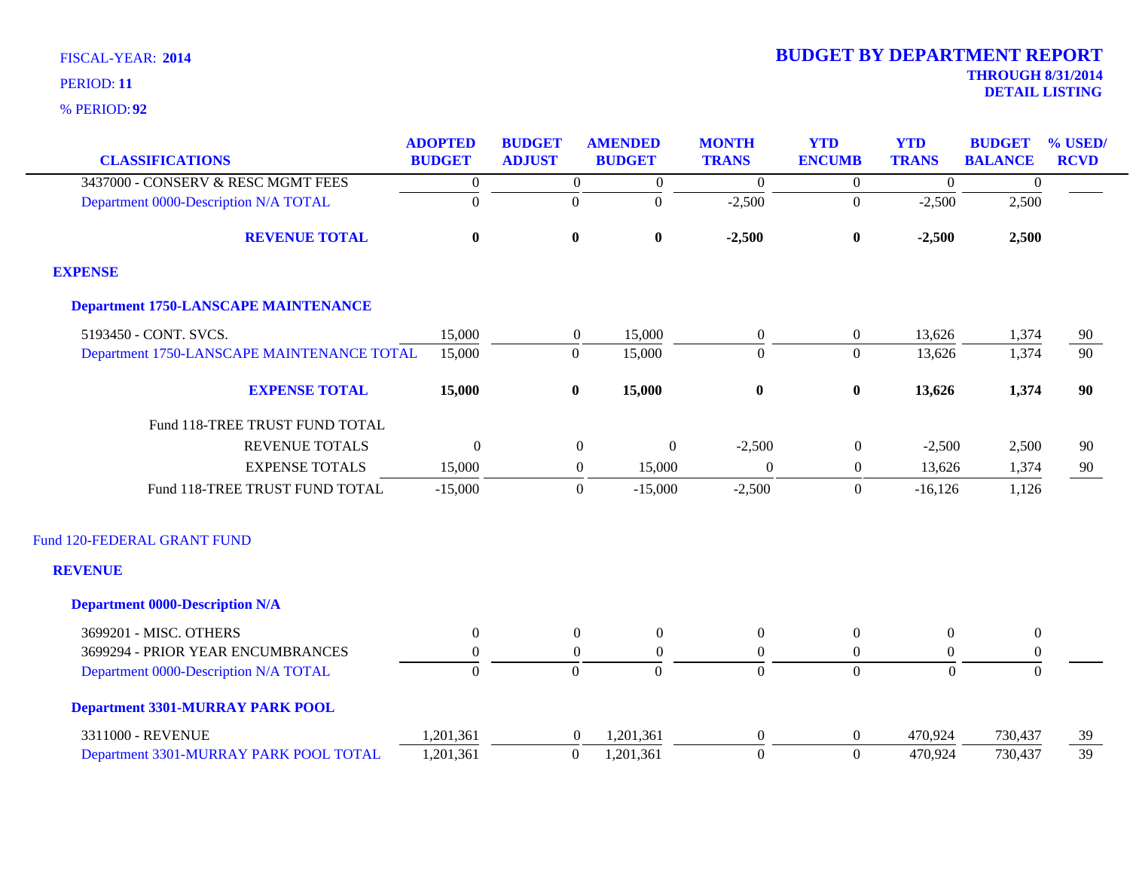|                                             | <b>ADOPTED</b>   | <b>BUDGET</b>    | <b>AMENDED</b>                     | <b>MONTH</b>     | <b>YTD</b>       | <b>YTD</b>       | <b>BUDGET</b>    | % USED/     |
|---------------------------------------------|------------------|------------------|------------------------------------|------------------|------------------|------------------|------------------|-------------|
| <b>CLASSIFICATIONS</b>                      | <b>BUDGET</b>    | <b>ADJUST</b>    | <b>BUDGET</b>                      | <b>TRANS</b>     | <b>ENCUMB</b>    | <b>TRANS</b>     | <b>BALANCE</b>   | <b>RCVD</b> |
| 3437000 - CONSERV & RESC MGMT FEES          | $\boldsymbol{0}$ | $\overline{0}$   | $\boldsymbol{0}$                   | $\boldsymbol{0}$ | $\overline{0}$   | $\boldsymbol{0}$ | $\mathbf{0}$     |             |
| Department 0000-Description N/A TOTAL       | $\mathbf{0}$     | $\boldsymbol{0}$ | $\boldsymbol{0}$                   | $-2,500$         | $\overline{0}$   | $-2,500$         | 2,500            |             |
| <b>REVENUE TOTAL</b>                        | $\bf{0}$         | $\bf{0}$         | $\bf{0}$                           | $-2,500$         | $\boldsymbol{0}$ | $-2,500$         | 2,500            |             |
| <b>EXPENSE</b>                              |                  |                  |                                    |                  |                  |                  |                  |             |
| <b>Department 1750-LANSCAPE MAINTENANCE</b> |                  |                  |                                    |                  |                  |                  |                  |             |
| 5193450 - CONT. SVCS.                       | 15,000           | $\boldsymbol{0}$ | 15,000                             | $\overline{0}$   | $\boldsymbol{0}$ | 13,626           | 1,374            | 90          |
| Department 1750-LANSCAPE MAINTENANCE TOTAL  | 15,000           | $\mathbf{0}$     | 15,000                             | $\Omega$         | $\Omega$         | 13,626           | 1,374            | 90          |
| <b>EXPENSE TOTAL</b>                        | 15,000           | $\bf{0}$         | 15,000                             | $\boldsymbol{0}$ | $\boldsymbol{0}$ | 13,626           | 1,374            | 90          |
| Fund 118-TREE TRUST FUND TOTAL              |                  |                  |                                    |                  |                  |                  |                  |             |
| <b>REVENUE TOTALS</b>                       | $\theta$         |                  | $\boldsymbol{0}$<br>$\overline{0}$ | $-2,500$         | $\boldsymbol{0}$ | $-2,500$         | 2,500            | 90          |
| <b>EXPENSE TOTALS</b>                       | 15,000           |                  | 15,000<br>$\boldsymbol{0}$         | $\boldsymbol{0}$ | $\boldsymbol{0}$ | 13,626           | 1,374            | 90          |
| Fund 118-TREE TRUST FUND TOTAL              | $-15,000$        |                  | $\boldsymbol{0}$<br>$-15,000$      | $-2,500$         | $\overline{0}$   | $-16,126$        | 1,126            |             |
| Fund 120-FEDERAL GRANT FUND                 |                  |                  |                                    |                  |                  |                  |                  |             |
| <b>REVENUE</b>                              |                  |                  |                                    |                  |                  |                  |                  |             |
| <b>Department 0000-Description N/A</b>      |                  |                  |                                    |                  |                  |                  |                  |             |
| 3699201 - MISC. OTHERS                      | $\overline{0}$   | $\Omega$         | $\overline{0}$                     | $\Omega$         | $\boldsymbol{0}$ | $\theta$         | $\mathbf{0}$     |             |
| 3699294 - PRIOR YEAR ENCUMBRANCES           | $\boldsymbol{0}$ | $\boldsymbol{0}$ | $\boldsymbol{0}$                   | $\overline{0}$   | $\boldsymbol{0}$ | $\boldsymbol{0}$ | $\boldsymbol{0}$ |             |
| Department 0000-Description N/A TOTAL       | $\mathbf{0}$     | $\mathbf{0}$     | $\mathbf{0}$                       | $\Omega$         | $\overline{0}$   | $\Omega$         | $\mathbf{0}$     |             |
| <b>Department 3301-MURRAY PARK POOL</b>     |                  |                  |                                    |                  |                  |                  |                  |             |
| 3311000 - REVENUE                           | 1,201,361        | $\overline{0}$   | 1,201,361                          | $\theta$         | $\boldsymbol{0}$ | 470,924          | 730,437          | 39          |
| Department 3301-MURRAY PARK POOL TOTAL      | 1,201,361        | $\boldsymbol{0}$ | 1,201,361                          | $\overline{0}$   | $\overline{0}$   | 470,924          | 730,437          | 39          |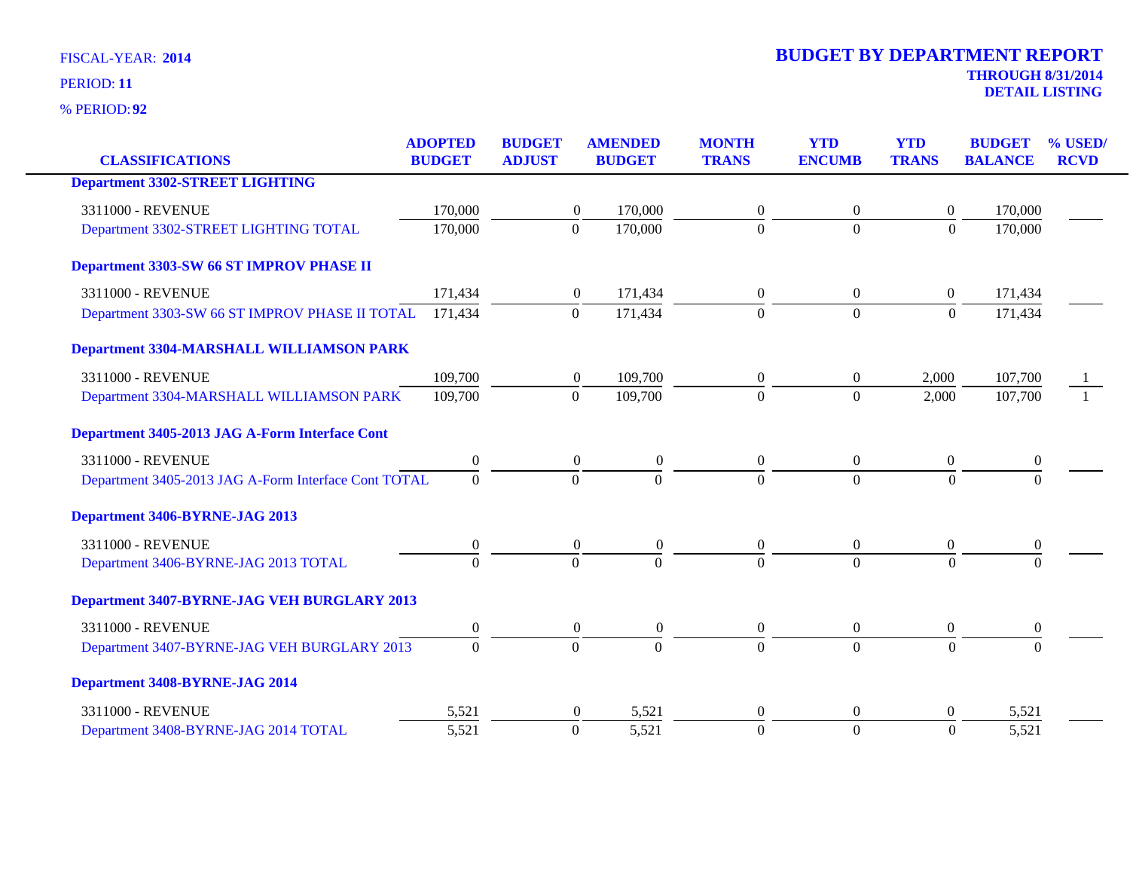| <b>CLASSIFICATIONS</b>                               | <b>ADOPTED</b><br><b>BUDGET</b> | <b>BUDGET</b><br><b>ADJUST</b> | <b>AMENDED</b><br><b>BUDGET</b> |                  | <b>MONTH</b><br><b>TRANS</b> | <b>YTD</b><br><b>ENCUMB</b> | <b>YTD</b><br><b>TRANS</b> | <b>BUDGET</b>    | % USED/<br><b>RCVD</b> |
|------------------------------------------------------|---------------------------------|--------------------------------|---------------------------------|------------------|------------------------------|-----------------------------|----------------------------|------------------|------------------------|
|                                                      |                                 |                                |                                 |                  |                              |                             |                            | <b>BALANCE</b>   |                        |
| <b>Department 3302-STREET LIGHTING</b>               |                                 |                                |                                 |                  |                              |                             |                            |                  |                        |
| 3311000 - REVENUE                                    | 170,000                         |                                | 170,000<br>$\boldsymbol{0}$     |                  | $\theta$                     | $\boldsymbol{0}$            | $\overline{0}$             | 170,000          |                        |
| Department 3302-STREET LIGHTING TOTAL                | 170,000                         |                                | $\mathbf{0}$<br>170,000         |                  | $\Omega$                     | $\mathbf{0}$                | $\theta$                   | 170,000          |                        |
| Department 3303-SW 66 ST IMPROV PHASE II             |                                 |                                |                                 |                  |                              |                             |                            |                  |                        |
| 3311000 - REVENUE                                    | 171,434                         |                                | 171,434<br>$\boldsymbol{0}$     |                  | $\boldsymbol{0}$             | $\overline{0}$              | $\overline{0}$             | 171,434          |                        |
| Department 3303-SW 66 ST IMPROV PHASE II TOTAL       | 171,434                         |                                | $\mathbf{0}$<br>171,434         |                  | $\Omega$                     | $\boldsymbol{0}$            | $\overline{0}$             | 171,434          |                        |
| <b>Department 3304-MARSHALL WILLIAMSON PARK</b>      |                                 |                                |                                 |                  |                              |                             |                            |                  |                        |
| 3311000 - REVENUE                                    | 109,700                         |                                | 109,700<br>$\boldsymbol{0}$     |                  | $\overline{0}$               | $\overline{0}$              | 2,000                      | 107,700          |                        |
| Department 3304-MARSHALL WILLIAMSON PARK             | 109,700                         |                                | 109,700<br>$\Omega$             |                  | $\Omega$                     | $\overline{0}$              | 2,000                      | 107,700          |                        |
| Department 3405-2013 JAG A-Form Interface Cont       |                                 |                                |                                 |                  |                              |                             |                            |                  |                        |
| 3311000 - REVENUE                                    | $\boldsymbol{0}$                |                                | $\overline{0}$                  | $\boldsymbol{0}$ | $\overline{0}$               | $\overline{0}$              | $\overline{0}$             | $\boldsymbol{0}$ |                        |
| Department 3405-2013 JAG A-Form Interface Cont TOTAL | $\Omega$                        |                                | $\Omega$                        | $\Omega$         | $\Omega$                     | $\Omega$                    | $\theta$                   | $\Omega$         |                        |
| Department 3406-BYRNE-JAG 2013                       |                                 |                                |                                 |                  |                              |                             |                            |                  |                        |
| 3311000 - REVENUE                                    | 0                               |                                | $\boldsymbol{0}$                | $\boldsymbol{0}$ | $\boldsymbol{0}$             | $\boldsymbol{0}$            | $\boldsymbol{0}$           | $\boldsymbol{0}$ |                        |
| Department 3406-BYRNE-JAG 2013 TOTAL                 | $\Omega$                        |                                | $\theta$                        | $\Omega$         | $\Omega$                     | $\Omega$                    | $\theta$                   | $\Omega$         |                        |
| Department 3407-BYRNE-JAG VEH BURGLARY 2013          |                                 |                                |                                 |                  |                              |                             |                            |                  |                        |
| 3311000 - REVENUE                                    | $\boldsymbol{0}$                |                                | $\overline{0}$                  | $\boldsymbol{0}$ | $\overline{0}$               | $\overline{0}$              | $\boldsymbol{0}$           | $\boldsymbol{0}$ |                        |
| Department 3407-BYRNE-JAG VEH BURGLARY 2013          | $\Omega$                        |                                | $\overline{0}$                  | $\Omega$         | $\Omega$                     | $\Omega$                    | $\Omega$                   | $\Omega$         |                        |
| Department 3408-BYRNE-JAG 2014                       |                                 |                                |                                 |                  |                              |                             |                            |                  |                        |
| 3311000 - REVENUE                                    | 5,521                           |                                | $\boldsymbol{0}$                | 5,521            | $\overline{0}$               | $\overline{0}$              | $\overline{0}$             | 5,521            |                        |
| Department 3408-BYRNE-JAG 2014 TOTAL                 | 5,521                           |                                | 5,521<br>$\boldsymbol{0}$       |                  | $\Omega$                     | $\mathbf{0}$                | $\overline{0}$             | 5,521            |                        |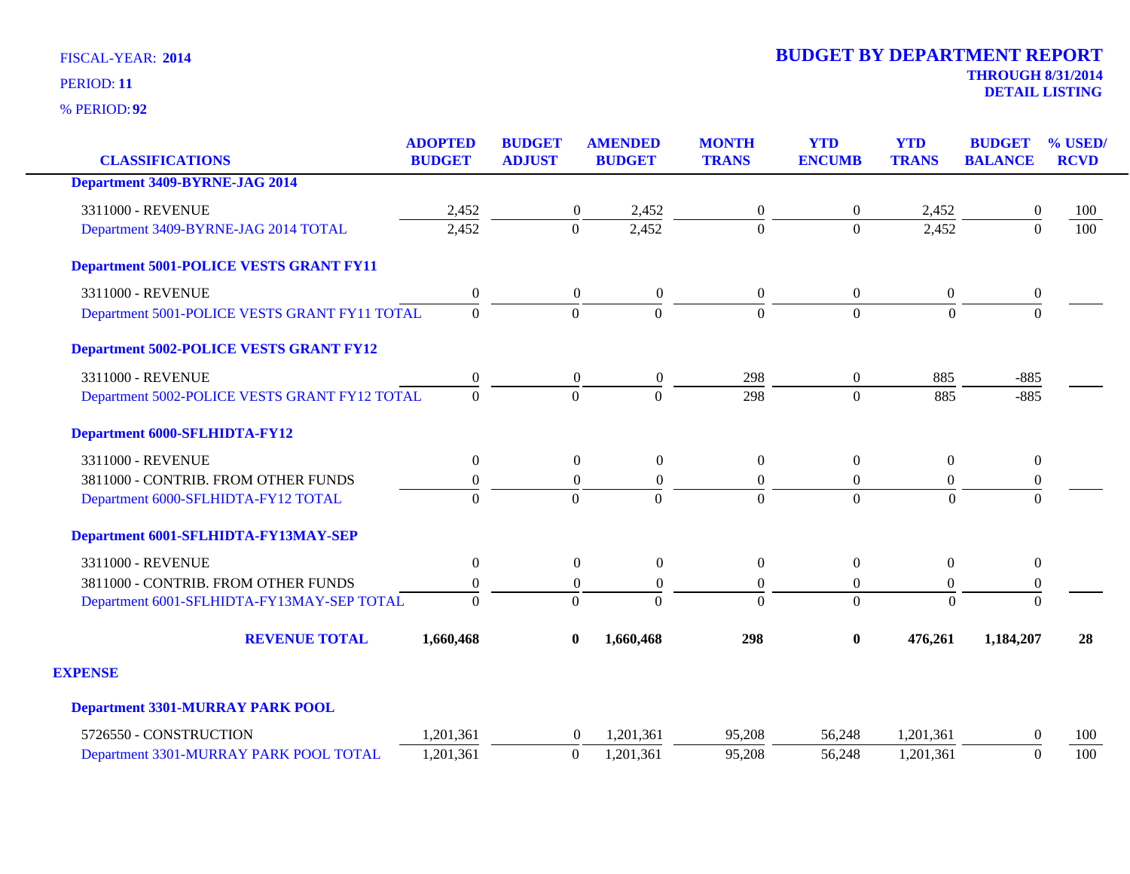| <b>CLASSIFICATIONS</b>                         | <b>ADOPTED</b><br><b>BUDGET</b> | <b>BUDGET</b><br><b>ADJUST</b> | <b>AMENDED</b><br><b>BUDGET</b> | <b>MONTH</b><br><b>TRANS</b> | <b>YTD</b><br><b>ENCUMB</b> | <b>YTD</b><br><b>TRANS</b> | <b>BUDGET</b><br><b>BALANCE</b> | % USED/<br><b>RCVD</b> |
|------------------------------------------------|---------------------------------|--------------------------------|---------------------------------|------------------------------|-----------------------------|----------------------------|---------------------------------|------------------------|
| <b>Department 3409-BYRNE-JAG 2014</b>          |                                 |                                |                                 |                              |                             |                            |                                 |                        |
| 3311000 - REVENUE                              | 2,452                           | $\overline{0}$                 | 2,452                           | $\boldsymbol{0}$             | 0                           | 2,452                      | $\theta$                        | 100                    |
| Department 3409-BYRNE-JAG 2014 TOTAL           | 2,452                           | $\overline{0}$                 | 2,452                           | $\overline{0}$               | $\overline{0}$              | 2,452                      | $\Omega$                        | 100                    |
| <b>Department 5001-POLICE VESTS GRANT FY11</b> |                                 |                                |                                 |                              |                             |                            |                                 |                        |
| 3311000 - REVENUE                              | $\boldsymbol{0}$                | $\boldsymbol{0}$               | $\boldsymbol{0}$                | $\boldsymbol{0}$             | $\overline{0}$              | $\overline{0}$             | $\boldsymbol{0}$                |                        |
| Department 5001-POLICE VESTS GRANT FY11 TOTAL  | $\overline{0}$                  | $\mathbf{0}$                   | $\Omega$                        | $\Omega$                     | $\overline{0}$              | $\Omega$                   | $\Omega$                        |                        |
| <b>Department 5002-POLICE VESTS GRANT FY12</b> |                                 |                                |                                 |                              |                             |                            |                                 |                        |
| 3311000 - REVENUE                              | $\boldsymbol{0}$                | $\boldsymbol{0}$               | $\boldsymbol{0}$                | 298                          | 0                           | 885                        | $-885$                          |                        |
| Department 5002-POLICE VESTS GRANT FY12 TOTAL  | $\overline{0}$                  | $\Omega$                       | $\Omega$                        | 298                          | $\Omega$                    | 885                        | $-885$                          |                        |
| <b>Department 6000-SFLHIDTA-FY12</b>           |                                 |                                |                                 |                              |                             |                            |                                 |                        |
| 3311000 - REVENUE                              | $\boldsymbol{0}$                | $\overline{0}$                 | $\boldsymbol{0}$                | $\boldsymbol{0}$             | $\boldsymbol{0}$            | $\overline{0}$             | $\boldsymbol{0}$                |                        |
| 3811000 - CONTRIB. FROM OTHER FUNDS            | $\boldsymbol{0}$                | $\boldsymbol{0}$               | $\boldsymbol{0}$                | $\boldsymbol{0}$             | 0                           | $\boldsymbol{0}$           | $\boldsymbol{0}$                |                        |
| Department 6000-SFLHIDTA-FY12 TOTAL            | $\overline{0}$                  | $\Omega$                       | $\Omega$                        | $\Omega$                     | $\Omega$                    | $\Omega$                   | $\Omega$                        |                        |
| Department 6001-SFLHIDTA-FY13MAY-SEP           |                                 |                                |                                 |                              |                             |                            |                                 |                        |
| 3311000 - REVENUE                              | $\boldsymbol{0}$                | $\boldsymbol{0}$               | $\boldsymbol{0}$                | $\overline{0}$               | $\overline{0}$              | $\Omega$                   | $\boldsymbol{0}$                |                        |
| 3811000 - CONTRIB. FROM OTHER FUNDS            | $\boldsymbol{0}$                | $\boldsymbol{0}$               | $\boldsymbol{0}$                | $\boldsymbol{0}$             | $\overline{0}$              | $\Omega$                   | $\boldsymbol{0}$                |                        |
| Department 6001-SFLHIDTA-FY13MAY-SEP TOTAL     | $\theta$                        | $\Omega$                       | $\Omega$                        | $\theta$                     | $\Omega$                    | $\Omega$                   | $\theta$                        |                        |
| <b>REVENUE TOTAL</b>                           | 1,660,468                       | $\bf{0}$                       | 1,660,468                       | 298                          | 0                           | 476,261                    | 1,184,207                       | 28                     |
| <b>EXPENSE</b>                                 |                                 |                                |                                 |                              |                             |                            |                                 |                        |
| <b>Department 3301-MURRAY PARK POOL</b>        |                                 |                                |                                 |                              |                             |                            |                                 |                        |
| 5726550 - CONSTRUCTION                         | 1,201,361                       | $\theta$                       | 1,201,361                       | 95,208                       | 56,248                      | 1,201,361                  | $\Omega$                        | 100                    |
| Department 3301-MURRAY PARK POOL TOTAL         | 1,201,361                       | $\overline{0}$                 | 1,201,361                       | 95,208                       | 56,248                      | 1,201,361                  | $\Omega$                        | 100                    |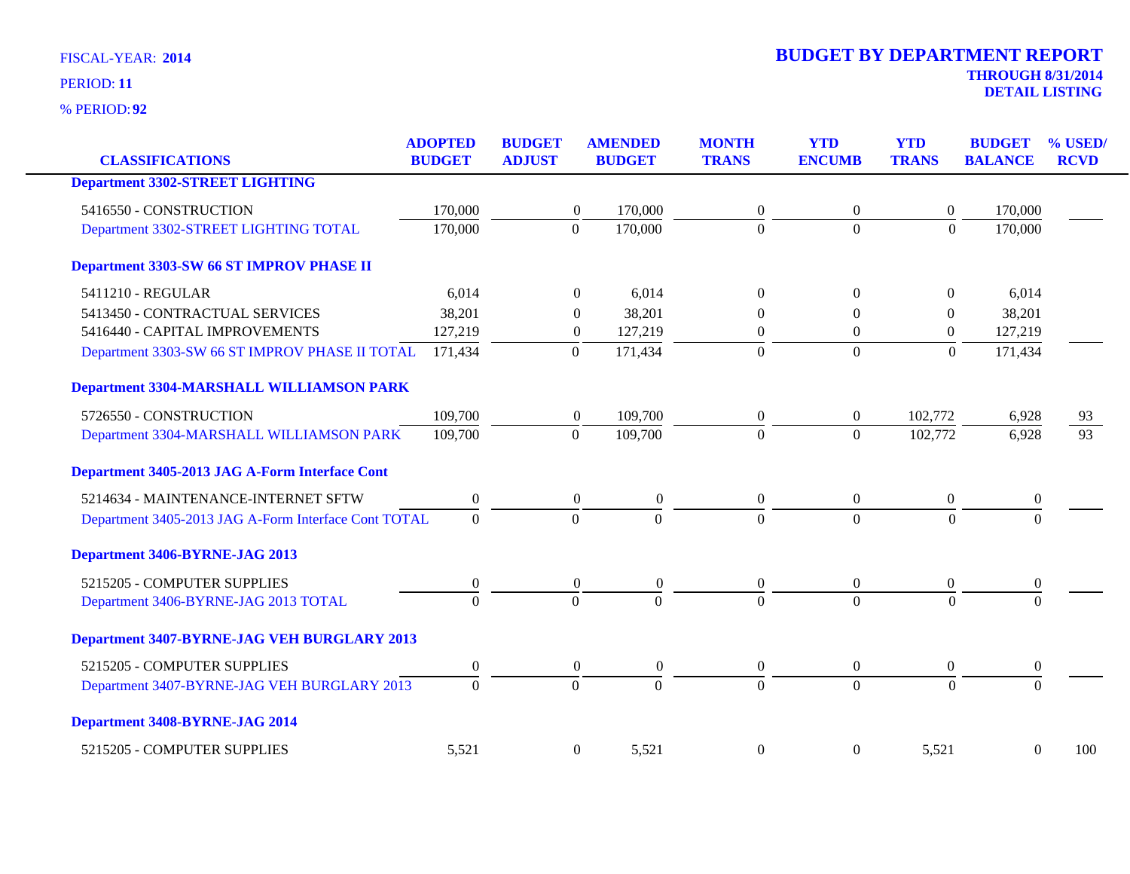| <b>CLASSIFICATIONS</b>                               | <b>ADOPTED</b><br><b>BUDGET</b> | <b>BUDGET</b><br><b>ADJUST</b> | <b>AMENDED</b><br><b>BUDGET</b>      | <b>MONTH</b><br><b>TRANS</b> | <b>YTD</b><br><b>ENCUMB</b> | <b>YTD</b><br><b>TRANS</b> | <b>BUDGET</b><br><b>BALANCE</b> | % USED/<br><b>RCVD</b> |
|------------------------------------------------------|---------------------------------|--------------------------------|--------------------------------------|------------------------------|-----------------------------|----------------------------|---------------------------------|------------------------|
| <b>Department 3302-STREET LIGHTING</b>               |                                 |                                |                                      |                              |                             |                            |                                 |                        |
| 5416550 - CONSTRUCTION                               | 170,000                         |                                | 170,000<br>$\boldsymbol{0}$          | $\mathbf{0}$                 | $\boldsymbol{0}$            | $\overline{0}$             | 170,000                         |                        |
| Department 3302-STREET LIGHTING TOTAL                | 170,000                         | $\overline{0}$                 | 170,000                              | $\overline{0}$               | $\overline{0}$              | $\mathbf{0}$               | 170,000                         |                        |
| Department 3303-SW 66 ST IMPROV PHASE II             |                                 |                                |                                      |                              |                             |                            |                                 |                        |
| 5411210 - REGULAR                                    | 6,014                           |                                | 6,014<br>$\Omega$                    | $\Omega$                     | $\Omega$                    | $\overline{0}$             | 6,014                           |                        |
| 5413450 - CONTRACTUAL SERVICES                       | 38,201                          |                                | 38,201<br>$\theta$                   | $\Omega$                     | $\Omega$                    | $\mathbf{0}$               | 38,201                          |                        |
| 5416440 - CAPITAL IMPROVEMENTS                       | 127,219                         |                                | 127,219<br>$\boldsymbol{0}$          | $\theta$                     | $\overline{0}$              | $\mathbf{0}$               | 127,219                         |                        |
| Department 3303-SW 66 ST IMPROV PHASE II TOTAL       | 171,434                         | $\mathbf{0}$                   | 171,434                              | $\theta$                     | $\boldsymbol{0}$            | $\boldsymbol{0}$           | 171,434                         |                        |
| Department 3304-MARSHALL WILLIAMSON PARK             |                                 |                                |                                      |                              |                             |                            |                                 |                        |
| 5726550 - CONSTRUCTION                               | 109,700                         |                                | 109,700<br>$\boldsymbol{0}$          | $\theta$                     | $\theta$                    | 102,772                    | 6,928                           | 93                     |
| Department 3304-MARSHALL WILLIAMSON PARK             | 109,700                         | $\mathbf{0}$                   | 109,700                              | $\overline{0}$               | $\overline{0}$              | 102,772                    | 6,928                           | $\overline{93}$        |
| Department 3405-2013 JAG A-Form Interface Cont       |                                 |                                |                                      |                              |                             |                            |                                 |                        |
| 5214634 - MAINTENANCE-INTERNET SFTW                  | $\boldsymbol{0}$                |                                | $\mathbf{0}$<br>$\theta$             | $\overline{0}$               | $\mathbf{0}$                | $\overline{0}$             | $\mathbf{0}$                    |                        |
| Department 3405-2013 JAG A-Form Interface Cont TOTAL | $\mathbf{0}$                    | $\mathbf{0}$                   | $\overline{0}$                       | $\overline{0}$               | $\overline{0}$              | $\overline{0}$             | $\Omega$                        |                        |
| Department 3406-BYRNE-JAG 2013                       |                                 |                                |                                      |                              |                             |                            |                                 |                        |
| 5215205 - COMPUTER SUPPLIES                          | $\mathbf{0}$                    |                                | $\boldsymbol{0}$<br>$\boldsymbol{0}$ | $\overline{0}$               | $\boldsymbol{0}$            | $\overline{0}$             | $\mathbf{0}$                    |                        |
| Department 3406-BYRNE-JAG 2013 TOTAL                 | $\Omega$                        | $\overline{0}$                 | $\overline{0}$                       | $\Omega$                     | $\theta$                    | $\theta$                   | $\Omega$                        |                        |
| Department 3407-BYRNE-JAG VEH BURGLARY 2013          |                                 |                                |                                      |                              |                             |                            |                                 |                        |
| 5215205 - COMPUTER SUPPLIES                          | $\boldsymbol{0}$                |                                | $\boldsymbol{0}$<br>$\theta$         | $\boldsymbol{0}$             | $\boldsymbol{0}$            | $\boldsymbol{0}$           | $\boldsymbol{0}$                |                        |
| Department 3407-BYRNE-JAG VEH BURGLARY 2013          | $\mathbf{0}$                    | $\overline{0}$                 | $\overline{0}$                       | $\overline{0}$               | $\theta$                    | $\overline{0}$             | $\mathbf{0}$                    |                        |
| Department 3408-BYRNE-JAG 2014                       |                                 |                                |                                      |                              |                             |                            |                                 |                        |
| 5215205 - COMPUTER SUPPLIES                          | 5,521                           |                                | $\boldsymbol{0}$<br>5,521            | $\boldsymbol{0}$             | $\boldsymbol{0}$            | 5,521                      | $\boldsymbol{0}$                | 100                    |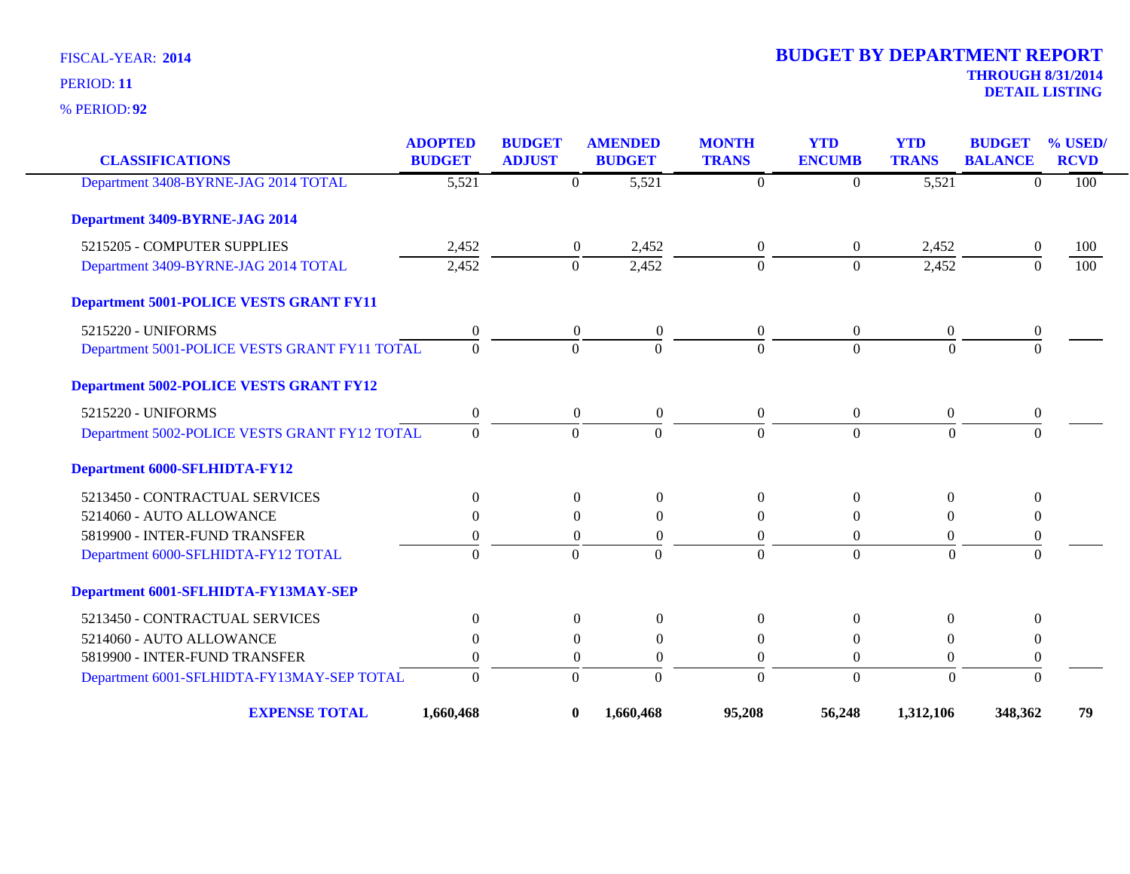**92** % PERIOD:

| <b>CLASSIFICATIONS</b>                         | <b>ADOPTED</b><br><b>BUDGET</b> | <b>BUDGET</b><br><b>ADJUST</b> | <b>AMENDED</b><br><b>BUDGET</b>      | <b>MONTH</b><br><b>TRANS</b> | <b>YTD</b><br><b>ENCUMB</b> | <b>YTD</b><br><b>TRANS</b> | <b>BUDGET</b><br><b>BALANCE</b> | % USED/<br><b>RCVD</b> |
|------------------------------------------------|---------------------------------|--------------------------------|--------------------------------------|------------------------------|-----------------------------|----------------------------|---------------------------------|------------------------|
| Department 3408-BYRNE-JAG 2014 TOTAL           | 5,521                           | $\mathbf{0}$                   | 5,521                                | $\overline{0}$               | $\Omega$                    | 5,521                      | $\Omega$                        | 100                    |
| Department 3409-BYRNE-JAG 2014                 |                                 |                                |                                      |                              |                             |                            |                                 |                        |
| 5215205 - COMPUTER SUPPLIES                    | 2,452                           |                                | 2,452<br>$\overline{0}$              | $\overline{0}$               | $\overline{0}$              | 2,452                      | $\theta$                        | 100                    |
| Department 3409-BYRNE-JAG 2014 TOTAL           | 2,452                           | $\mathbf{0}$                   | 2,452                                | $\Omega$                     | $\Omega$                    | 2,452                      | $\Omega$                        | 100                    |
| <b>Department 5001-POLICE VESTS GRANT FY11</b> |                                 |                                |                                      |                              |                             |                            |                                 |                        |
| 5215220 - UNIFORMS                             | $\boldsymbol{0}$                |                                | $\boldsymbol{0}$<br>$\boldsymbol{0}$ | $\boldsymbol{0}$             | $\mathbf{0}$                | $\boldsymbol{0}$           | $\boldsymbol{0}$                |                        |
| Department 5001-POLICE VESTS GRANT FY11 TOTAL  | $\Omega$                        | $\overline{0}$                 | $\Omega$                             | $\Omega$                     | $\Omega$                    | $\Omega$                   | $\Omega$                        |                        |
| <b>Department 5002-POLICE VESTS GRANT FY12</b> |                                 |                                |                                      |                              |                             |                            |                                 |                        |
| 5215220 - UNIFORMS                             | $\overline{0}$                  |                                | $\overline{0}$<br>$\overline{0}$     | $\overline{0}$               | $\overline{0}$              | $\overline{0}$             | $\overline{0}$                  |                        |
| Department 5002-POLICE VESTS GRANT FY12 TOTAL  | $\Omega$                        | $\Omega$                       | $\Omega$                             | $\Omega$                     | $\Omega$                    | $\Omega$                   | $\Omega$                        |                        |
| <b>Department 6000-SFLHIDTA-FY12</b>           |                                 |                                |                                      |                              |                             |                            |                                 |                        |
| 5213450 - CONTRACTUAL SERVICES                 | $\Omega$                        |                                | $\Omega$<br>$\theta$                 | $\Omega$                     | $\Omega$                    | $\Omega$                   | $\Omega$                        |                        |
| 5214060 - AUTO ALLOWANCE                       | $\Omega$                        |                                | $\Omega$<br>$\Omega$                 | $\Omega$                     | $\Omega$                    | $\Omega$                   | $\Omega$                        |                        |
| 5819900 - INTER-FUND TRANSFER                  | 0                               |                                | $\theta$<br>$\theta$                 | $\theta$                     | $\Omega$                    | $\overline{0}$             | $\mathbf{0}$                    |                        |
| Department 6000-SFLHIDTA-FY12 TOTAL            | $\Omega$                        | $\Omega$                       | $\Omega$                             | $\Omega$                     | $\Omega$                    | $\theta$                   | $\Omega$                        |                        |
| Department 6001-SFLHIDTA-FY13MAY-SEP           |                                 |                                |                                      |                              |                             |                            |                                 |                        |
| 5213450 - CONTRACTUAL SERVICES                 | $\Omega$                        |                                | $\Omega$<br>$\Omega$                 | $\Omega$                     | $\Omega$                    | $\Omega$                   | 0                               |                        |
| 5214060 - AUTO ALLOWANCE                       | $\theta$                        |                                | $\overline{0}$<br>$\theta$           | $\theta$                     | $\mathbf{0}$                | $\overline{0}$             | $\theta$                        |                        |
| 5819900 - INTER-FUND TRANSFER                  | 0                               |                                | $\Omega$<br>$\Omega$                 | $\Omega$                     | $\Omega$                    | $\theta$                   | $\overline{0}$                  |                        |
| Department 6001-SFLHIDTA-FY13MAY-SEP TOTAL     | $\Omega$                        | $\Omega$                       | $\Omega$                             | $\Omega$                     | $\Omega$                    | $\theta$                   | $\Omega$                        |                        |
| <b>EXPENSE TOTAL</b>                           | 1,660,468                       | $\bf{0}$                       | 1,660,468                            | 95,208                       | 56,248                      | 1,312,106                  | 348,362                         | 79                     |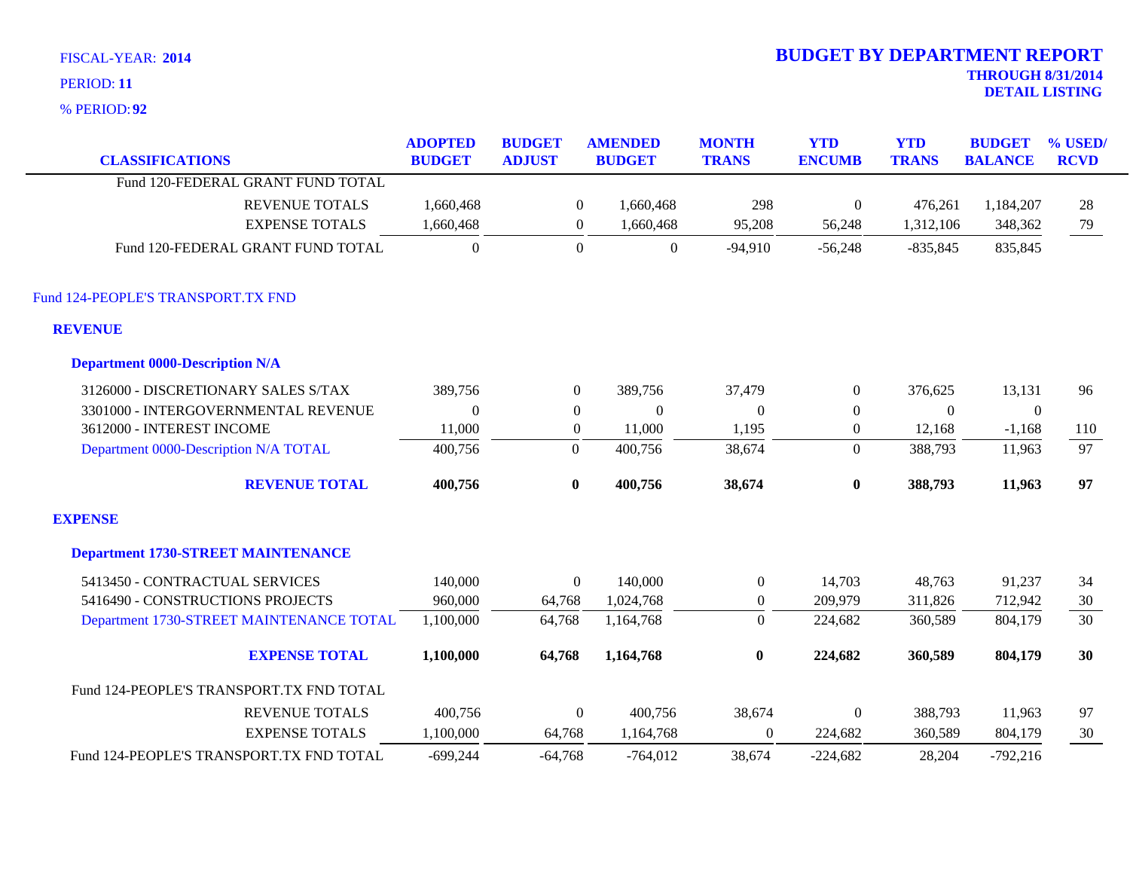|  | <b>FISCAL-YEAR: 2014</b> |  |
|--|--------------------------|--|
|--|--------------------------|--|

**92** % PERIOD:

| <b>CLASSIFICATIONS</b>                    | <b>ADOPTED</b><br><b>BUDGET</b> | <b>BUDGET</b><br><b>ADJUST</b> | <b>AMENDED</b><br><b>BUDGET</b> | <b>MONTH</b><br><b>TRANS</b> | <b>YTD</b><br><b>ENCUMB</b> | <b>YTD</b><br><b>TRANS</b> | <b>BUDGET</b><br><b>BALANCE</b> | % USED/<br><b>RCVD</b> |
|-------------------------------------------|---------------------------------|--------------------------------|---------------------------------|------------------------------|-----------------------------|----------------------------|---------------------------------|------------------------|
| Fund 120-FEDERAL GRANT FUND TOTAL         |                                 |                                |                                 |                              |                             |                            |                                 |                        |
| <b>REVENUE TOTALS</b>                     | 1,660,468                       | $\overline{0}$                 | 1,660,468                       | 298                          | $\overline{0}$              | 476,261                    | 1,184,207                       | 28                     |
| <b>EXPENSE TOTALS</b>                     | 1,660,468                       | $\overline{0}$                 | 1,660,468                       | 95,208                       | 56,248                      | 1,312,106                  | 348,362                         | 79                     |
| Fund 120-FEDERAL GRANT FUND TOTAL         | $\Omega$                        | $\Omega$                       | $\boldsymbol{0}$                | $-94,910$                    | $-56,248$                   | $-835,845$                 | 835,845                         |                        |
| Fund 124-PEOPLE'S TRANSPORT.TX FND        |                                 |                                |                                 |                              |                             |                            |                                 |                        |
| <b>REVENUE</b>                            |                                 |                                |                                 |                              |                             |                            |                                 |                        |
| <b>Department 0000-Description N/A</b>    |                                 |                                |                                 |                              |                             |                            |                                 |                        |
| 3126000 - DISCRETIONARY SALES S/TAX       | 389,756                         | $\overline{0}$                 | 389,756                         | 37,479                       | $\overline{0}$              | 376,625                    | 13,131                          | 96                     |
| 3301000 - INTERGOVERNMENTAL REVENUE       | $\Omega$                        | $\overline{0}$                 | $\Omega$                        | $\Omega$                     | $\boldsymbol{0}$            | $\Omega$                   | $\overline{0}$                  |                        |
| 3612000 - INTEREST INCOME                 | 11,000                          | $\overline{0}$                 | 11,000                          | 1,195                        | $\boldsymbol{0}$            | 12,168                     | $-1,168$                        | 110                    |
| Department 0000-Description N/A TOTAL     | 400,756                         | $\boldsymbol{0}$               | 400,756                         | 38,674                       | $\overline{0}$              | 388,793                    | 11,963                          | 97                     |
| <b>REVENUE TOTAL</b>                      | 400,756                         | $\bf{0}$                       | 400,756                         | 38,674                       | $\bf{0}$                    | 388,793                    | 11,963                          | 97                     |
| <b>EXPENSE</b>                            |                                 |                                |                                 |                              |                             |                            |                                 |                        |
| <b>Department 1730-STREET MAINTENANCE</b> |                                 |                                |                                 |                              |                             |                            |                                 |                        |
| 5413450 - CONTRACTUAL SERVICES            | 140,000                         | $\overline{0}$                 | 140,000                         | $\overline{0}$               | 14,703                      | 48,763                     | 91,237                          | 34                     |
| 5416490 - CONSTRUCTIONS PROJECTS          | 960,000                         | 64,768                         | 1,024,768                       | $\overline{0}$               | 209,979                     | 311,826                    | 712,942                         | 30                     |
| Department 1730-STREET MAINTENANCE TOTAL  | 1,100,000                       | 64,768                         | 1,164,768                       | $\boldsymbol{0}$             | 224,682                     | 360,589                    | 804,179                         | 30                     |
| <b>EXPENSE TOTAL</b>                      | 1,100,000                       | 64,768                         | 1,164,768                       | $\bf{0}$                     | 224,682                     | 360,589                    | 804,179                         | 30                     |
| Fund 124-PEOPLE'S TRANSPORT.TX FND TOTAL  |                                 |                                |                                 |                              |                             |                            |                                 |                        |
| <b>REVENUE TOTALS</b>                     | 400,756                         | $\overline{0}$                 | 400,756                         | 38,674                       | $\mathbf{0}$                | 388,793                    | 11,963                          | 97                     |
| <b>EXPENSE TOTALS</b>                     | 1,100,000                       | 64,768                         | 1,164,768                       | $\theta$                     | 224,682                     | 360,589                    | 804,179                         | 30                     |
| Fund 124-PEOPLE'S TRANSPORT.TX FND TOTAL  | $-699,244$                      | $-64,768$                      | $-764,012$                      | 38,674                       | $-224,682$                  | 28,204                     | $-792,216$                      |                        |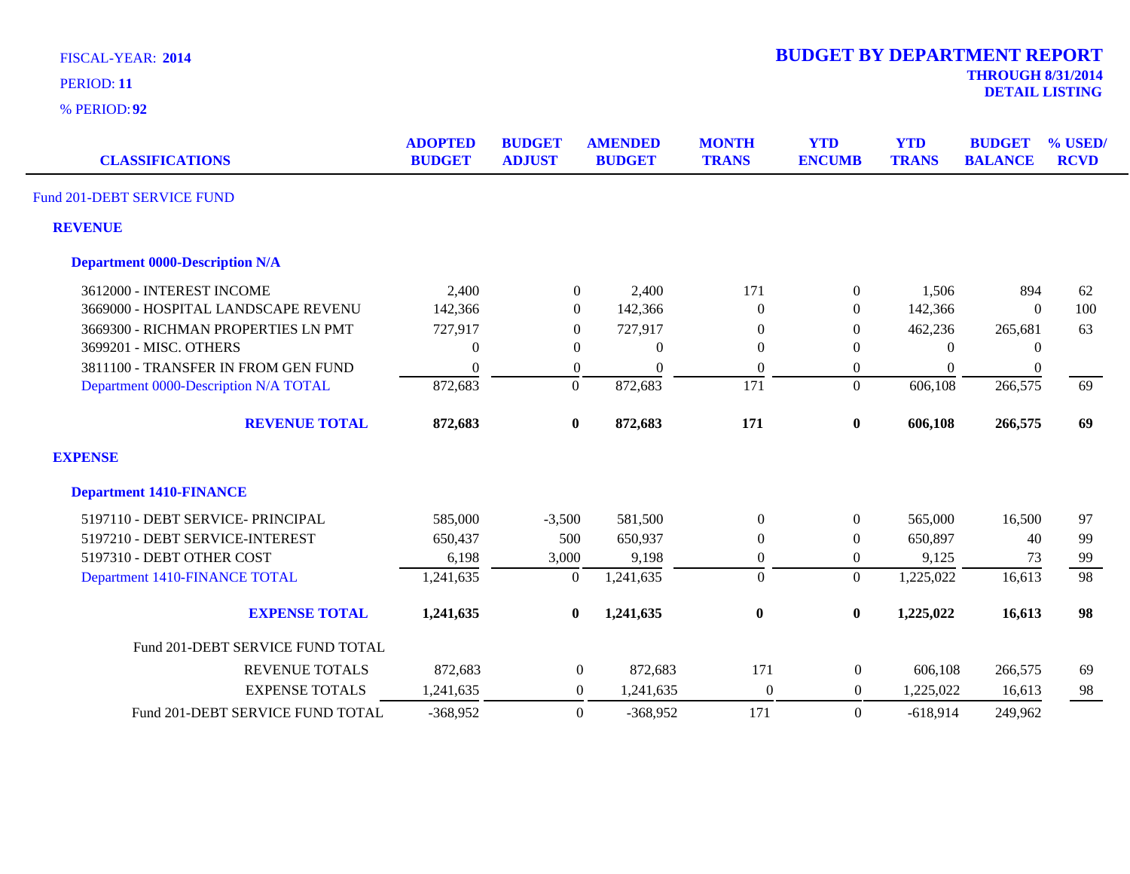| <b>FISCAL-YEAR: 2014</b> |  |
|--------------------------|--|
|                          |  |

| <b>CLASSIFICATIONS</b>                 | <b>ADOPTED</b><br><b>BUDGET</b> | <b>BUDGET</b><br><b>ADJUST</b> | <b>AMENDED</b><br><b>BUDGET</b> | <b>MONTH</b><br><b>TRANS</b> | <b>YTD</b><br><b>ENCUMB</b> | <b>YTD</b><br><b>TRANS</b> | <b>BUDGET</b><br><b>BALANCE</b> | % USED/<br><b>RCVD</b> |
|----------------------------------------|---------------------------------|--------------------------------|---------------------------------|------------------------------|-----------------------------|----------------------------|---------------------------------|------------------------|
| Fund 201-DEBT SERVICE FUND             |                                 |                                |                                 |                              |                             |                            |                                 |                        |
| <b>REVENUE</b>                         |                                 |                                |                                 |                              |                             |                            |                                 |                        |
| <b>Department 0000-Description N/A</b> |                                 |                                |                                 |                              |                             |                            |                                 |                        |
| 3612000 - INTEREST INCOME              | 2,400                           | $\overline{0}$                 | 2,400                           | 171                          | 0                           | 1,506                      | 894                             | 62                     |
| 3669000 - HOSPITAL LANDSCAPE REVENU    | 142,366                         | $\boldsymbol{0}$               | 142,366                         | $\Omega$                     | $\overline{0}$              | 142,366                    | $\overline{0}$                  | 100                    |
| 3669300 - RICHMAN PROPERTIES LN PMT    | 727,917                         | $\theta$                       | 727,917                         | $\theta$                     | $\overline{0}$              | 462,236                    | 265,681                         | 63                     |
| 3699201 - MISC. OTHERS                 | $\boldsymbol{0}$                | $\theta$                       | $\overline{0}$                  | $\boldsymbol{0}$             | 0                           | $\theta$                   | $\theta$                        |                        |
| 3811100 - TRANSFER IN FROM GEN FUND    | $\boldsymbol{0}$                | $\theta$                       | $\theta$                        | $\boldsymbol{0}$             | 0                           | $\overline{0}$             | $\theta$                        |                        |
| Department 0000-Description N/A TOTAL  | 872,683                         | $\boldsymbol{0}$               | 872,683                         | 171                          | $\boldsymbol{0}$            | 606,108                    | 266,575                         | 69                     |
| <b>REVENUE TOTAL</b>                   | 872,683                         | $\pmb{0}$                      | 872,683                         | 171                          | $\bf{0}$                    | 606,108                    | 266,575                         | 69                     |
| <b>EXPENSE</b>                         |                                 |                                |                                 |                              |                             |                            |                                 |                        |
| <b>Department 1410-FINANCE</b>         |                                 |                                |                                 |                              |                             |                            |                                 |                        |
| 5197110 - DEBT SERVICE- PRINCIPAL      | 585,000                         | $-3,500$                       | 581,500                         | $\mathbf{0}$                 | $\overline{0}$              | 565,000                    | 16,500                          | 97                     |
| 5197210 - DEBT SERVICE-INTEREST        | 650,437                         | 500                            | 650,937                         | $\boldsymbol{0}$             | $\overline{0}$              | 650,897                    | 40                              | 99                     |
| 5197310 - DEBT OTHER COST              | 6,198                           | 3,000                          | 9,198                           | $\boldsymbol{0}$             | 0                           | 9,125                      | 73                              | 99                     |
| Department 1410-FINANCE TOTAL          | 1,241,635                       | $\Omega$                       | 1,241,635                       | $\boldsymbol{0}$             | $\Omega$                    | 1,225,022                  | 16,613                          | 98                     |
| <b>EXPENSE TOTAL</b>                   | 1,241,635                       | $\bf{0}$                       | 1,241,635                       | $\bf{0}$                     | 0                           | 1,225,022                  | 16,613                          | 98                     |
| Fund 201-DEBT SERVICE FUND TOTAL       |                                 |                                |                                 |                              |                             |                            |                                 |                        |
| <b>REVENUE TOTALS</b>                  | 872,683                         | $\overline{0}$                 | 872,683                         | 171                          | $\boldsymbol{0}$            | 606,108                    | 266,575                         | 69                     |
| <b>EXPENSE TOTALS</b>                  | 1,241,635                       | $\boldsymbol{0}$               | 1,241,635                       | $\boldsymbol{0}$             | $\mathbf{0}$                | 1,225,022                  | 16,613                          | 98                     |
| Fund 201-DEBT SERVICE FUND TOTAL       | $-368,952$                      | $\Omega$                       | $-368,952$                      | 171                          | $\Omega$                    | $-618,914$                 | 249,962                         |                        |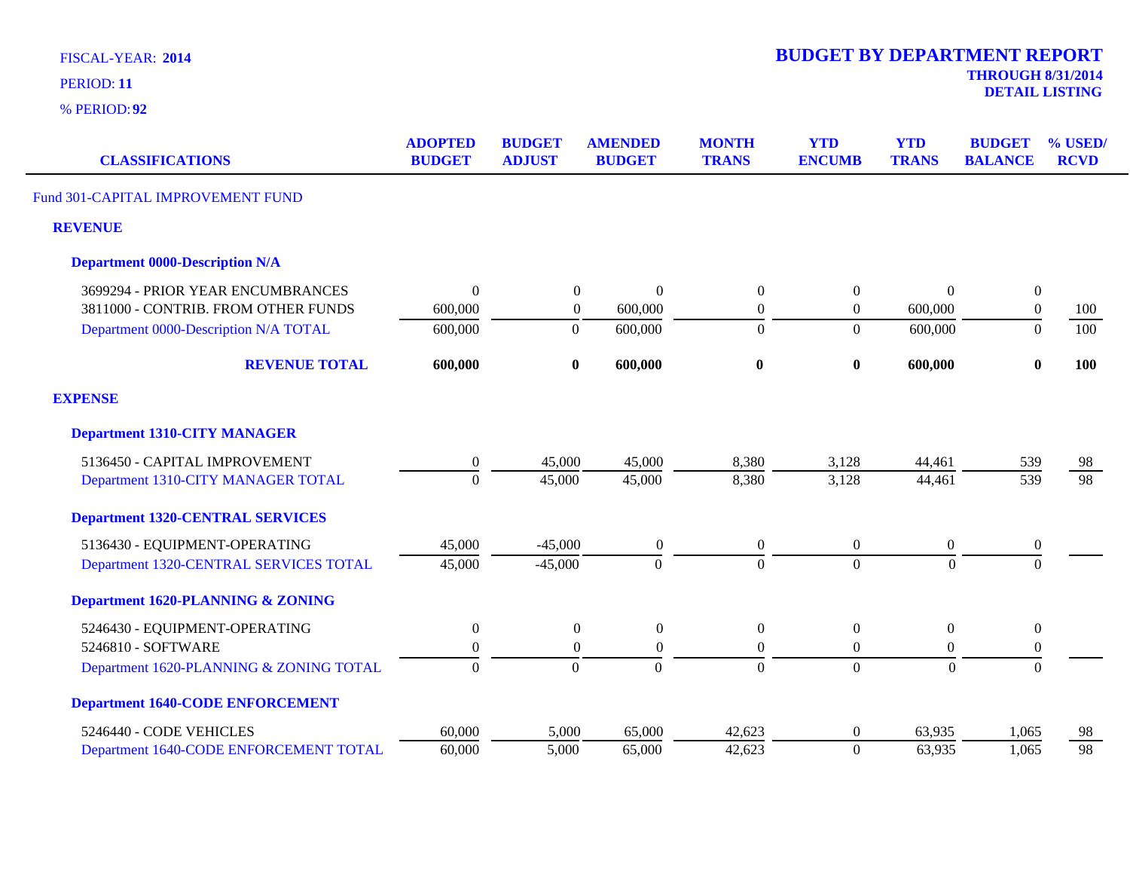| <b>CLASSIFICATIONS</b>                  | <b>ADOPTED</b><br><b>BUDGET</b> | <b>BUDGET</b><br><b>ADJUST</b> | <b>AMENDED</b><br><b>BUDGET</b> | <b>MONTH</b><br><b>TRANS</b> | <b>YTD</b><br><b>ENCUMB</b> | <b>YTD</b><br><b>TRANS</b> | <b>BUDGET</b><br><b>BALANCE</b> | % USED/<br><b>RCVD</b> |
|-----------------------------------------|---------------------------------|--------------------------------|---------------------------------|------------------------------|-----------------------------|----------------------------|---------------------------------|------------------------|
| Fund 301-CAPITAL IMPROVEMENT FUND       |                                 |                                |                                 |                              |                             |                            |                                 |                        |
| <b>REVENUE</b>                          |                                 |                                |                                 |                              |                             |                            |                                 |                        |
| <b>Department 0000-Description N/A</b>  |                                 |                                |                                 |                              |                             |                            |                                 |                        |
| 3699294 - PRIOR YEAR ENCUMBRANCES       | $\Omega$                        | $\boldsymbol{0}$               | $\Omega$                        | $\boldsymbol{0}$             | $\boldsymbol{0}$            | $\Omega$                   | $\boldsymbol{0}$                |                        |
| 3811000 - CONTRIB. FROM OTHER FUNDS     | 600,000                         | $\boldsymbol{0}$               | 600,000                         | $\boldsymbol{0}$             | $\boldsymbol{0}$            | 600,000                    | $\boldsymbol{0}$                | 100                    |
| Department 0000-Description N/A TOTAL   | 600,000                         | $\boldsymbol{0}$               | 600,000                         | $\theta$                     | $\overline{0}$              | 600,000                    | $\theta$                        | 100                    |
| <b>REVENUE TOTAL</b>                    | 600,000                         | $\bf{0}$                       | 600,000                         | $\bf{0}$                     | $\bf{0}$                    | 600,000                    | $\bf{0}$                        | 100                    |
| <b>EXPENSE</b>                          |                                 |                                |                                 |                              |                             |                            |                                 |                        |
| <b>Department 1310-CITY MANAGER</b>     |                                 |                                |                                 |                              |                             |                            |                                 |                        |
| 5136450 - CAPITAL IMPROVEMENT           | $\boldsymbol{0}$                | 45,000                         | 45,000                          | 8,380                        | 3,128                       | 44,461                     | 539                             | 98                     |
| Department 1310-CITY MANAGER TOTAL      | $\Omega$                        | 45,000                         | 45,000                          | 8,380                        | 3,128                       | 44,461                     | 539                             | 98                     |
| <b>Department 1320-CENTRAL SERVICES</b> |                                 |                                |                                 |                              |                             |                            |                                 |                        |
| 5136430 - EQUIPMENT-OPERATING           | 45,000                          | $-45,000$                      | $\boldsymbol{0}$                | $\boldsymbol{0}$             | $\boldsymbol{0}$            | $\boldsymbol{0}$           | $\boldsymbol{0}$                |                        |
| Department 1320-CENTRAL SERVICES TOTAL  | 45,000                          | $-45,000$                      | $\boldsymbol{0}$                | $\mathbf{0}$                 | $\overline{0}$              | $\boldsymbol{0}$           | $\Omega$                        |                        |
| Department 1620-PLANNING & ZONING       |                                 |                                |                                 |                              |                             |                            |                                 |                        |
| 5246430 - EQUIPMENT-OPERATING           | $\boldsymbol{0}$                | $\boldsymbol{0}$               | $\boldsymbol{0}$                | $\boldsymbol{0}$             | $\boldsymbol{0}$            | $\boldsymbol{0}$           | $\boldsymbol{0}$                |                        |
| 5246810 - SOFTWARE                      | $\boldsymbol{0}$                | $\boldsymbol{0}$               | $\overline{0}$                  | $\mathbf{0}$                 | $\overline{0}$              | $\overline{0}$             | $\boldsymbol{0}$                |                        |
| Department 1620-PLANNING & ZONING TOTAL | $\overline{0}$                  | $\overline{0}$                 | $\overline{0}$                  | $\overline{0}$               | $\overline{0}$              | $\Omega$                   | $\overline{0}$                  |                        |
| <b>Department 1640-CODE ENFORCEMENT</b> |                                 |                                |                                 |                              |                             |                            |                                 |                        |
| 5246440 - CODE VEHICLES                 | 60,000                          | 5,000                          | 65,000                          | 42,623                       | $\boldsymbol{0}$            | 63,935                     | 1,065                           | 98                     |
| Department 1640-CODE ENFORCEMENT TOTAL  | 60,000                          | 5,000                          | 65,000                          | 42,623                       | $\overline{0}$              | 63,935                     | 1,065                           | 98                     |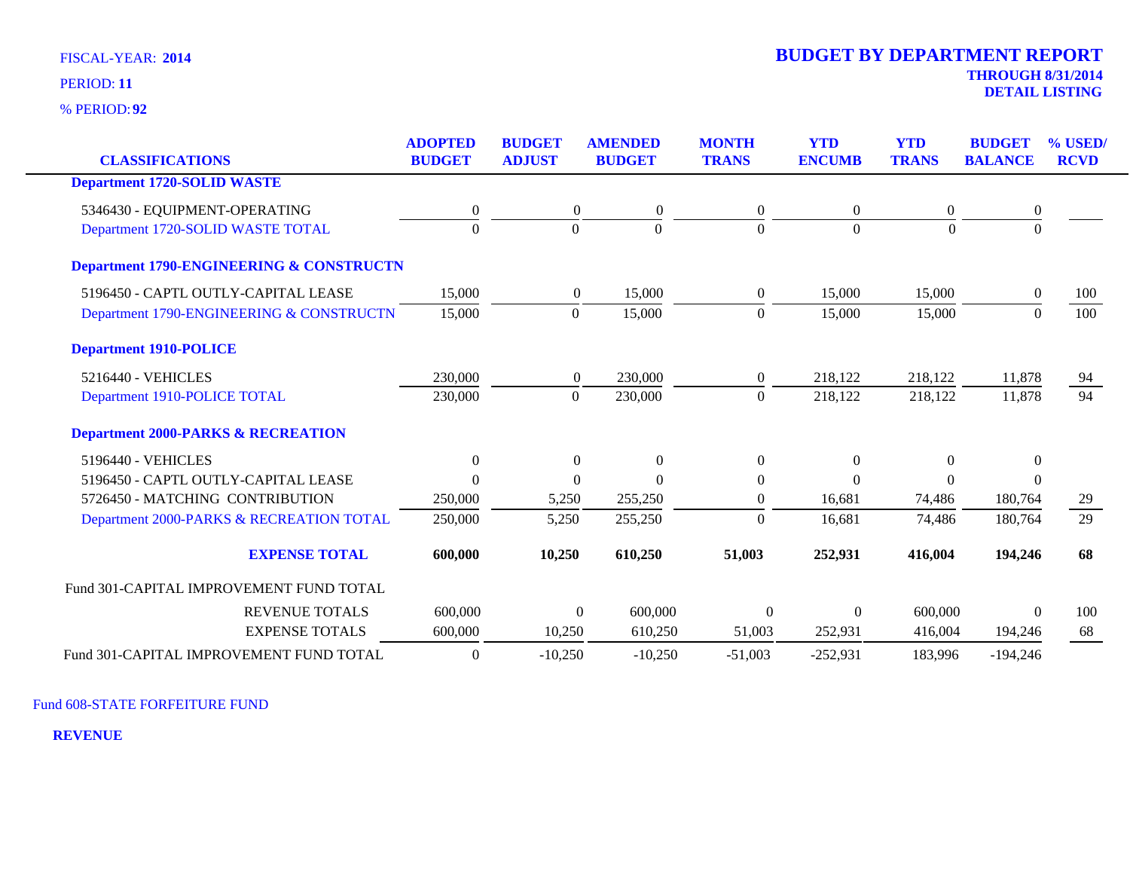**92** % PERIOD:

| <b>CLASSIFICATIONS</b>                        | <b>ADOPTED</b><br><b>BUDGET</b> | <b>BUDGET</b><br><b>ADJUST</b> | <b>AMENDED</b><br><b>BUDGET</b> | <b>MONTH</b><br><b>TRANS</b> | <b>YTD</b><br><b>ENCUMB</b> | <b>YTD</b><br><b>TRANS</b> | <b>BUDGET</b><br><b>BALANCE</b> | % USED/<br><b>RCVD</b> |
|-----------------------------------------------|---------------------------------|--------------------------------|---------------------------------|------------------------------|-----------------------------|----------------------------|---------------------------------|------------------------|
| <b>Department 1720-SOLID WASTE</b>            |                                 |                                |                                 |                              |                             |                            |                                 |                        |
|                                               |                                 |                                |                                 |                              |                             |                            |                                 |                        |
| 5346430 - EQUIPMENT-OPERATING                 | $\boldsymbol{0}$                | $\boldsymbol{0}$               | $\boldsymbol{0}$                | $\mathbf{0}$                 | $\overline{0}$              | 0                          | $\boldsymbol{0}$                |                        |
| Department 1720-SOLID WASTE TOTAL             | $\Omega$                        | $\Omega$                       | $\Omega$                        | $\Omega$                     | $\Omega$                    | $\Omega$                   |                                 |                        |
| Department 1790-ENGINEERING & CONSTRUCTN      |                                 |                                |                                 |                              |                             |                            |                                 |                        |
| 5196450 - CAPTL OUTLY-CAPITAL LEASE           | 15,000                          | $\overline{0}$                 | 15,000                          | $\overline{0}$               | 15,000                      | 15,000                     | $\overline{0}$                  | 100                    |
| Department 1790-ENGINEERING & CONSTRUCTN      | 15,000                          | $\mathbf{0}$                   | 15,000                          | $\Omega$                     | 15,000                      | 15,000                     | $\Omega$                        | 100                    |
| <b>Department 1910-POLICE</b>                 |                                 |                                |                                 |                              |                             |                            |                                 |                        |
| 5216440 - VEHICLES                            | 230,000                         | $\overline{0}$                 | 230,000                         | $\overline{0}$               | 218,122                     | 218,122                    | 11,878                          | <u>94</u>              |
| Department 1910-POLICE TOTAL                  | 230,000                         | $\Omega$                       | 230,000                         | $\Omega$                     | 218,122                     | 218,122                    | 11,878                          | $\overline{94}$        |
| <b>Department 2000-PARKS &amp; RECREATION</b> |                                 |                                |                                 |                              |                             |                            |                                 |                        |
| 5196440 - VEHICLES                            | $\boldsymbol{0}$                | $\Omega$                       | $\boldsymbol{0}$                | $\overline{0}$               | $\theta$                    | $\Omega$                   | $\mathbf{0}$                    |                        |
| 5196450 - CAPTL OUTLY-CAPITAL LEASE           | $\Omega$                        | $\Omega$                       | $\Omega$                        | $\theta$                     | $\Omega$                    | $\Omega$                   | $\Omega$                        |                        |
| 5726450 - MATCHING CONTRIBUTION               | 250,000                         | 5,250                          | 255,250                         | $\overline{0}$               | 16,681                      | 74,486                     | 180,764                         | 29                     |
| Department 2000-PARKS & RECREATION TOTAL      | 250,000                         | 5,250                          | 255,250                         | $\Omega$                     | 16,681                      | 74,486                     | 180,764                         | 29                     |
| <b>EXPENSE TOTAL</b>                          | 600,000                         | 10,250                         | 610,250                         | 51,003                       | 252,931                     | 416,004                    | 194,246                         | 68                     |
| Fund 301-CAPITAL IMPROVEMENT FUND TOTAL       |                                 |                                |                                 |                              |                             |                            |                                 |                        |
| <b>REVENUE TOTALS</b>                         | 600,000                         | $\Omega$                       | 600,000                         | $\theta$                     | $\Omega$                    | 600,000                    | $\Omega$                        | 100                    |
| <b>EXPENSE TOTALS</b>                         | 600,000                         | 10,250                         | 610,250                         | 51,003                       | 252,931                     | 416,004                    | 194,246                         | 68                     |
| Fund 301-CAPITAL IMPROVEMENT FUND TOTAL       | $\overline{0}$                  | $-10,250$                      | $-10,250$                       | $-51,003$                    | $-252,931$                  | 183,996                    | $-194,246$                      |                        |

Fund 608-STATE FORFEITURE FUND

**REVENUE**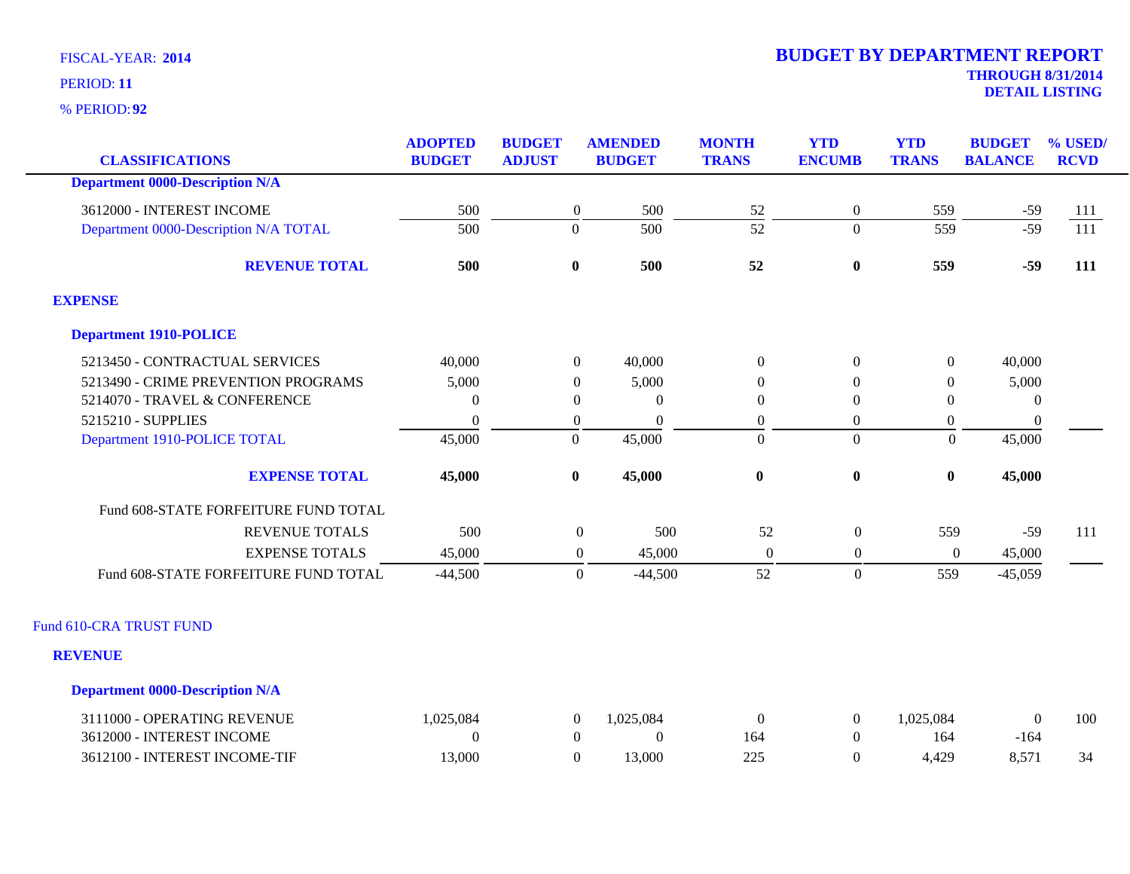**92** % PERIOD:

| <b>CLASSIFICATIONS</b>                 | <b>ADOPTED</b><br><b>BUDGET</b> | <b>BUDGET</b><br><b>ADJUST</b> | <b>AMENDED</b><br><b>BUDGET</b> | <b>MONTH</b><br><b>TRANS</b> | <b>YTD</b><br><b>ENCUMB</b> | <b>YTD</b><br><b>TRANS</b> | <b>BUDGET</b><br><b>BALANCE</b> | % USED/<br><b>RCVD</b> |
|----------------------------------------|---------------------------------|--------------------------------|---------------------------------|------------------------------|-----------------------------|----------------------------|---------------------------------|------------------------|
| <b>Department 0000-Description N/A</b> |                                 |                                |                                 |                              |                             |                            |                                 |                        |
| 3612000 - INTEREST INCOME              | 500                             | $\boldsymbol{0}$               | 500                             | 52                           | $\mathbf{0}$                | 559                        | $-59$                           | 111                    |
| Department 0000-Description N/A TOTAL  | 500                             | $\Omega$                       | 500                             | $\overline{52}$              | $\overline{0}$              | 559                        | $-59$                           | $\overline{111}$       |
|                                        |                                 |                                |                                 |                              |                             |                            |                                 |                        |
| <b>REVENUE TOTAL</b>                   | 500                             | $\bf{0}$                       | 500                             | 52                           | $\bf{0}$                    | 559                        | $-59$                           | 111                    |
| <b>EXPENSE</b>                         |                                 |                                |                                 |                              |                             |                            |                                 |                        |
| <b>Department 1910-POLICE</b>          |                                 |                                |                                 |                              |                             |                            |                                 |                        |
| 5213450 - CONTRACTUAL SERVICES         | 40,000                          | $\overline{0}$                 | 40,000                          | $\theta$                     | $\mathbf{0}$                | $\boldsymbol{0}$           | 40,000                          |                        |
| 5213490 - CRIME PREVENTION PROGRAMS    | 5,000                           | $\theta$                       | 5,000                           | 0                            | $\overline{0}$              | $\Omega$                   | 5,000                           |                        |
| 5214070 - TRAVEL & CONFERENCE          | $\Omega$                        | $\theta$                       | $\theta$                        | $\Omega$                     | $\overline{0}$              | $\Omega$                   | $\theta$                        |                        |
| 5215210 - SUPPLIES                     | $\Omega$                        | $\overline{0}$                 | $\theta$                        | $\overline{0}$               | $\boldsymbol{0}$            | $\boldsymbol{0}$           | $\mathbf{0}$                    |                        |
| Department 1910-POLICE TOTAL           | 45,000                          | $\boldsymbol{0}$               | 45,000                          | $\overline{0}$               | $\overline{0}$              | $\mathbf{0}$               | 45,000                          |                        |
| <b>EXPENSE TOTAL</b>                   | 45,000                          | $\bf{0}$                       | 45,000                          | $\bf{0}$                     | $\bf{0}$                    | $\boldsymbol{0}$           | 45,000                          |                        |
| Fund 608-STATE FORFEITURE FUND TOTAL   |                                 |                                |                                 |                              |                             |                            |                                 |                        |
| <b>REVENUE TOTALS</b>                  | 500                             |                                | $\boldsymbol{0}$<br>500         | 52                           | $\boldsymbol{0}$            | 559                        | $-59$                           | 111                    |
| <b>EXPENSE TOTALS</b>                  | 45,000                          |                                | $\boldsymbol{0}$<br>45,000      | $\boldsymbol{0}$             | $\boldsymbol{0}$            | $\mathbf{0}$               | 45,000                          |                        |
| Fund 608-STATE FORFEITURE FUND TOTAL   | $-44,500$                       |                                | $-44,500$<br>$\overline{0}$     | 52                           | $\boldsymbol{0}$            | 559                        | $-45,059$                       |                        |
| Fund 610-CRA TRUST FUND                |                                 |                                |                                 |                              |                             |                            |                                 |                        |
| <b>REVENUE</b>                         |                                 |                                |                                 |                              |                             |                            |                                 |                        |
| <b>Department 0000-Description N/A</b> |                                 |                                |                                 |                              |                             |                            |                                 |                        |
| 3111000 - OPERATING REVENUE            | 1,025,084                       | $\boldsymbol{0}$               | 1,025,084                       | $\theta$                     | $\overline{0}$              | 1,025,084                  | $\boldsymbol{0}$                | 100                    |
| 3612000 - INTEREST INCOME              | $\Omega$                        | $\boldsymbol{0}$               | $\overline{0}$                  | 164                          | $\boldsymbol{0}$            | 164                        | $-164$                          |                        |
| 3612100 - INTEREST INCOME-TIF          | 13,000                          | $\boldsymbol{0}$               | 13,000                          | 225                          | $\overline{0}$              | 4,429                      | 8,571                           | 34                     |
|                                        |                                 |                                |                                 |                              |                             |                            |                                 |                        |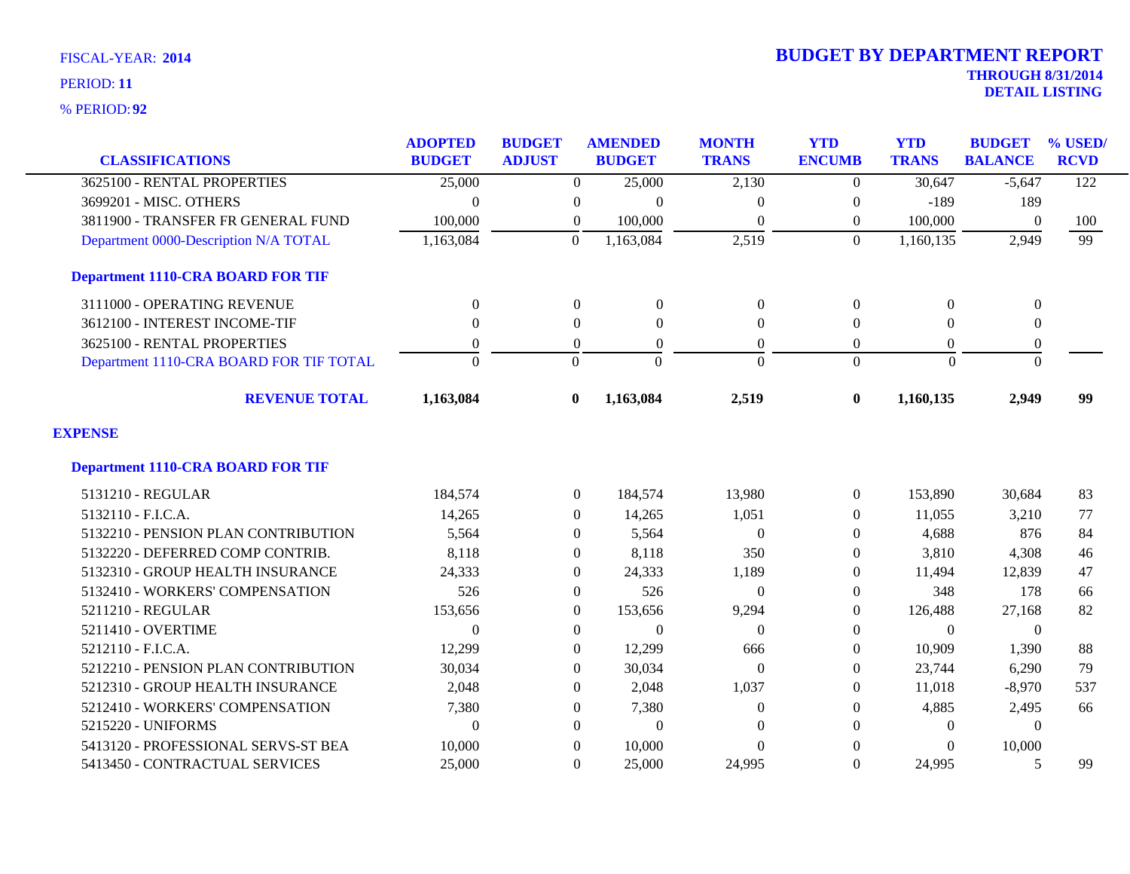| <b>CLASSIFICATIONS</b>                   | <b>ADOPTED</b><br><b>BUDGET</b> | <b>BUDGET</b><br><b>ADJUST</b> | <b>AMENDED</b><br><b>BUDGET</b> | <b>MONTH</b><br><b>TRANS</b> | <b>YTD</b><br><b>ENCUMB</b> | <b>YTD</b><br><b>TRANS</b> | <b>BUDGET</b><br><b>BALANCE</b> | % USED/<br><b>RCVD</b> |
|------------------------------------------|---------------------------------|--------------------------------|---------------------------------|------------------------------|-----------------------------|----------------------------|---------------------------------|------------------------|
| 3625100 - RENTAL PROPERTIES              | 25,000                          | $\Omega$                       | 25,000                          | 2,130                        | $\Omega$                    | 30,647                     | $-5,647$                        | 122                    |
| 3699201 - MISC. OTHERS                   | $\theta$                        | $\boldsymbol{0}$               | $\overline{0}$                  | $\theta$                     | $\boldsymbol{0}$            | $-189$                     | 189                             |                        |
| 3811900 - TRANSFER FR GENERAL FUND       | 100,000                         | 0                              | 100,000                         | $\Omega$                     | $\theta$                    | 100,000                    | $\mathbf{0}$                    | 100                    |
| Department 0000-Description N/A TOTAL    | 1,163,084                       | $\overline{0}$                 | 1,163,084                       | 2,519                        | $\overline{0}$              | 1,160,135                  | 2,949                           | 99                     |
| <b>Department 1110-CRA BOARD FOR TIF</b> |                                 |                                |                                 |                              |                             |                            |                                 |                        |
| 3111000 - OPERATING REVENUE              | $\overline{0}$                  | $\overline{0}$                 | $\overline{0}$                  | $\boldsymbol{0}$             | $\boldsymbol{0}$            | $\theta$                   | $\boldsymbol{0}$                |                        |
| 3612100 - INTEREST INCOME-TIF            | $\Omega$                        | $\Omega$                       | $\Omega$                        | $\mathbf{0}$                 | $\Omega$                    | $\Omega$                   | $\boldsymbol{0}$                |                        |
| 3625100 - RENTAL PROPERTIES              | $\overline{0}$                  | $\boldsymbol{0}$               | $\overline{0}$                  | $\overline{0}$               | $\theta$                    | $\overline{0}$             | $\boldsymbol{0}$                |                        |
| Department 1110-CRA BOARD FOR TIF TOTAL  | $\Omega$                        | $\Omega$                       | $\theta$                        | $\Omega$                     | $\Omega$                    | $\Omega$                   | $\Omega$                        |                        |
| <b>REVENUE TOTAL</b>                     | 1,163,084                       | $\mathbf{0}$                   | 1,163,084                       | 2,519                        | $\bf{0}$                    | 1,160,135                  | 2,949                           | 99                     |
| <b>EXPENSE</b>                           |                                 |                                |                                 |                              |                             |                            |                                 |                        |
| <b>Department 1110-CRA BOARD FOR TIF</b> |                                 |                                |                                 |                              |                             |                            |                                 |                        |
| 5131210 - REGULAR                        | 184,574                         | $\overline{0}$                 | 184,574                         | 13,980                       | $\overline{0}$              | 153,890                    | 30,684                          | 83                     |
| 5132110 - F.I.C.A.                       | 14,265                          | $\overline{0}$                 | 14,265                          | 1,051                        | $\Omega$                    | 11,055                     | 3,210                           | 77                     |
| 5132210 - PENSION PLAN CONTRIBUTION      | 5,564                           | $\overline{0}$                 | 5,564                           | $\Omega$                     | $\Omega$                    | 4,688                      | 876                             | 84                     |
| 5132220 - DEFERRED COMP CONTRIB.         | 8,118                           | $\overline{0}$                 | 8,118                           | 350                          | $\Omega$                    | 3,810                      | 4,308                           | 46                     |
| 5132310 - GROUP HEALTH INSURANCE         | 24,333                          | $\Omega$                       | 24,333                          | 1,189                        | $\Omega$                    | 11,494                     | 12,839                          | 47                     |
| 5132410 - WORKERS' COMPENSATION          | 526                             | $\overline{0}$                 | 526                             | $\theta$                     | $\mathbf{0}$                | 348                        | 178                             | 66                     |
| 5211210 - REGULAR                        | 153,656                         | $\boldsymbol{0}$               | 153,656                         | 9,294                        | $\boldsymbol{0}$            | 126,488                    | 27,168                          | 82                     |
| 5211410 - OVERTIME                       | $\theta$                        | $\overline{0}$                 | $\overline{0}$                  | $\theta$                     | $\theta$                    | $\theta$                   | $\overline{0}$                  |                        |
| 5212110 - F.I.C.A.                       | 12,299                          | $\Omega$                       | 12,299                          | 666                          | $\Omega$                    | 10,909                     | 1,390                           | 88                     |
| 5212210 - PENSION PLAN CONTRIBUTION      | 30,034                          | $\Omega$                       | 30,034                          | $\Omega$                     | $\Omega$                    | 23,744                     | 6,290                           | 79                     |
| 5212310 - GROUP HEALTH INSURANCE         | 2,048                           | $\overline{0}$                 | 2,048                           | 1,037                        | $\theta$                    | 11,018                     | $-8,970$                        | 537                    |
| 5212410 - WORKERS' COMPENSATION          | 7,380                           | $\Omega$                       | 7,380                           | $\mathbf{0}$                 | $\Omega$                    | 4,885                      | 2,495                           | 66                     |
| 5215220 - UNIFORMS                       | $\Omega$                        | $\Omega$                       | $\theta$                        | $\theta$                     | $\Omega$                    | $\Omega$                   | $\Omega$                        |                        |
| 5413120 - PROFESSIONAL SERVS-ST BEA      | 10,000                          | $\Omega$                       | 10,000                          | $\theta$                     | $\mathbf{0}$                | 0                          | 10,000                          |                        |
| 5413450 - CONTRACTUAL SERVICES           | 25,000                          | $\Omega$                       | 25,000                          | 24,995                       | $\Omega$                    | 24,995                     | 5                               | 99                     |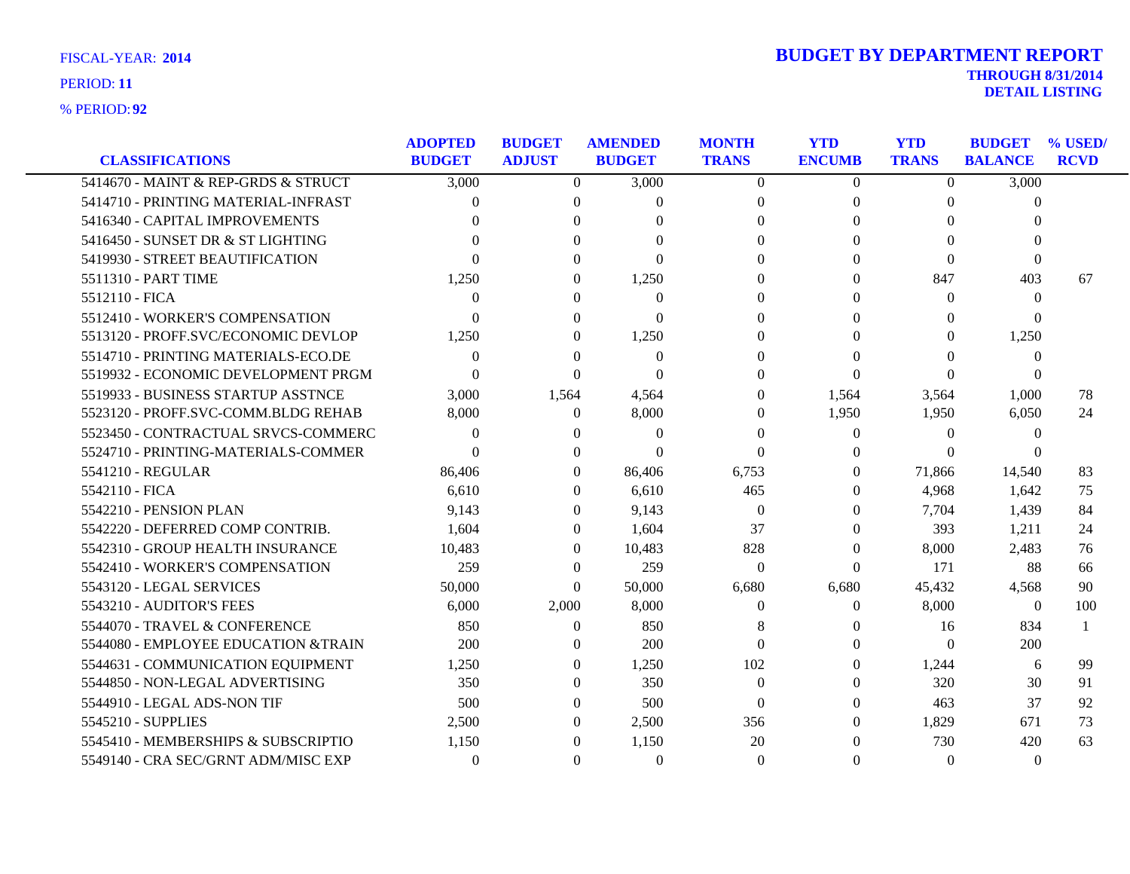| <b>FISCAL-YEAR: 2014</b> |  |
|--------------------------|--|
| PERIOD: 11               |  |

| <b>CLASSIFICATIONS</b>              | <b>ADOPTED</b><br><b>BUDGET</b> | <b>BUDGET</b><br><b>ADJUST</b> | <b>AMENDED</b><br><b>BUDGET</b> | <b>MONTH</b><br><b>TRANS</b> | <b>YTD</b><br><b>ENCUMB</b> | <b>YTD</b><br><b>TRANS</b> | <b>BUDGET</b><br><b>BALANCE</b> | % USED/<br><b>RCVD</b> |
|-------------------------------------|---------------------------------|--------------------------------|---------------------------------|------------------------------|-----------------------------|----------------------------|---------------------------------|------------------------|
| 5414670 - MAINT & REP-GRDS & STRUCT | 3,000                           | $\overline{0}$                 | 3,000                           | $\overline{0}$               | $\overline{0}$              | $\overline{0}$             | 3,000                           |                        |
| 5414710 - PRINTING MATERIAL-INFRAST | $\Omega$                        | $\Omega$                       | $\Omega$                        | $\Omega$                     | $\Omega$                    | $\Omega$                   | $\theta$                        |                        |
| 5416340 - CAPITAL IMPROVEMENTS      | 0                               | $\Omega$                       | ∩                               | $\Omega$                     | 0                           | $\Omega$                   | 0                               |                        |
| 5416450 - SUNSET DR & ST LIGHTING   |                                 | $\Omega$                       | $\Omega$                        |                              |                             | $\Omega$                   |                                 |                        |
| 5419930 - STREET BEAUTIFICATION     |                                 | $\Omega$                       | $\Omega$                        | $\Omega$<br>0                | 0                           | $\Omega$                   | $\Omega$                        |                        |
|                                     |                                 |                                |                                 |                              | 0                           |                            | $\Omega$                        |                        |
| 5511310 - PART TIME                 | 1,250                           | $\Omega$                       | 1,250                           | $\Omega$                     | $\Omega$                    | 847                        | 403                             | 67                     |
| 5512110 - FICA                      | $\Omega$                        | $\theta$                       | $\Omega$                        | 0                            | $^{(1)}$                    | $\Omega$                   | $\theta$                        |                        |
| 5512410 - WORKER'S COMPENSATION     | $\Omega$                        | $\Omega$                       | $\theta$                        | 0                            |                             | $\theta$                   | $\Omega$                        |                        |
| 5513120 - PROFF.SVC/ECONOMIC DEVLOP | 1,250                           | $\theta$                       | 1,250                           | 0                            |                             | $\Omega$                   | 1,250                           |                        |
| 5514710 - PRINTING MATERIALS-ECO.DE | $\Omega$                        | $\Omega$                       | $\theta$                        | 0                            |                             | 0                          | $\overline{0}$                  |                        |
| 5519932 - ECONOMIC DEVELOPMENT PRGM | $\Omega$                        | $\Omega$                       | $\Omega$                        | $\Omega$                     | $\Omega$                    | $\theta$                   | $\Omega$                        |                        |
| 5519933 - BUSINESS STARTUP ASSTNCE  | 3,000                           | 1,564                          | 4,564                           | $\Omega$                     | 1,564                       | 3,564                      | 1,000                           | 78                     |
| 5523120 - PROFF.SVC-COMM.BLDG REHAB | 8,000                           | $\theta$                       | 8,000                           | $\Omega$                     | 1,950                       | 1,950                      | 6,050                           | 24                     |
| 5523450 - CONTRACTUAL SRVCS-COMMERC | $\Omega$                        | $\Omega$                       | $\theta$                        | $\Omega$                     | $\Omega$                    | $\Omega$                   | $\theta$                        |                        |
| 5524710 - PRINTING-MATERIALS-COMMER | $\Omega$                        | $\Omega$                       | $\Omega$                        | $\Omega$                     | $\Omega$                    | $\Omega$                   | $\Omega$                        |                        |
| 5541210 - REGULAR                   | 86,406                          | $\theta$                       | 86,406                          | 6,753                        | $\theta$                    | 71,866                     | 14,540                          | 83                     |
| 5542110 - FICA                      | 6,610                           | $\Omega$                       | 6,610                           | 465                          | $\theta$                    | 4,968                      | 1,642                           | 75                     |
| 5542210 - PENSION PLAN              | 9,143                           | $\Omega$                       | 9,143                           | $\theta$                     | 0                           | 7,704                      | 1,439                           | 84                     |
| 5542220 - DEFERRED COMP CONTRIB.    | 1,604                           | $\theta$                       | 1,604                           | 37                           | $\Omega$                    | 393                        | 1,211                           | 24                     |
| 5542310 - GROUP HEALTH INSURANCE    | 10,483                          | $\Omega$                       | 10,483                          | 828                          | $\Omega$                    | 8,000                      | 2,483                           | 76                     |
| 5542410 - WORKER'S COMPENSATION     | 259                             | $\Omega$                       | 259                             | $\Omega$                     | $\Omega$                    | 171                        | 88                              | 66                     |
| 5543120 - LEGAL SERVICES            | 50,000                          | $\Omega$                       | 50,000                          | 6,680                        | 6,680                       | 45,432                     | 4,568                           | 90                     |
| 5543210 - AUDITOR'S FEES            | 6,000                           | 2,000                          | 8,000                           | $\Omega$                     | $\theta$                    | 8,000                      | $\overline{0}$                  | 100                    |
| 5544070 - TRAVEL & CONFERENCE       | 850                             | $\overline{0}$                 | 850                             | 8                            | $\theta$                    | 16                         | 834                             |                        |
| 5544080 - EMPLOYEE EDUCATION &TRAIN | 200                             | $\Omega$                       | 200                             | $\Omega$                     | $\theta$                    | $\Omega$                   | 200                             |                        |
| 5544631 - COMMUNICATION EQUIPMENT   | 1,250                           | $\Omega$                       | 1,250                           | 102                          | $\Omega$                    | 1,244                      | 6                               | 99                     |
| 5544850 - NON-LEGAL ADVERTISING     | 350                             | $\Omega$                       | 350                             | $\Omega$                     | $\Omega$                    | 320                        | 30                              | 91                     |
| 5544910 - LEGAL ADS-NON TIF         | 500                             | $\Omega$                       | 500                             | $\Omega$                     | $\theta$                    | 463                        | 37                              | 92                     |
| 5545210 - SUPPLIES                  | 2,500                           | $\Omega$                       | 2,500                           | 356                          | $\Omega$                    | 1,829                      | 671                             | 73                     |
| 5545410 - MEMBERSHIPS & SUBSCRIPTIO | 1,150                           | $\Omega$                       | 1,150                           | 20                           | 0                           | 730                        | 420                             | 63                     |
| 5549140 - CRA SEC/GRNT ADM/MISC EXP | $\Omega$                        | $\Omega$                       | $\Omega$                        | $\Omega$                     | $\Omega$                    | $\Omega$                   | $\overline{0}$                  |                        |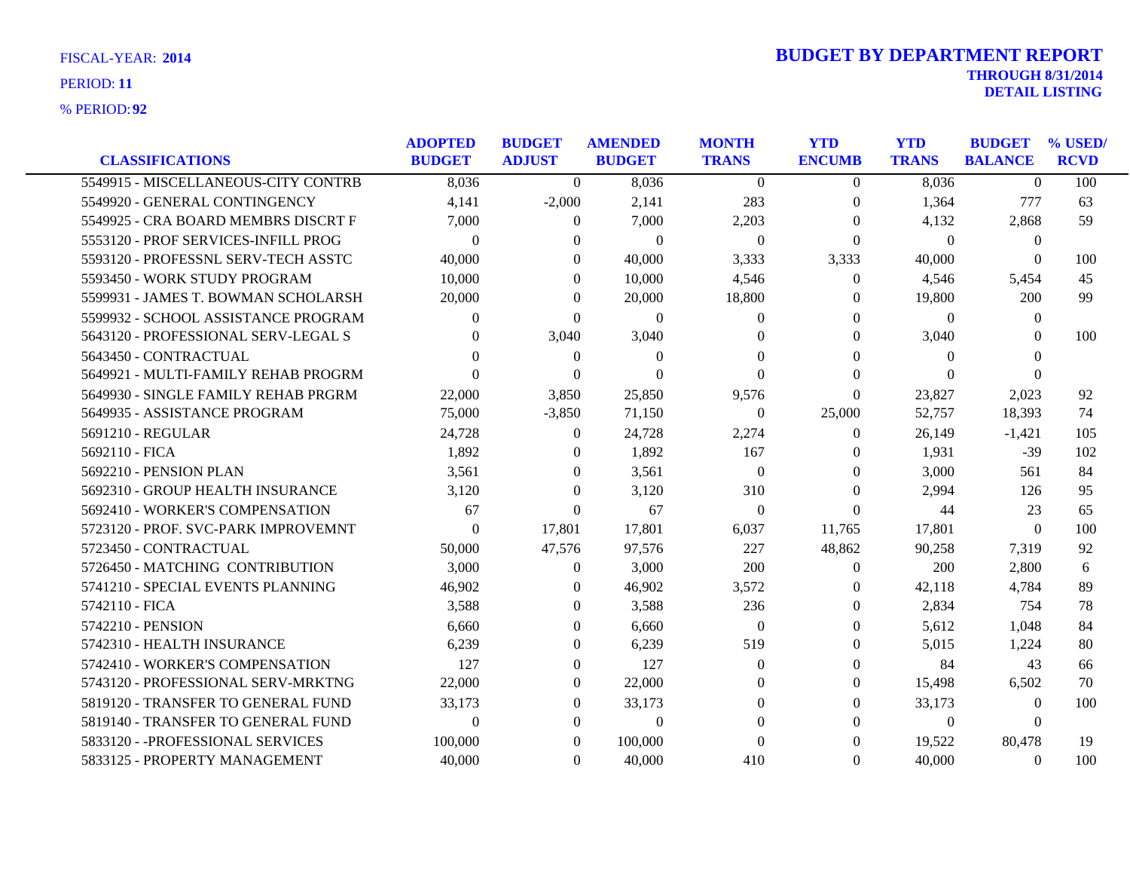| <b>CLASSIFICATIONS</b>              | <b>ADOPTED</b><br><b>BUDGET</b> | <b>BUDGET</b><br><b>ADJUST</b> | <b>AMENDED</b><br><b>BUDGET</b> | <b>MONTH</b><br><b>TRANS</b> | <b>YTD</b><br><b>ENCUMB</b> | <b>YTD</b><br><b>TRANS</b> | <b>BUDGET</b><br><b>BALANCE</b> | % USED/<br><b>RCVD</b> |
|-------------------------------------|---------------------------------|--------------------------------|---------------------------------|------------------------------|-----------------------------|----------------------------|---------------------------------|------------------------|
| 5549915 - MISCELLANEOUS-CITY CONTRB | 8,036                           | $\Omega$                       | 8,036                           | $\Omega$                     | $\overline{0}$              | 8,036                      | $\theta$                        | 100                    |
| 5549920 - GENERAL CONTINGENCY       | 4,141                           | $-2,000$                       | 2,141                           | 283                          | $\Omega$                    | 1,364                      | 777                             | 63                     |
| 5549925 - CRA BOARD MEMBRS DISCRT F | 7,000                           | $\Omega$                       | 7,000                           | 2,203                        | $\Omega$                    | 4,132                      | 2,868                           | 59                     |
| 5553120 - PROF SERVICES-INFILL PROG | $\theta$                        | $\mathbf{0}$                   | $\overline{0}$                  | $\theta$                     | $\Omega$                    | $\theta$                   | $\boldsymbol{0}$                |                        |
| 5593120 - PROFESSNL SERV-TECH ASSTC | 40,000                          | $\Omega$                       | 40,000                          | 3,333                        | 3,333                       | 40,000                     | $\mathbf{0}$                    | 100                    |
| 5593450 - WORK STUDY PROGRAM        | 10,000                          | $\Omega$                       | 10,000                          | 4,546                        | $\theta$                    | 4,546                      | 5,454                           | 45                     |
| 5599931 - JAMES T. BOWMAN SCHOLARSH | 20,000                          | $\Omega$                       | 20,000                          | 18,800                       | $\theta$                    | 19,800                     | 200                             | 99                     |
| 5599932 - SCHOOL ASSISTANCE PROGRAM | $\Omega$                        | $\Omega$                       | $\overline{0}$                  | $\theta$                     | $\Omega$                    | $\theta$                   | $\mathbf{0}$                    |                        |
| 5643120 - PROFESSIONAL SERV-LEGAL S | $\Omega$                        | 3,040                          | 3,040                           | $\theta$                     | $\Omega$                    | 3,040                      | $\theta$                        | 100                    |
| 5643450 - CONTRACTUAL               | 0                               | $\theta$                       | $\overline{0}$                  | $\Omega$                     | 0                           | $\theta$                   | 0                               |                        |
| 5649921 - MULTI-FAMILY REHAB PROGRM | $\Omega$                        | $\Omega$                       | $\Omega$                        | $\theta$                     | $\Omega$                    | $\Omega$                   | $\Omega$                        |                        |
| 5649930 - SINGLE FAMILY REHAB PRGRM | 22,000                          | 3,850                          | 25,850                          | 9,576                        | $\Omega$                    | 23,827                     | 2,023                           | 92                     |
| 5649935 - ASSISTANCE PROGRAM        | 75,000                          | $-3,850$                       | 71,150                          | $\theta$                     | 25,000                      | 52,757                     | 18,393                          | 74                     |
| 5691210 - REGULAR                   | 24,728                          | $\Omega$                       | 24,728                          | 2,274                        | $\theta$                    | 26,149                     | $-1,421$                        | 105                    |
| 5692110 - FICA                      | 1,892                           | $\theta$                       | 1,892                           | 167                          | $\theta$                    | 1,931                      | $-39$                           | 102                    |
| 5692210 - PENSION PLAN              | 3,561                           | $\overline{0}$                 | 3,561                           | $\boldsymbol{0}$             | $\overline{0}$              | 3,000                      | 561                             | 84                     |
| 5692310 - GROUP HEALTH INSURANCE    | 3,120                           | $\Omega$                       | 3,120                           | 310                          | $\Omega$                    | 2,994                      | 126                             | 95                     |
| 5692410 - WORKER'S COMPENSATION     | 67                              | $\mathbf{0}$                   | 67                              | $\theta$                     | $\Omega$                    | 44                         | 23                              | 65                     |
| 5723120 - PROF. SVC-PARK IMPROVEMNT | $\theta$                        | 17,801                         | 17,801                          | 6,037                        | 11,765                      | 17,801                     | $\theta$                        | 100                    |
| 5723450 - CONTRACTUAL               | 50,000                          | 47,576                         | 97,576                          | 227                          | 48,862                      | 90,258                     | 7,319                           | 92                     |
| 5726450 - MATCHING CONTRIBUTION     | 3,000                           | $\Omega$                       | 3,000                           | 200                          | $\theta$                    | 200                        | 2,800                           | 6                      |
| 5741210 - SPECIAL EVENTS PLANNING   | 46,902                          | $\theta$                       | 46,902                          | 3,572                        | $\overline{0}$              | 42,118                     | 4,784                           | 89                     |
| 5742110 - FICA                      | 3,588                           | $\Omega$                       | 3,588                           | 236                          | $\Omega$                    | 2,834                      | 754                             | 78                     |
| 5742210 - PENSION                   | 6,660                           | $\mathbf{0}$                   | 6,660                           | $\overline{0}$               | $\theta$                    | 5,612                      | 1,048                           | 84                     |
| 5742310 - HEALTH INSURANCE          | 6,239                           | 0                              | 6,239                           | 519                          | $\theta$                    | 5,015                      | 1,224                           | 80                     |
| 5742410 - WORKER'S COMPENSATION     | 127                             | $\Omega$                       | 127                             | $\Omega$                     | $\Omega$                    | 84                         | 43                              | 66                     |
| 5743120 - PROFESSIONAL SERV-MRKTNG  | 22,000                          | $\overline{0}$                 | 22,000                          | $\Omega$                     | $\Omega$                    | 15,498                     | 6,502                           | 70                     |
| 5819120 - TRANSFER TO GENERAL FUND  | 33,173                          | $\Omega$                       | 33,173                          | $\Omega$                     | $\theta$                    | 33,173                     | $\Omega$                        | 100                    |
| 5819140 - TRANSFER TO GENERAL FUND  | $\Omega$                        | $\Omega$                       | $\theta$                        | $\Omega$                     | $\Omega$                    | $\overline{0}$             | $\Omega$                        |                        |
| 5833120 - - PROFESSIONAL SERVICES   | 100,000                         | $\Omega$                       | 100,000                         | $\theta$                     | $\Omega$                    | 19,522                     | 80,478                          | 19                     |
| 5833125 - PROPERTY MANAGEMENT       | 40,000                          | $\Omega$                       | 40,000                          | 410                          | $\Omega$                    | 40,000                     | $\Omega$                        | 100                    |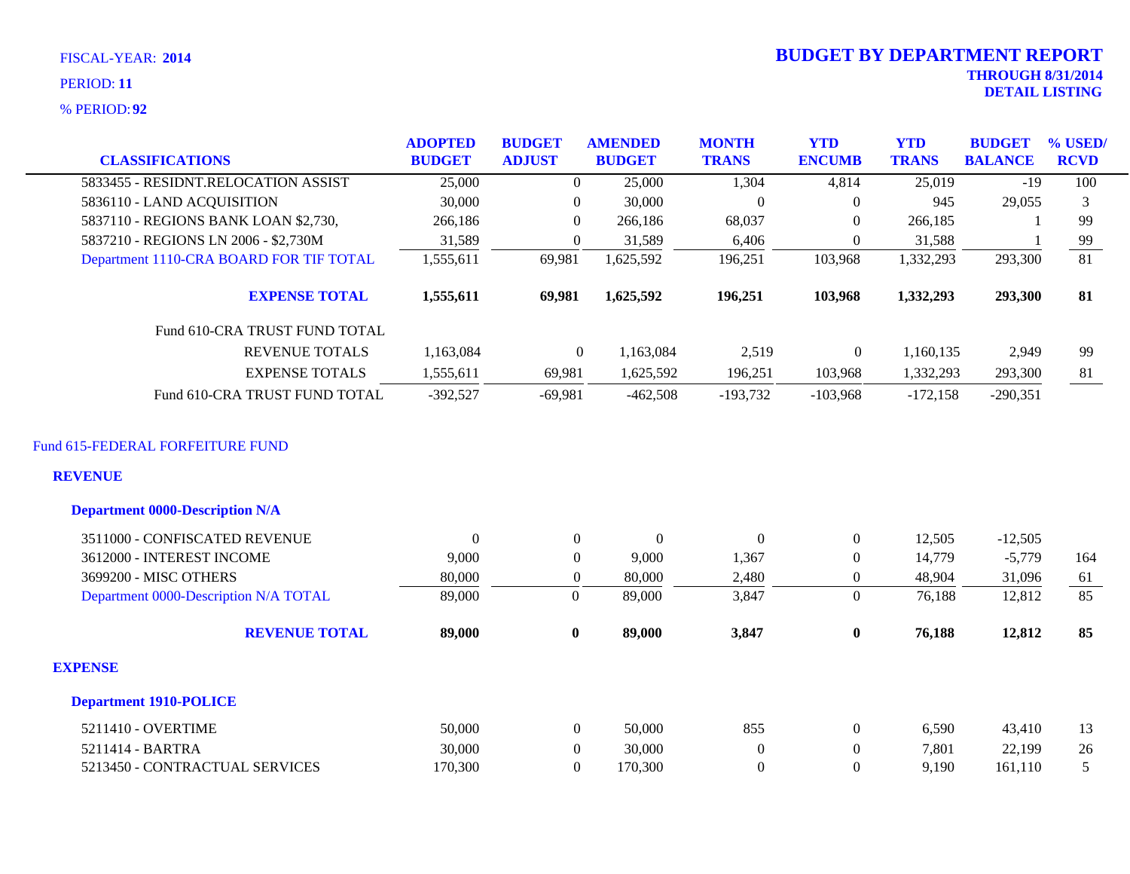**92** % PERIOD:

|                                                          | <b>ADOPTED</b> | <b>BUDGET</b>    | <b>AMENDED</b>   | <b>MONTH</b>     | <b>YTD</b>       | <b>YTD</b>   | <b>BUDGET</b>  | % USED/         |
|----------------------------------------------------------|----------------|------------------|------------------|------------------|------------------|--------------|----------------|-----------------|
| <b>CLASSIFICATIONS</b>                                   | <b>BUDGET</b>  | <b>ADJUST</b>    | <b>BUDGET</b>    | <b>TRANS</b>     | <b>ENCUMB</b>    | <b>TRANS</b> | <b>BALANCE</b> | <b>RCVD</b>     |
| 5833455 - RESIDNT.RELOCATION ASSIST                      | 25,000         | $\theta$         | 25,000           | 1,304            | 4,814            | 25,019       | $-19$          | 100             |
| 5836110 - LAND ACQUISITION                               | 30,000         | $\overline{0}$   | 30,000           | $\mathbf{0}$     | $\mathbf{0}$     | 945          | 29,055         | 3               |
| 5837110 - REGIONS BANK LOAN \$2,730,                     | 266,186        | $\Omega$         | 266,186          | 68,037           | $\Omega$         | 266,185      |                | 99              |
| 5837210 - REGIONS LN 2006 - \$2,730M                     | 31,589         | $\Omega$         | 31,589           | 6,406            | $\Omega$         | 31,588       |                | 99              |
| Department 1110-CRA BOARD FOR TIF TOTAL                  | 1,555,611      | 69,981           | 1,625,592        | 196,251          | 103,968          | 1,332,293    | 293,300        | $\overline{81}$ |
| <b>EXPENSE TOTAL</b>                                     | 1,555,611      | 69,981           | 1,625,592        | 196,251          | 103,968          | 1,332,293    | 293,300        | 81              |
| Fund 610-CRA TRUST FUND TOTAL                            |                |                  |                  |                  |                  |              |                |                 |
| <b>REVENUE TOTALS</b>                                    | 1,163,084      | $\overline{0}$   | 1,163,084        | 2,519            | $\boldsymbol{0}$ | 1,160,135    | 2,949          | 99              |
| <b>EXPENSE TOTALS</b>                                    | 1,555,611      | 69,981           | 1,625,592        | 196,251          | 103,968          | 1,332,293    | 293,300        | 81              |
| Fund 610-CRA TRUST FUND TOTAL                            | $-392,527$     | $-69,981$        | $-462,508$       | $-193,732$       | $-103,968$       | $-172,158$   | $-290,351$     |                 |
| <b>REVENUE</b><br><b>Department 0000-Description N/A</b> |                |                  |                  |                  |                  |              |                |                 |
| 3511000 - CONFISCATED REVENUE                            | $\overline{0}$ | $\overline{0}$   | $\boldsymbol{0}$ | $\mathbf{0}$     | $\mathbf{0}$     | 12,505       | $-12,505$      |                 |
| 3612000 - INTEREST INCOME                                | 9,000          | $\overline{0}$   | 9,000            | 1,367            | $\mathbf{0}$     | 14,779       | $-5,779$       | 164             |
| 3699200 - MISC OTHERS                                    | 80,000         | $\mathbf{0}$     | 80,000           | 2,480            | $\mathbf{0}$     | 48,904       | 31,096         | 61              |
| Department 0000-Description N/A TOTAL                    | 89,000         | $\boldsymbol{0}$ | 89,000           | 3,847            | $\overline{0}$   | 76,188       | 12,812         | 85              |
| <b>REVENUE TOTAL</b>                                     | 89,000         | $\bf{0}$         | 89,000           | 3,847            | $\bf{0}$         | 76,188       | 12,812         | 85              |
| <b>EXPENSE</b>                                           |                |                  |                  |                  |                  |              |                |                 |
| <b>Department 1910-POLICE</b>                            |                |                  |                  |                  |                  |              |                |                 |
| 5211410 - OVERTIME                                       | 50,000         | $\boldsymbol{0}$ | 50,000           | 855              | $\boldsymbol{0}$ | 6,590        | 43,410         | 13              |
| 5211414 - BARTRA                                         | 30,000         | $\boldsymbol{0}$ | 30,000           | $\boldsymbol{0}$ | $\mathbf{0}$     | 7,801        | 22,199         | 26              |
| 5213450 - CONTRACTUAL SERVICES                           | 170,300        | $\boldsymbol{0}$ | 170,300          | $\boldsymbol{0}$ | $\mathbf{0}$     | 9,190        | 161,110        | 5               |